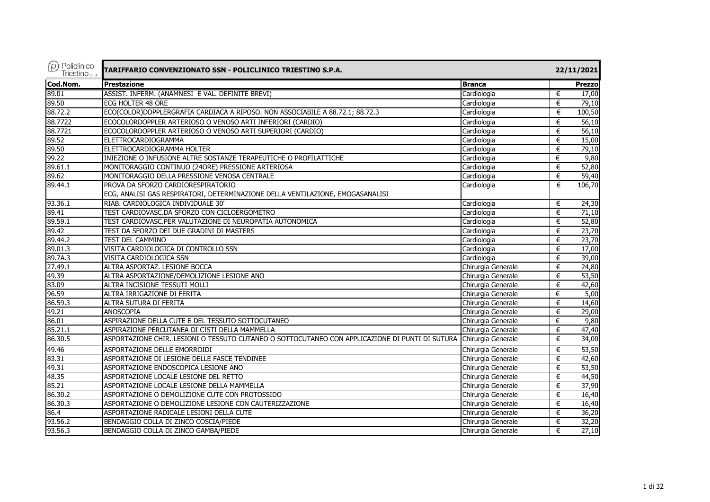| $\rho$ Policlinico<br>Triestino <sub>sp.A.</sub> | TARIFFARIO CONVENZIONATO SSN - POLICLINICO TRIESTINO S.P.A.                                     |                    | 22/11/2021 |               |  |
|--------------------------------------------------|-------------------------------------------------------------------------------------------------|--------------------|------------|---------------|--|
| Cod.Nom.                                         | <b>Prestazione</b>                                                                              | <b>Branca</b>      |            | <b>Prezzo</b> |  |
| 89.01                                            | ASSIST. INFERM. (ANAMNESI E VAL. DEFINITE BREVI)                                                | Cardiologia        | €          | 17,00         |  |
| 89.50                                            | ECG HOLTER 48 ORE                                                                               | Cardiologia        | €          | 79,10         |  |
| 88.72.2                                          | ECO(COLOR)DOPPLERGRAFIA CARDIACA A RIPOSO. NON ASSOCIABILE A 88.72.1; 88.72.3                   | Cardiologia        | €          | 100,50        |  |
| 88.7722                                          | ECOCOLORDOPPLER ARTERIOSO O VENOSO ARTI INFERIORI (CARDIO)                                      | Cardiologia        | €          | 56,10         |  |
| 88.7721                                          | ECOCOLORDOPPLER ARTERIOSO O VENOSO ARTI SUPERIORI (CARDIO)                                      | Cardiologia        | €          | 56,10         |  |
| 89.52                                            | <b>ELETTROCARDIOGRAMMA</b>                                                                      | Cardiologia        | €          | 15,00         |  |
| 89.50                                            | ELETTROCARDIOGRAMMA HOLTER                                                                      | Cardiologia        | €          | 79,10         |  |
| 99.22                                            | INIEZIONE O INFUSIONE ALTRE SOSTANZE TERAPEUTICHE O PROFILATTICHE                               | Cardiologia        | €          | 9,80          |  |
| 89.61.1                                          | MONITORAGGIO CONTINUO (24ORE) PRESSIONE ARTERIOSA                                               | Cardiologia        | €          | 52,80         |  |
| 89.62                                            | MONITORAGGIO DELLA PRESSIONE VENOSA CENTRALE                                                    | Cardiologia        | €          | 59,40         |  |
| 89.44.1                                          | PROVA DA SFORZO CARDIORESPIRATORIO                                                              | Cardiologia        | €          | 106,70        |  |
|                                                  | ECG, ANALISI GAS RESPIRATORI, DETERMINAZIONE DELLA VENTILAZIONE, EMOGASANALISI                  |                    |            |               |  |
| 93.36.1                                          | RIAB. CARDIOLOGICA INDIVIDUALE 30'                                                              | Cardiologia        | €          | 24,30         |  |
| 89.41                                            | TEST CARDIOVASC.DA SFORZO CON CICLOERGOMETRO                                                    | Cardiologia        | €          | 71,10         |  |
| 89.59.1                                          | TEST CARDIOVASC.PER VALUTAZIONE DI NEUROPATIA AUTONOMICA                                        | Cardiologia        | €          | 52,80         |  |
| 89.42                                            | TEST DA SFORZO DEI DUE GRADINI DI MASTERS                                                       | Cardiologia        | €          | 23,70         |  |
| 89.44.2                                          | TEST DEL CAMMINO                                                                                | Cardiologia        | €          | 23,70         |  |
| 89.01.3                                          | VISITA CARDIOLOGICA DI CONTROLLO SSN                                                            | Cardiologia        | €          | 17,00         |  |
| 89.7A.3                                          | VISITA CARDIOLOGICA SSN                                                                         | Cardiologia        | €          | 39,00         |  |
| 27.49.1                                          | ALTRA ASPORTAZ. LESIONE BOCCA                                                                   | Chirurgia Generale | €          | 24,80         |  |
| 49.39                                            | ALTRA ASPORTAZIONE/DEMOLIZIONE LESIONE ANO                                                      | Chirurgia Generale | €          | 53,50         |  |
| 83.09                                            | ALTRA INCISIONE TESSUTI MOLLI                                                                   | Chirurgia Generale | €          | 42,60         |  |
| 96.59                                            | ALTRA IRRIGAZIONE DI FERITA                                                                     | Chirurgia Generale | €          | 5,00          |  |
| 86.59.3                                          | ALTRA SUTURA DI FERITA                                                                          | Chirurgia Generale | €          | 14,60         |  |
| 49.21                                            | <b>ANOSCOPIA</b>                                                                                | Chirurgia Generale | €          | 29,00         |  |
| 86.01                                            | ASPIRAZIONE DELLA CUTE E DEL TESSUTO SOTTOCUTANEO                                               | Chirurgia Generale | €          | 9,80          |  |
| 85.21.1                                          | ASPIRAZIONE PERCUTANEA DI CISTI DELLA MAMMELLA                                                  | Chirurgia Generale | €          | 47,40         |  |
| 86.30.5                                          | ASPORTAZIONE CHIR. LESIONI O TESSUTO CUTANEO O SOTTOCUTANEO CON APPLICAZIONE DI PUNTI DI SUTURA | Chirurgia Generale | €          | 34,00         |  |
| 49.46                                            | ASPORTAZIONE DELLE EMORROIDI                                                                    | Chirurgia Generale | €          | 53,50         |  |
| 83.31                                            | ASPORTAZIONE DI LESIONE DELLE FASCE TENDINEE                                                    | Chirurgia Generale | €          | 42,60         |  |
| 49.31                                            | ASPORTAZIONE ENDOSCOPICA LESIONE ANO                                                            | Chirurgia Generale | €          | 53,50         |  |
| 48.35                                            | ASPORTAZIONE LOCALE LESIONE DEL RETTO                                                           | Chirurgia Generale | €          | 44,50         |  |
| 85.21                                            | ASPORTAZIONE LOCALE LESIONE DELLA MAMMELLA                                                      | Chirurgia Generale | €          | 37,90         |  |
| 86.30.2                                          | ASPORTAZIONE O DEMOLIZIONE CUTE CON PROTOSSIDO                                                  | Chirurgia Generale | €          | 16,40         |  |
| 86.30.3                                          | ASPORTAZIONE O DEMOLIZIONE LESIONE CON CAUTERIZZAZIONE                                          | Chirurgia Generale | €          | 16,40         |  |
| 86.4                                             | ASPORTAZIONE RADICALE LESIONI DELLA CUTE                                                        | Chirurgia Generale | €          | 36,20         |  |
| 93.56.2                                          | BENDAGGIO COLLA DI ZINCO COSCIA/PIEDE                                                           | Chirurgia Generale | €          | 32,20         |  |
| 93.56.3                                          | BENDAGGIO COLLA DI ZINCO GAMBA/PIEDE                                                            | Chirurgia Generale | €          | 27,10         |  |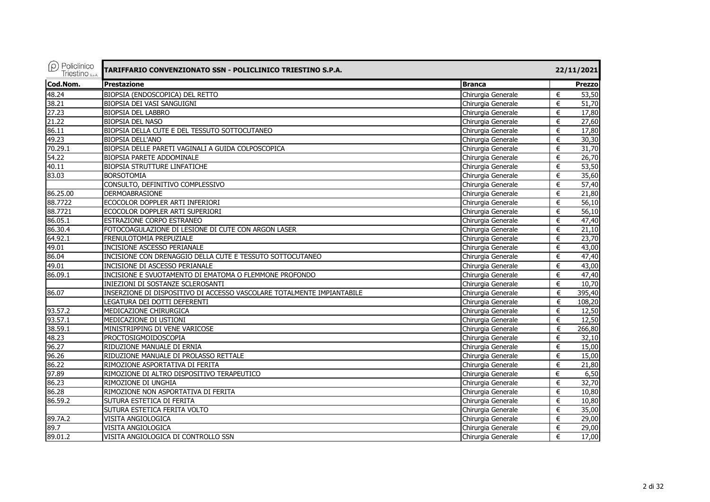| $\rho$ Policlinico<br>Triestino <sub>S.p.A.</sub> | TARIFFARIO CONVENZIONATO SSN - POLICLINICO TRIESTINO S.P.A.            |                    | 22/11/2021     |
|---------------------------------------------------|------------------------------------------------------------------------|--------------------|----------------|
| Cod.Nom.                                          | <b>Prestazione</b>                                                     | <b>Branca</b>      | <b>Prezzo</b>  |
| 48.24                                             | BIOPSIA (ENDOSCOPICA) DEL RETTO                                        | Chirurgia Generale | €<br>53,50     |
| 38.21                                             | BIOPSIA DEI VASI SANGUIGNI                                             | Chirurgia Generale | 51,70<br>€     |
| 27.23                                             | <b>BIOPSIA DEL LABBRO</b>                                              | Chirurgia Generale | 17,80<br>$\in$ |
| 21.22                                             | <b>BIOPSIA DEL NASO</b>                                                | Chirurgia Generale | 27,60<br>€     |
| 86.11                                             | BIOPSIA DELLA CUTE E DEL TESSUTO SOTTOCUTANEO                          | Chirurgia Generale | 17,80<br>€     |
| 49.23                                             | <b>BIOPSIA DELL'ANO</b>                                                | Chirurgia Generale | 30,30<br>$\in$ |
| 70.29.1                                           | BIOPSIA DELLE PARETI VAGINALI A GUIDA COLPOSCOPICA                     | Chirurgia Generale | 31,70<br>€     |
| 54.22                                             | BIOPSIA PARETE ADDOMINALE                                              | Chirurgia Generale | 26,70<br>€     |
| 40.11                                             | <b>BIOPSIA STRUTTURE LINFATICHE</b>                                    | Chirurgia Generale | 53,50<br>$\in$ |
| 83.03                                             | <b>BORSOTOMIA</b>                                                      | Chirurgia Generale | 35,60<br>€     |
|                                                   | CONSULTO, DEFINITIVO COMPLESSIVO                                       | Chirurgia Generale | €<br>57,40     |
| 86.25.00                                          | <b>DERMOABRASIONE</b>                                                  | Chirurgia Generale | 21,80<br>€     |
| 88.7722                                           | ECOCOLOR DOPPLER ARTI INFERIORI                                        | Chirurgia Generale | 56,10<br>€     |
| 88.7721                                           | ECOCOLOR DOPPLER ARTI SUPERIORI                                        | Chirurgia Generale | 56,10<br>€     |
| 86.05.1                                           | ESTRAZIONE CORPO ESTRANEO                                              | Chirurgia Generale | $\in$<br>47,40 |
| 86.30.4                                           | FOTOCOAGULAZIONE DI LESIONE DI CUTE CON ARGON LASER                    | Chirurgia Generale | €<br>21,10     |
| 64.92.1                                           | FRENULOTOMIA PREPUZIALE                                                | Chirurgia Generale | 23,70<br>€     |
| 49.01                                             | <b>INCISIONE ASCESSO PERIANALE</b>                                     | Chirurgia Generale | €<br>43,00     |
| 86.04                                             | INCISIONE CON DRENAGGIO DELLA CUTE E TESSUTO SOTTOCUTANEO              | Chirurgia Generale | €<br>47,40     |
| 49.01                                             | INCISIONE DI ASCESSO PERIANALE                                         | Chirurgia Generale | 43,00<br>€     |
| 86.09.1                                           | INCISIONE E SVUOTAMENTO DI EMATOMA O FLEMMONE PROFONDO                 | Chirurgia Generale | 47,40<br>€     |
|                                                   | INIEZIONI DI SOSTANZE SCLEROSANTI                                      | Chirurgia Generale | 10,70<br>€     |
| 86.07                                             | INSERZIONE DI DISPOSITIVO DI ACCESSO VASCOLARE TOTALMENTE IMPIANTABILE | Chirurgia Generale | 395,40<br>€    |
|                                                   | LEGATURA DEI DOTTI DEFERENTI                                           | Chirurgia Generale | 108,20<br>€    |
| 93.57.2                                           | MEDICAZIONE CHIRURGICA                                                 | Chirurgia Generale | 12,50<br>€     |
| 93.57.1                                           | MEDICAZIONE DI USTIONI                                                 | Chirurgia Generale | 12,50<br>€     |
| 38.59.1                                           | MINISTRIPPING DI VENE VARICOSE                                         | Chirurgia Generale | 266,80<br>€    |
| 48.23                                             | PROCTOSIGMOIDOSCOPIA                                                   | Chirurgia Generale | 32,10<br>€     |
| 96.27                                             | RIDUZIONE MANUALE DI ERNIA                                             | Chirurgia Generale | 15,00<br>€     |
| 96.26                                             | RIDUZIONE MANUALE DI PROLASSO RETTALE                                  | Chirurgia Generale | 15,00<br>€     |
| 86.22                                             | RIMOZIONE ASPORTATIVA DI FERITA                                        | Chirurgia Generale | 21,80<br>€     |
| 97.89                                             | RIMOZIONE DI ALTRO DISPOSITIVO TERAPEUTICO                             | Chirurgia Generale | €<br>6,50      |
| 86.23                                             | RIMOZIONE DI UNGHIA                                                    | Chirurgia Generale | 32,70<br>€     |
| 86.28                                             | RIMOZIONE NON ASPORTATIVA DI FERITA                                    | Chirurgia Generale | €<br>10,80     |
| 86.59.2                                           | SUTURA ESTETICA DI FERITA                                              | Chirurgia Generale | €<br>10,80     |
|                                                   | SUTURA ESTETICA FERITA VOLTO                                           | Chirurgia Generale | €<br>35,00     |
| 89.7A.2                                           | VISITA ANGIOLOGICA                                                     | Chirurgia Generale | €<br>29,00     |
| 89.7                                              | VISITA ANGIOLOGICA                                                     | Chirurgia Generale | 29,00<br>€     |
| 89.01.2                                           | VISITA ANGIOLOGICA DI CONTROLLO SSN                                    | Chirurgia Generale | €<br>17,00     |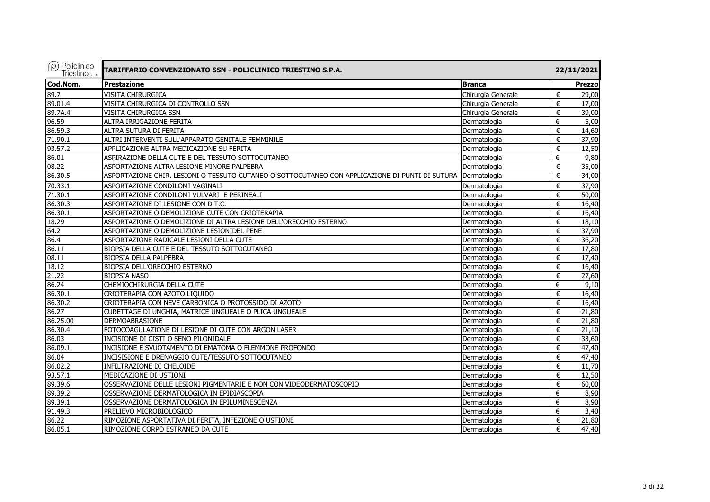| $\rho$ Policlinico<br>Triestino <sub>s.p.A.</sub> | TARIFFARIO CONVENZIONATO SSN - POLICLINICO TRIESTINO S.P.A.                                     |                    |   | 22/11/2021    |  |  |
|---------------------------------------------------|-------------------------------------------------------------------------------------------------|--------------------|---|---------------|--|--|
| Cod.Nom.                                          | <b>Prestazione</b>                                                                              | <b>Branca</b>      |   | <b>Prezzo</b> |  |  |
| 89.7                                              | <b>VISITA CHIRURGICA</b>                                                                        | Chirurgia Generale | € | 29,00         |  |  |
| 89.01.4                                           | VISITA CHIRURGICA DI CONTROLLO SSN                                                              | Chirurgia Generale | € | 17,00         |  |  |
| 89.7A.4                                           | VISITA CHIRURGICA SSN                                                                           | Chirurgia Generale | € | 39,00         |  |  |
| 96.59                                             | ALTRA IRRIGAZIONE FERITA                                                                        | Dermatologia       | € | 5,00          |  |  |
| 86.59.3                                           | ALTRA SUTURA DI FERITA                                                                          | Dermatologia       | € | 14,60         |  |  |
| 71.90.1                                           | ALTRI INTERVENTI SULL'APPARATO GENITALE FEMMINILE                                               | Dermatologia       | € | 37,90         |  |  |
| 93.57.2                                           | APPLICAZIONE ALTRA MEDICAZIONE SU FERITA                                                        | Dermatologia       | € | 12,50         |  |  |
| 86.01                                             | ASPIRAZIONE DELLA CUTE E DEL TESSUTO SOTTOCUTANEO                                               | Dermatologia       | € | 9,80          |  |  |
| 08.22                                             | ASPORTAZIONE ALTRA LESIONE MINORE PALPEBRA                                                      | Dermatologia       | € | 35,00         |  |  |
| 86.30.5                                           | ASPORTAZIONE CHIR. LESIONI O TESSUTO CUTANEO O SOTTOCUTANEO CON APPLICAZIONE DI PUNTI DI SUTURA | Dermatologia       | € | 34,00         |  |  |
| 70.33.1                                           | ASPORTAZIONE CONDILOMI VAGINALI                                                                 | Dermatologia       | € | 37,90         |  |  |
| 71.30.1                                           | ASPORTAZIONE CONDILOMI VULVARI E PERINEALI                                                      | Dermatologia       | € | 50,00         |  |  |
| 86.30.3                                           | ASPORTAZIONE DI LESIONE CON D.T.C.                                                              | Dermatologia       | € | 16,40         |  |  |
| 86.30.1                                           | ASPORTAZIONE O DEMOLIZIONE CUTE CON CRIOTERAPIA                                                 | Dermatologia       | € | 16,40         |  |  |
| 18.29                                             | ASPORTAZIONE O DEMOLIZIONE DI ALTRA LESIONE DELL'ORECCHIO ESTERNO                               | Dermatologia       | € | 18,10         |  |  |
| 64.2                                              | ASPORTAZIONE O DEMOLIZIONE LESIONIDEL PENE                                                      | Dermatologia       | € | 37,90         |  |  |
| 86.4                                              | ASPORTAZIONE RADICALE LESIONI DELLA CUTE                                                        | Dermatologia       | € | 36,20         |  |  |
| 86.11                                             | BIOPSIA DELLA CUTE E DEL TESSUTO SOTTOCUTANEO                                                   | Dermatologia       | € | 17,80         |  |  |
| 08.11                                             | <b>BIOPSIA DELLA PALPEBRA</b>                                                                   | Dermatologia       | € | 17,40         |  |  |
| 18.12                                             | BIOPSIA DELL'ORECCHIO ESTERNO                                                                   | Dermatologia       | € | 16,40         |  |  |
| 21.22                                             | <b>BIOPSIA NASO</b>                                                                             | Dermatologia       | € | 27,60         |  |  |
| 86.24                                             | CHEMIOCHIRURGIA DELLA CUTE                                                                      | Dermatologia       | € | 9,10          |  |  |
| 86.30.1                                           | CRIOTERAPIA CON AZOTO LIQUIDO                                                                   | Dermatologia       | € | 16,40         |  |  |
| 86.30.2                                           | CRIOTERAPIA CON NEVE CARBONICA O PROTOSSIDO DI AZOTO                                            | Dermatologia       | € | 16,40         |  |  |
| 86.27                                             | CURETTAGE DI UNGHIA, MATRICE UNGUEALE O PLICA UNGUEALE                                          | Dermatologia       | € | 21,80         |  |  |
| 86.25.00                                          | DERMOABRASIONE                                                                                  | Dermatologia       | € | 21,80         |  |  |
| 86.30.4                                           | FOTOCOAGULAZIONE DI LESIONE DI CUTE CON ARGON LASER                                             | Dermatologia       | € | 21,10         |  |  |
| 86.03                                             | INCISIONE DI CISTI O SENO PILONIDALE                                                            | Dermatologia       | € | 33,60         |  |  |
| 86.09.1                                           | INCISIONE E SVUOTAMENTO DI EMATOMA O FLEMMONE PROFONDO                                          | Dermatologia       | € | 47,40         |  |  |
| 86.04                                             | INCISISIONE E DRENAGGIO CUTE/TESSUTO SOTTOCUTANEO                                               | Dermatologia       | € | 47,40         |  |  |
| 86.02.2                                           | INFILTRAZIONE DI CHELOIDE                                                                       | Dermatologia       | € | 11,70         |  |  |
| 93.57.1                                           | MEDICAZIONE DI USTIONI                                                                          | Dermatologia       | € | 12,50         |  |  |
| 89.39.6                                           | OSSERVAZIONE DELLE LESIONI PIGMENTARIE E NON CON VIDEODERMATOSCOPIO                             | Dermatologia       | € | 60,00         |  |  |
| 89.39.2                                           | OSSERVAZIONE DERMATOLOGICA IN EPIDIASCOPIA                                                      | Dermatologia       | € | 8,90          |  |  |
| 89.39.1                                           | OSSERVAZIONE DERMATOLOGICA IN EPILUMINESCENZA                                                   | Dermatologia       | € | 8,90          |  |  |
| 91.49.3                                           | PRELIEVO MICROBIOLOGICO                                                                         | Dermatologia       | € | 3,40          |  |  |
| 86.22                                             | RIMOZIONE ASPORTATIVA DI FERITA, INFEZIONE O USTIONE                                            | Dermatologia       | € | 21,80         |  |  |
| 86.05.1                                           | RIMOZIONE CORPO ESTRANEO DA CUTE                                                                | Dermatologia       | € | 47,40         |  |  |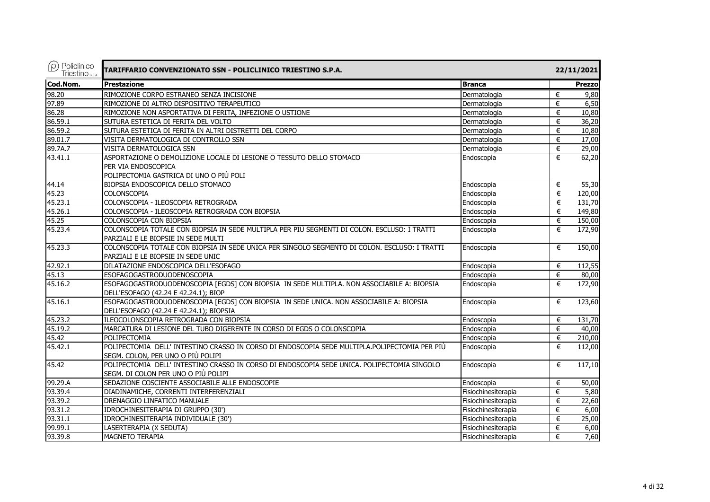| $\circled{P}$ Policlinico<br>Triestino S.p.A. | TARIFFARIO CONVENZIONATO SSN - POLICLINICO TRIESTINO S.P.A.                                                                            |                     |   | 22/11/2021    |
|-----------------------------------------------|----------------------------------------------------------------------------------------------------------------------------------------|---------------------|---|---------------|
|                                               | <b>Prestazione</b>                                                                                                                     | <b>Branca</b>       |   | <b>Prezzo</b> |
| Cod.Nom.<br>98.20                             | RIMOZIONE CORPO ESTRANEO SENZA INCISIONE                                                                                               | Dermatologia        | € | 9,80          |
| 97.89                                         | RIMOZIONE DI ALTRO DISPOSITIVO TERAPEUTICO                                                                                             | Dermatologia        | € | 6,50          |
| 86.28                                         | RIMOZIONE NON ASPORTATIVA DI FERITA, INFEZIONE O USTIONE                                                                               | Dermatologia        | € | 10,80         |
| 86.59.1                                       | SUTURA ESTETICA DI FERITA DEL VOLTO                                                                                                    | Dermatologia        | € | 36,20         |
| 86.59.2                                       | SUTURA ESTETICA DI FERITA IN ALTRI DISTRETTI DEL CORPO                                                                                 | Dermatologia        | € | 10,80         |
| 89.01.7                                       | VISITA DERMATOLOGICA DI CONTROLLO SSN                                                                                                  | Dermatologia        | € | 17,00         |
| 89.7A.7                                       | VISITA DERMATOLOGICA SSN                                                                                                               | Dermatologia        | € | 29,00         |
| 43.41.1                                       | ASPORTAZIONE O DEMOLIZIONE LOCALE DI LESIONE O TESSUTO DELLO STOMACO<br>PER VIA ENDOSCOPICA<br>POLIPECTOMIA GASTRICA DI UNO O PIÙ POLI | Endoscopia          | € | 62,20         |
| 44.14                                         | BIOPSIA ENDOSCOPICA DELLO STOMACO                                                                                                      | Endoscopia          | € | 55,30         |
| 45.23                                         | <b>COLONSCOPIA</b>                                                                                                                     | Endoscopia          | € | 120,00        |
| 45.23.1                                       | COLONSCOPIA - ILEOSCOPIA RETROGRADA                                                                                                    | Endoscopia          | € | 131,70        |
| 45.26.1                                       | COLONSCOPIA - ILEOSCOPIA RETROGRADA CON BIOPSIA                                                                                        | Endoscopia          | € | 149,80        |
| 45.25                                         | COLONSCOPIA CON BIOPSIA                                                                                                                | Endoscopia          | € | 150,00        |
| 45.23.4                                       | COLONSCOPIA TOTALE CON BIOPSIA IN SEDE MULTIPLA PER PIÙ SEGMENTI DI COLON. ESCLUSO: I TRATTI<br>PARZIALI E LE BIOPSIE IN SEDE MULTI    | Endoscopia          | € | 172,90        |
| 45.23.3                                       | COLONSCOPIA TOTALE CON BIOPSIA IN SEDE UNICA PER SINGOLO SEGMENTO DI COLON. ESCLUSO: I TRATTI<br>PARZIALI E LE BIOPSIE IN SEDE UNIC    | Endoscopia          | € | 150,00        |
| 42.92.1                                       | DILATAZIONE ENDOSCOPICA DELL'ESOFAGO                                                                                                   | Endoscopia          | € | 112,55        |
| 45.13                                         | ESOFAGOGASTRODUODENOSCOPIA                                                                                                             | Endoscopia          | € | 80,00         |
| 45.16.2                                       | ESOFAGOGASTRODUODENOSCOPIA [EGDS] CON BIOPSIA IN SEDE MULTIPLA. NON ASSOCIABILE A: BIOPSIA<br>DELL'ESOFAGO (42.24 E 42.24.1); BIOP     | Endoscopia          | € | 172,90        |
| 45.16.1                                       | ESOFAGOGASTRODUODENOSCOPIA [EGDS] CON BIOPSIA IN SEDE UNICA. NON ASSOCIABILE A: BIOPSIA<br>DELL'ESOFAGO (42.24 E 42.24.1); BIOPSIA     | Endoscopia          | € | 123,60        |
| 45.23.2                                       | ILEOCOLONSCOPIA RETROGRADA CON BIOPSIA                                                                                                 | Endoscopia          | € | 131,70        |
| 45.19.2                                       | MARCATURA DI LESIONE DEL TUBO DIGERENTE IN CORSO DI EGDS O COLONSCOPIA                                                                 | Endoscopia          | € | 40,00         |
| 45.42                                         | POLIPECTOMIA                                                                                                                           | Endoscopia          | € | 210,00        |
| 45.42.1                                       | POLIPECTOMIA DELL' INTESTINO CRASSO IN CORSO DI ENDOSCOPIA SEDE MULTIPLA.POLIPECTOMIA PER PIÙ<br>SEGM. COLON, PER UNO O PIÙ POLIPI     | Endoscopia          | € | 112,00        |
| 45.42                                         | POLIPECTOMIA DELL' INTESTINO CRASSO IN CORSO DI ENDOSCOPIA SEDE UNICA. POLIPECTOMIA SINGOLO<br>SEGM. DI COLON PER UNO O PIÙ POLIPI     | Endoscopia          | € | 117,10        |
| 99.29.A                                       | SEDAZIONE COSCIENTE ASSOCIABILE ALLE ENDOSCOPIE                                                                                        | Endoscopia          | € | 50,00         |
| 93.39.4                                       | DIADINAMICHE, CORRENTI INTERFERENZIALI                                                                                                 | Fisiochinesiterapia | € | 5,80          |
| 93.39.2                                       | DRENAGGIO LINFATICO MANUALE                                                                                                            | Fisiochinesiterapia | € | 22,60         |
| 93.31.2                                       | IDROCHINESITERAPIA DI GRUPPO (30')                                                                                                     | Fisiochinesiterapia | € | 6,00          |
| 93.31.1                                       | IDROCHINESITERAPIA INDIVIDUALE (30')                                                                                                   | Fisiochinesiterapia | € | 25,00         |
| 99.99.1                                       | LASERTERAPIA (X SEDUTA)                                                                                                                | Fisiochinesiterapia | € | 6,00          |
| 93.39.8                                       | <b>MAGNETO TERAPIA</b>                                                                                                                 | Fisiochinesiterapia | € | 7,60          |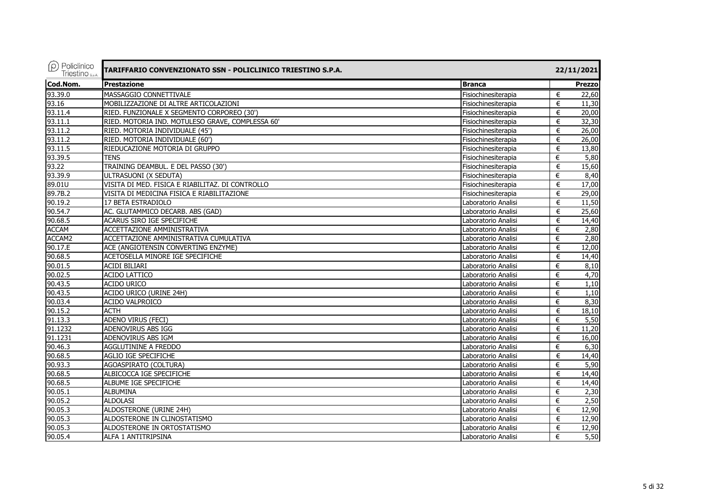| $(\rho)$ Policlinico<br>Triestino <sub>sp.A.</sub> | TARIFFARIO CONVENZIONATO SSN - POLICLINICO TRIESTINO S.P.A. |                     | 22/11/2021             |
|----------------------------------------------------|-------------------------------------------------------------|---------------------|------------------------|
| Cod.Nom.                                           | <b>Prestazione</b>                                          | <b>Branca</b>       | Prezzo                 |
| 93.39.0                                            | MASSAGGIO CONNETTIVALE                                      | Fisiochinesiterapia | €<br>22,60             |
| 93.16                                              | MOBILIZZAZIONE DI ALTRE ARTICOLAZIONI                       | Fisiochinesiterapia | €<br>11,30             |
| 93.11.4                                            | RIED. FUNZIONALE X SEGMENTO CORPOREO (30')                  | Fisiochinesiterapia | 20,00<br>€             |
| 93.11.1                                            | RIED. MOTORIA IND. MOTULESO GRAVE, COMPLESSA 60'            | Fisiochinesiterapia | €<br>32,30             |
| 93.11.2                                            | RIED. MOTORIA INDIVIDUALE (45')                             | Fisiochinesiterapia | 26,00<br>€             |
| 93.11.2                                            | RIED. MOTORIA INDIVIDUALE (60')                             | Fisiochinesiterapia | €<br>26,00             |
| 93.11.5                                            | RIEDUCAZIONE MOTORIA DI GRUPPO                              | Fisiochinesiterapia | €<br>13,80             |
| 93.39.5                                            | <b>TENS</b>                                                 | Fisiochinesiterapia | 5,80<br>€              |
| 93.22                                              | TRAINING DEAMBUL. E DEL PASSO (30')                         | Fisiochinesiterapia | €<br>15,60             |
| 93.39.9                                            | ULTRASUONI (X SEDUTA)                                       | Fisiochinesiterapia | €<br>8,40              |
| 89.01U                                             | VISITA DI MED. FISICA E RIABILITAZ. DI CONTROLLO            | Fisiochinesiterapia | €<br>17,00             |
| 89.7B.2                                            | VISITA DI MEDICINA FISICA E RIABILITAZIONE                  | Fisiochinesiterapia | 29,00<br>€             |
| 90.19.2                                            | 17 BETA ESTRADIOLO                                          | Laboratorio Analisi | 11,50<br>€             |
| 90.54.7                                            | AC. GLUTAMMICO DECARB. ABS (GAD)                            | Laboratorio Analisi | 25,60<br>€             |
| 90.68.5                                            | ACARUS SIRO IGE SPECIFICHE                                  | Laboratorio Analisi | €<br>14,40             |
| <b>ACCAM</b>                                       | ACCETTAZIONE AMMINISTRATIVA                                 | Laboratorio Analisi | 2,80<br>€              |
| ACCAM2                                             | ACCETTAZIONE AMMINISTRATIVA CUMULATIVA                      | Laboratorio Analisi | 2,80<br>€              |
| 90.17.E                                            | ACE (ANGIOTENSIN CONVERTING ENZYME)                         | Laboratorio Analisi | 12,00<br>€             |
| 90.68.5                                            | ACETOSELLA MINORE IGE SPECIFICHE                            | Laboratorio Analisi | 14,40<br>€             |
| 90.01.5                                            | <b>ACIDI BILIARI</b>                                        | Laboratorio Analisi | 8,10<br>€              |
| 90.02.5                                            | <b>ACIDO LATTICO</b>                                        | Laboratorio Analisi | 4,70<br>€              |
| 90.43.5                                            | <b>ACIDO URICO</b>                                          | Laboratorio Analisi | €<br>1,10              |
| 90.43.5                                            | ACIDO URICO (URINE 24H)                                     | Laboratorio Analisi | €<br>1,10              |
| 90.03.4                                            | ACIDO VALPROICO                                             | Laboratorio Analisi | 8,30<br>€              |
| 90.15.2                                            | <b>ACTH</b>                                                 | Laboratorio Analisi | 18,10<br>€             |
| 91.13.3                                            | ADENO VIRUS (FECI)                                          | Laboratorio Analisi | $\overline{5,50}$<br>€ |
| 91.1232                                            | ADENOVIRUS ABS IGG                                          | Laboratorio Analisi | €<br>11,20             |
| 91.1231                                            | ADENOVIRUS ABS IGM                                          | Laboratorio Analisi | 16,00<br>€             |
| 90.46.3                                            | AGGLUTININE A FREDDO                                        | Laboratorio Analisi | 6,30<br>€              |
| 90.68.5                                            | AGLIO IGE SPECIFICHE                                        | Laboratorio Analisi | €<br>14,40             |
| 90.93.3                                            | AGOASPIRATO (COLTURA)                                       | Laboratorio Analisi | 5,90<br>€              |
| 90.68.5                                            | ALBICOCCA IGE SPECIFICHE                                    | Laboratorio Analisi | 14,40<br>€             |
| 90.68.5                                            | ALBUME IGE SPECIFICHE                                       | Laboratorio Analisi | €<br>14,40             |
| 90.05.1                                            | <b>ALBUMINA</b>                                             | Laboratorio Analisi | 2,30<br>€              |
| 90.05.2                                            | <b>ALDOLASI</b>                                             | Laboratorio Analisi | €<br>2,50              |
| 90.05.3                                            | ALDOSTERONE (URINE 24H)                                     | Laboratorio Analisi | 12,90<br>€             |
| 90.05.3                                            | ALDOSTERONE IN CLINOSTATISMO                                | Laboratorio Analisi | 12,90<br>€             |
| 90.05.3                                            | ALDOSTERONE IN ORTOSTATISMO                                 | Laboratorio Analisi | 12,90<br>€             |
| 90.05.4                                            | ALFA 1 ANTITRIPSINA                                         | Laboratorio Analisi | 5,50<br>€              |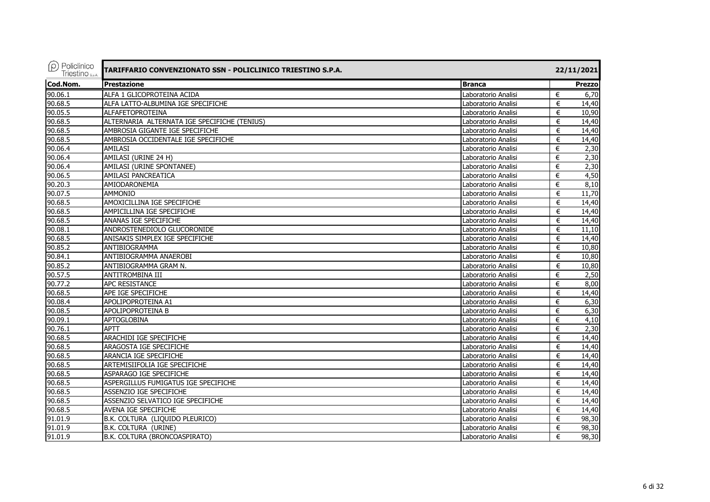| $(\rho)$ Policlinico<br><b>Triestino</b> S.D.A. | TARIFFARIO CONVENZIONATO SSN - POLICLINICO TRIESTINO S.P.A. |                     |   | 22/11/2021    |
|-------------------------------------------------|-------------------------------------------------------------|---------------------|---|---------------|
| Cod.Nom.                                        | <b>Prestazione</b>                                          | <b>Branca</b>       |   | <b>Prezzo</b> |
| 90.06.1                                         | ALFA 1 GLICOPROTEINA ACIDA                                  | Laboratorio Analisi | € | 6,70          |
| 90.68.5                                         | ALFA LATTO-ALBUMINA IGE SPECIFICHE                          | Laboratorio Analisi | € | 14,40         |
| 90.05.5                                         | <b>ALFAFETOPROTEINA</b>                                     | Laboratorio Analisi | € | 10,90         |
| 90.68.5                                         | ALTERNARIA ALTERNATA IGE SPECIFICHE (TENIUS)                | Laboratorio Analisi | € | 14,40         |
| 90.68.5                                         | AMBROSIA GIGANTE IGE SPECIFICHE                             | Laboratorio Analisi | € | 14,40         |
| 90.68.5                                         | AMBROSIA OCCIDENTALE IGE SPECIFICHE                         | Laboratorio Analisi | € | 14,40         |
| 90.06.4                                         | <b>AMILASI</b>                                              | Laboratorio Analisi | € | 2,30          |
| 90.06.4                                         | AMILASI (URINE 24 H)                                        | Laboratorio Analisi | € | 2,30          |
| 90.06.4                                         | AMILASI (URINE SPONTANEE)                                   | Laboratorio Analisi | € | 2,30          |
| 90.06.5                                         | AMILASI PANCREATICA                                         | Laboratorio Analisi | € | 4,50          |
| 90.20.3                                         | AMIODARONEMIA                                               | Laboratorio Analisi | € | 8,10          |
| 90.07.5                                         | <b>AMMONIO</b>                                              | Laboratorio Analisi | € | 11,70         |
| 90.68.5                                         | AMOXICILLINA IGE SPECIFICHE                                 | Laboratorio Analisi | € | 14,40         |
| 90.68.5                                         | AMPICILLINA IGE SPECIFICHE                                  | Laboratorio Analisi | € | 14,40         |
| 90.68.5                                         | ANANAS IGE SPECIFICHE                                       | Laboratorio Analisi | € | 14,40         |
| 90.08.1                                         | ANDROSTENEDIOLO GLUCORONIDE                                 | Laboratorio Analisi | € | 11,10         |
| 90.68.5                                         | ANISAKIS SIMPLEX IGE SPECIFICHE                             | Laboratorio Analisi | € | 14,40         |
| 90.85.2                                         | ANTIBIOGRAMMA                                               | Laboratorio Analisi | € | 10,80         |
| 90.84.1                                         | ANTIBIOGRAMMA ANAEROBI                                      | Laboratorio Analisi | € | 10,80         |
| 90.85.2                                         | ANTIBIOGRAMMA GRAM N.                                       | Laboratorio Analisi | € | 10.80         |
| 90.57.5                                         | ANTITROMBINA III                                            | Laboratorio Analisi | € | 2,50          |
| 90.77.2                                         | <b>APC RESISTANCE</b>                                       | Laboratorio Analisi | € | 8,00          |
| 90.68.5                                         | APE IGE SPECIFICHE                                          | Laboratorio Analisi | € | 14,40         |
| 90.08.4                                         | APOLIPOPROTEINA A1                                          | Laboratorio Analisi | € | 6,30          |
| 90.08.5                                         | APOLIPOPROTEINA B                                           | Laboratorio Analisi | € | 6,30          |
| 90.09.1                                         | APTOGLOBINA                                                 | Laboratorio Analisi | € | 4,10          |
| 90.76.1                                         | APTT                                                        | Laboratorio Analisi | € | 2,30          |
| 90.68.5                                         | <b>ARACHIDI IGE SPECIFICHE</b>                              | Laboratorio Analisi | € | 14,40         |
| 90.68.5                                         | ARAGOSTA IGE SPECIFICHE                                     | Laboratorio Analisi | € | 14,40         |
| 90.68.5                                         | ARANCIA IGE SPECIFICHE                                      | Laboratorio Analisi | € | 14,40         |
| 90.68.5                                         | ARTEMISIIFOLIA IGE SPECIFICHE                               | Laboratorio Analisi | € | 14,40         |
| 90.68.5                                         | ASPARAGO IGE SPECIFICHE                                     | Laboratorio Analisi | € | 14,40         |
| 90.68.5                                         | ASPERGILLUS FUMIGATUS IGE SPECIFICHE                        | Laboratorio Analisi | € | 14,40         |
| 90.68.5                                         | ASSENZIO IGE SPECIFICHE                                     | Laboratorio Analisi | € | 14,40         |
| 90.68.5                                         | ASSENZIO SELVATICO IGE SPECIFICHE                           | Laboratorio Analisi | € | 14,40         |
| 90.68.5                                         | AVENA IGE SPECIFICHE                                        | Laboratorio Analisi | € | 14,40         |
| 91.01.9                                         | B.K. COLTURA (LIQUIDO PLEURICO)                             | Laboratorio Analisi | € | 98,30         |
| 91.01.9                                         | B.K. COLTURA (URINE)                                        | Laboratorio Analisi | € | 98,30         |
| 91.01.9                                         | B.K. COLTURA (BRONCOASPIRATO)                               | Laboratorio Analisi | € | 98,30         |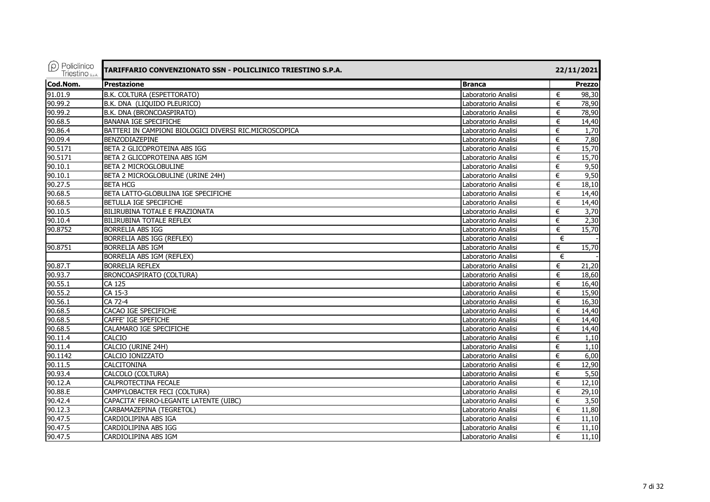| $(\rho)$ Policlinico<br>Triestino <sub>sp.A.</sub> | TARIFFARIO CONVENZIONATO SSN - POLICLINICO TRIESTINO S.P.A. |                     | 22/11/2021    |  |  |
|----------------------------------------------------|-------------------------------------------------------------|---------------------|---------------|--|--|
| Cod.Nom.                                           | <b>Prestazione</b>                                          | <b>Branca</b>       | <b>Prezzo</b> |  |  |
| 91.01.9                                            | B.K. COLTURA (ESPETTORATO)                                  | Laboratorio Analisi | €<br>98,30    |  |  |
| 90.99.2                                            | B.K. DNA (LIQUIDO PLEURICO)                                 | Laboratorio Analisi | €<br>78,90    |  |  |
| 90.99.2                                            | B.K. DNA (BRONCOASPIRATO)                                   | Laboratorio Analisi | €<br>78,90    |  |  |
| 90.68.5                                            | <b>BANANA IGE SPECIFICHE</b>                                | Laboratorio Analisi | 14,40<br>€    |  |  |
| 90.86.4                                            | BATTERI IN CAMPIONI BIOLOGICI DIVERSI RIC.MICROSCOPICA      | Laboratorio Analisi | €<br>1,70     |  |  |
| 90.09.4                                            | BENZODIAZEPINE                                              | Laboratorio Analisi | 7,80<br>€     |  |  |
| 90.5171                                            | BETA 2 GLICOPROTEINA ABS IGG                                | Laboratorio Analisi | 15,70<br>€    |  |  |
| 90.5171                                            | BETA 2 GLICOPROTEINA ABS IGM                                | Laboratorio Analisi | 15,70<br>€    |  |  |
| 90.10.1                                            | BETA 2 MICROGLOBULINE                                       | Laboratorio Analisi | 9,50<br>€     |  |  |
| 90.10.1                                            | BETA 2 MICROGLOBULINE (URINE 24H)                           | Laboratorio Analisi | 9,50<br>€     |  |  |
| 90.27.5                                            | <b>BETA HCG</b>                                             | Laboratorio Analisi | 18,10<br>€    |  |  |
| 90.68.5                                            | BETA LATTO-GLOBULINA IGE SPECIFICHE                         | Laboratorio Analisi | 14,40<br>€    |  |  |
| 90.68.5                                            | BETULLA IGE SPECIFICHE                                      | Laboratorio Analisi | 14,40<br>€    |  |  |
| 90.10.5                                            | <b>BILIRUBINA TOTALE E FRAZIONATA</b>                       | Laboratorio Analisi | 3,70<br>€     |  |  |
| 90.10.4                                            | <b>BILIRUBINA TOTALE REFLEX</b>                             | Laboratorio Analisi | €<br>2,30     |  |  |
| 90.8752                                            | BORRELIA ABS IGG                                            | Laboratorio Analisi | 15,70<br>€    |  |  |
|                                                    | BORRELIA ABS IGG (REFLEX)                                   | Laboratorio Analisi | €             |  |  |
| 90.8751                                            | <b>BORRELIA ABS IGM</b>                                     | Laboratorio Analisi | 15,70<br>€    |  |  |
|                                                    | BORRELIA ABS IGM (REFLEX)                                   | Laboratorio Analisi | €             |  |  |
| 90.87.T                                            | <b>BORRELIA REFLEX</b>                                      | Laboratorio Analisi | 21,20<br>€    |  |  |
| 90.93.7                                            | BRONCOASPIRATO (COLTURA)                                    | Laboratorio Analisi | €<br>18,60    |  |  |
| 90.55.1                                            | CA 125                                                      | Laboratorio Analisi | 16,40<br>€    |  |  |
| 90.55.2                                            | CA 15-3                                                     | Laboratorio Analisi | 15,90<br>€    |  |  |
| 90.56.1                                            | CA 72-4                                                     | Laboratorio Analisi | 16,30<br>€    |  |  |
| 90.68.5                                            | CACAO IGE SPECIFICHE                                        | Laboratorio Analisi | €<br>14,40    |  |  |
| 90.68.5                                            | CAFFE' IGE SPEFICHE                                         | Laboratorio Analisi | 14,40<br>€    |  |  |
| 90.68.5                                            | CALAMARO IGE SPECIFICHE                                     | Laboratorio Analisi | €<br>14,40    |  |  |
| 90.11.4                                            | CALCIO                                                      | Laboratorio Analisi | €<br>1,10     |  |  |
| 90.11.4                                            | CALCIO (URINE 24H)                                          | Laboratorio Analisi | 1,10<br>€     |  |  |
| 90.1142                                            | CALCIO IONIZZATO                                            | Laboratorio Analisi | 6,00<br>€     |  |  |
| 90.11.5                                            | <b>CALCITONINA</b>                                          | Laboratorio Analisi | 12,90<br>€    |  |  |
| 90.93.4                                            | CALCOLO (COLTURA)                                           | Laboratorio Analisi | 5,50<br>€     |  |  |
| 90.12.A                                            | <b>CALPROTECTINA FECALE</b>                                 | Laboratorio Analisi | €<br>12,10    |  |  |
| 90.88.E                                            | CAMPYLOBACTER FECI (COLTURA)                                | Laboratorio Analisi | 29,10<br>€    |  |  |
| 90.42.4                                            | CAPACITA' FERRO-LEGANTE LATENTE (UIBC)                      | Laboratorio Analisi | 3,50<br>€     |  |  |
| 90.12.3                                            | CARBAMAZEPINA (TEGRETOL)                                    | Laboratorio Analisi | €<br>11,80    |  |  |
| 90.47.5                                            | CARDIOLIPINA ABS IGA                                        | Laboratorio Analisi | 11,10<br>€    |  |  |
| 90.47.5                                            | CARDIOLIPINA ABS IGG                                        | Laboratorio Analisi | 11,10<br>€    |  |  |
| 90.47.5                                            | CARDIOLIPINA ABS IGM                                        | Laboratorio Analisi | €<br>11,10    |  |  |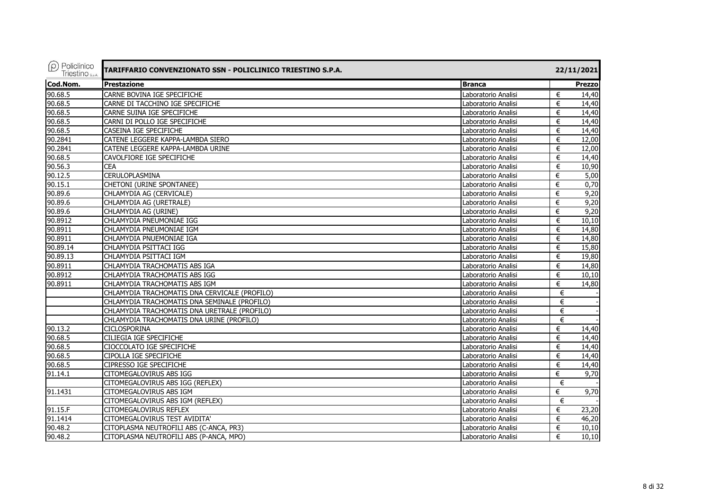| $(\rho)$ Policlinico<br>Triestino <sub>sp.A.</sub> | TARIFFARIO CONVENZIONATO SSN - POLICLINICO TRIESTINO S.P.A. |                     | 22/11/2021            |
|----------------------------------------------------|-------------------------------------------------------------|---------------------|-----------------------|
| Cod.Nom.                                           | <b>Prestazione</b>                                          | <b>Branca</b>       | <b>Prezzo</b>         |
| 90.68.5                                            | CARNE BOVINA IGE SPECIFICHE                                 | Laboratorio Analisi | 14,40<br>€            |
| 90.68.5                                            | CARNE DI TACCHINO IGE SPECIFICHE                            | Laboratorio Analisi | €<br>14,40            |
| 90.68.5                                            | CARNE SUINA IGE SPECIFICHE                                  | Laboratorio Analisi | €<br>14,40            |
| 90.68.5                                            | CARNI DI POLLO IGE SPECIFICHE                               | Laboratorio Analisi | 14,40<br>€            |
| 90.68.5                                            | CASEINA IGE SPECIFICHE                                      | Laboratorio Analisi | 14,40<br>€            |
| 90.2841                                            | CATENE LEGGERE KAPPA-LAMBDA SIERO                           | Laboratorio Analisi | 12,00<br>€            |
| 90.2841                                            | CATENE LEGGERE KAPPA-LAMBDA URINE                           | Laboratorio Analisi | 12,00<br>€            |
| 90.68.5                                            | CAVOLFIORE IGE SPECIFICHE                                   | Laboratorio Analisi | 14,40<br>€            |
| 90.56.3                                            | <b>CEA</b>                                                  | Laboratorio Analisi | 10,90<br>€            |
| 90.12.5                                            | <b>CERULOPLASMINA</b>                                       | Laboratorio Analisi | €<br>$\frac{1}{5,00}$ |
| 90.15.1                                            | CHETONI (URINE SPONTANEE)                                   | Laboratorio Analisi | 0,70<br>€             |
| 90.89.6                                            | CHLAMYDIA AG (CERVICALE)                                    | Laboratorio Analisi | 9,20<br>€             |
| 90.89.6                                            | CHLAMYDIA AG (URETRALE)                                     | Laboratorio Analisi | 9,20<br>€             |
| 90.89.6                                            | CHLAMYDIA AG (URINE)                                        | Laboratorio Analisi | 9,20<br>€             |
| 90.8912                                            | CHLAMYDIA PNEUMONIAE IGG                                    | Laboratorio Analisi | 10,10<br>€            |
| 90.8911                                            | CHLAMYDIA PNEUMONIAE IGM                                    | Laboratorio Analisi | 14,80<br>€            |
| 90.8911                                            | CHLAMYDIA PNUEMONIAE IGA                                    | Laboratorio Analisi | 14,80<br>€            |
| 90.89.14                                           | CHLAMYDIA PSITTACI IGG                                      | Laboratorio Analisi | 15,80<br>€            |
| 90.89.13                                           | CHLAMYDIA PSITTACI IGM                                      | Laboratorio Analisi | €<br>19,80            |
| 90.8911                                            | CHLAMYDIA TRACHOMATIS ABS IGA                               | Laboratorio Analisi | 14,80<br>€            |
| 90.8912                                            | CHLAMYDIA TRACHOMATIS ABS IGG                               | Laboratorio Analisi | €<br>10,10            |
| 90.8911                                            | CHLAMYDIA TRACHOMATIS ABS IGM                               | Laboratorio Analisi | €<br>14,80            |
|                                                    | CHLAMYDIA TRACHOMATIS DNA CERVICALE (PROFILO)               | Laboratorio Analisi | €                     |
|                                                    | CHLAMYDIA TRACHOMATIS DNA SEMINALE (PROFILO)                | Laboratorio Analisi | €                     |
|                                                    | CHLAMYDIA TRACHOMATIS DNA URETRALE (PROFILO)                | Laboratorio Analisi | €                     |
|                                                    | CHLAMYDIA TRACHOMATIS DNA URINE (PROFILO)                   | Laboratorio Analisi | €                     |
| 90.13.2                                            | <b>CICLOSPORINA</b>                                         | Laboratorio Analisi | €<br>14,40            |
| 90.68.5                                            | <b>CILIEGIA IGE SPECIFICHE</b>                              | Laboratorio Analisi | €<br>14,40            |
| 90.68.5                                            | CIOCCOLATO IGE SPECIFICHE                                   | Laboratorio Analisi | €<br>14,40            |
| 90.68.5                                            | CIPOLLA IGE SPECIFICHE                                      | Laboratorio Analisi | €<br>14,40            |
| 90.68.5                                            | <b>CIPRESSO IGE SPECIFICHE</b>                              | Laboratorio Analisi | €<br>14,40            |
| 91.14.1                                            | <b>CITOMEGALOVIRUS ABS IGG</b>                              | Laboratorio Analisi | 9,70<br>€             |
|                                                    | CITOMEGALOVIRUS ABS IGG (REFLEX)                            | Laboratorio Analisi | €                     |
| 91.1431                                            | CITOMEGALOVIRUS ABS IGM                                     | Laboratorio Analisi | 9,70<br>€             |
|                                                    | CITOMEGALOVIRUS ABS IGM (REFLEX)                            | Laboratorio Analisi | €                     |
| 91.15.F                                            | <b>CITOMEGALOVIRUS REFLEX</b>                               | Laboratorio Analisi | 23,20<br>€            |
| 91.1414                                            | CITOMEGALOVIRUS TEST AVIDITA'                               | Laboratorio Analisi | 46,20<br>€            |
| 90.48.2                                            | CITOPLASMA NEUTROFILI ABS (C-ANCA, PR3)                     | Laboratorio Analisi | 10,10<br>€            |
| 90.48.2                                            | CITOPLASMA NEUTROFILI ABS (P-ANCA, MPO)                     | Laboratorio Analisi | 10,10<br>€            |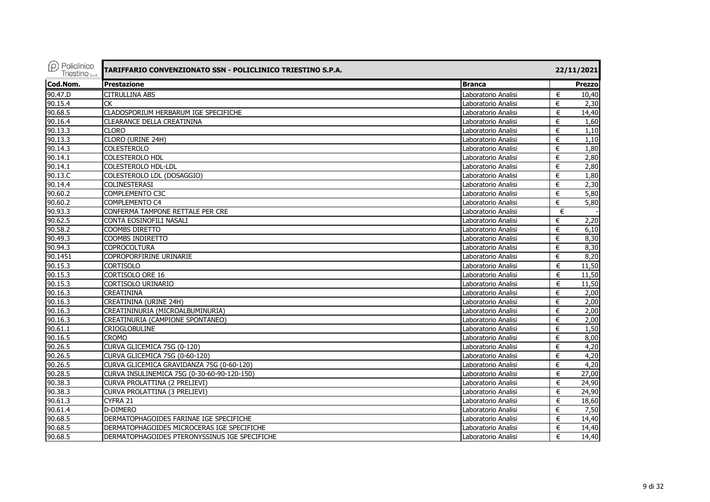| $\rho$ Policlinico<br>Triestino <sub>s.p.A.</sub> | TARIFFARIO CONVENZIONATO SSN - POLICLINICO TRIESTINO S.P.A. |                     | 22/11/2021    |
|---------------------------------------------------|-------------------------------------------------------------|---------------------|---------------|
| Cod.Nom.                                          | <b>Prestazione</b>                                          | <b>Branca</b>       | <b>Prezzo</b> |
| 90.47.D                                           | <b>CITRULLINA ABS</b>                                       | Laboratorio Analisi | €<br>10,40    |
| 90.15.4                                           | <b>CK</b>                                                   | Laboratorio Analisi | €<br>2,30     |
| 90.68.5                                           | CLADOSPORIUM HERBARUM IGE SPECIFICHE                        | Laboratorio Analisi | €<br>14,40    |
| 90.16.4                                           | <b>CLEARANCE DELLA CREATININA</b>                           | Laboratorio Analisi | €<br>1,60     |
| 90.13.3                                           | <b>CLORO</b>                                                | Laboratorio Analisi | 1,10<br>€     |
| 90.13.3                                           | CLORO (URINE 24H)                                           | Laboratorio Analisi | 1,10<br>€     |
| 90.14.3                                           | <b>COLESTEROLO</b>                                          | Laboratorio Analisi | 1,80<br>€     |
| 90.14.1                                           | <b>COLESTEROLO HDL</b>                                      | Laboratorio Analisi | 2,80<br>€     |
| 90.14.1                                           | COLESTEROLO HDL-LDL                                         | Laboratorio Analisi | 2,80<br>€     |
| 90.13.C                                           | COLESTEROLO LDL (DOSAGGIO)                                  | Laboratorio Analisi | €<br>1,80     |
| 90.14.4                                           | <b>COLINESTERASI</b>                                        | Laboratorio Analisi | €<br>2,30     |
| 90.60.2                                           | COMPLEMENTO C3C                                             | Laboratorio Analisi | 5,80<br>€     |
| 90.60.2                                           | COMPLEMENTO C4                                              | Laboratorio Analisi | €<br>5,80     |
| 90.93.3                                           | CONFERMA TAMPONE RETTALE PER CRE                            | Laboratorio Analisi | €             |
| 90.62.5                                           | CONTA EOSINOFILI NASALI                                     | Laboratorio Analisi | €<br>2,20     |
| 90.58.2                                           | <b>COOMBS DIRETTO</b>                                       | Laboratorio Analisi | 6.10<br>€     |
| 90.49.3                                           | COOMBS INDIRETTO                                            | Laboratorio Analisi | €<br>8,30     |
| 90.94.3                                           | <b>COPROCOLTURA</b>                                         | Laboratorio Analisi | €<br>8,30     |
| 90.1451                                           | COPROPORFIRINE URINARIE                                     | Laboratorio Analisi | €<br>8,20     |
| 90.15.3                                           | <b>CORTISOLO</b>                                            | Laboratorio Analisi | €<br>11,50    |
| 90.15.3                                           | <b>CORTISOLO ORE 16</b>                                     | Laboratorio Analisi | €<br>11,50    |
| 90.15.3                                           | CORTISOLO URINARIO                                          | Laboratorio Analisi | €<br>11,50    |
| 90.16.3                                           | <b>CREATININA</b>                                           | Laboratorio Analisi | €<br>2,00     |
| 90.16.3                                           | CREATININA (URINE 24H)                                      | Laboratorio Analisi | €<br>2,00     |
| 90.16.3                                           | CREATININURIA (MICROALBUMINURIA)                            | Laboratorio Analisi | €<br>2,00     |
| 90.16.3                                           | CREATINURIA (CAMPIONE SPONTANEO)                            | Laboratorio Analisi | 2,00<br>€     |
| 90.61.1                                           | <b>CRIOGLOBULINE</b>                                        | Laboratorio Analisi | €<br>1,50     |
| 90.16.5                                           | <b>CROMO</b>                                                | Laboratorio Analisi | 8,00<br>€     |
| 90.26.5                                           | CURVA GLICEMICA 75G (0-120)                                 | Laboratorio Analisi | 4,20<br>€     |
| 90.26.5                                           | CURVA GLICEMICA 75G (0-60-120)                              | Laboratorio Analisi | 4,20<br>€     |
| 90.26.5                                           | CURVA GLICEMICA GRAVIDANZA 75G (0-60-120)                   | Laboratorio Analisi | 4,20<br>€     |
| 90.28.5                                           | CURVA INSULINEMICA 75G (0-30-60-90-120-150)                 | Laboratorio Analisi | €<br>27,00    |
| 90.38.3                                           | CURVA PROLATTINA (2 PRELIEVI)                               | Laboratorio Analisi | 24,90<br>€    |
| 90.38.3                                           | CURVA PROLATTINA (3 PRELIEVI)                               | Laboratorio Analisi | €<br>24,90    |
| 90.61.3                                           | CYFRA 21                                                    | Laboratorio Analisi | €<br>18,60    |
| 90.61.4                                           | D-DIMERO                                                    | Laboratorio Analisi | €<br>7,50     |
| 90.68.5                                           | DERMATOPHAGOIDES FARINAE IGE SPECIFICHE                     | Laboratorio Analisi | €<br>14,40    |
| 90.68.5                                           | DERMATOPHAGOIDES MICROCERAS IGE SPECIFICHE                  | Laboratorio Analisi | €<br>14,40    |
| 90.68.5                                           | DERMATOPHAGOIDES PTERONYSSINUS IGE SPECIFICHE               | Laboratorio Analisi | €<br>14,40    |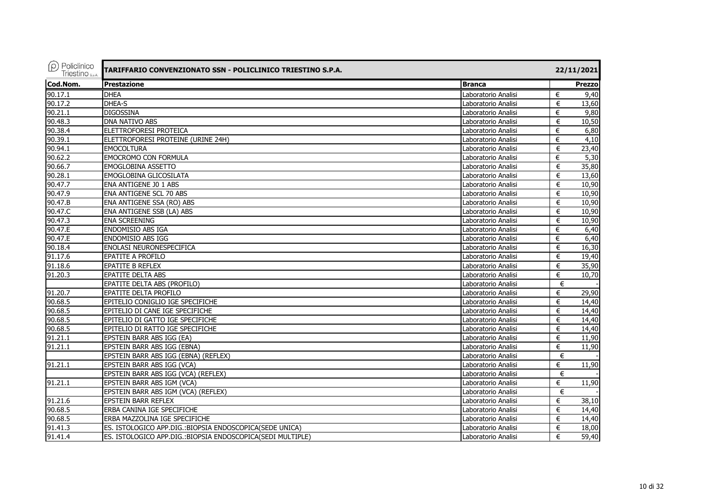| $(\rho)$ Policlinico<br><b>Triestino</b> S.D.A. | TARIFFARIO CONVENZIONATO SSN - POLICLINICO TRIESTINO S.P.A. |                     |   | 22/11/2021 |  |  |
|-------------------------------------------------|-------------------------------------------------------------|---------------------|---|------------|--|--|
| Cod.Nom.                                        | <b>Prestazione</b>                                          | <b>Branca</b>       |   | Prezzo     |  |  |
| 90.17.1                                         | <b>DHEA</b>                                                 | Laboratorio Analisi | € | 9,40       |  |  |
| 90.17.2                                         | DHEA-S                                                      | Laboratorio Analisi | € | 13,60      |  |  |
| 90.21.1                                         | <b>DIGOSSINA</b>                                            | Laboratorio Analisi | € | 9,80       |  |  |
| 90.48.3                                         | DNA NATIVO ABS                                              | Laboratorio Analisi | € | 10,50      |  |  |
| 90.38.4                                         | ELETTROFORESI PROTEICA                                      | Laboratorio Analisi | € | 6,80       |  |  |
| 90.39.1                                         | ELETTROFORESI PROTEINE (URINE 24H)                          | Laboratorio Analisi | € | 4,10       |  |  |
| 90.94.1                                         | <b>EMOCOLTURA</b>                                           | Laboratorio Analisi | € | 23,40      |  |  |
| 90.62.2                                         | <b>EMOCROMO CON FORMULA</b>                                 | Laboratorio Analisi | € | 5,30       |  |  |
| 90.66.7                                         | EMOGLOBINA ASSETTO                                          | Laboratorio Analisi | € | 35,80      |  |  |
| 90.28.1                                         | EMOGLOBINA GLICOSILATA                                      | Laboratorio Analisi | € | 13,60      |  |  |
| 90.47.7                                         | ENA ANTIGENE J0 1 ABS                                       | Laboratorio Analisi | € | 10,90      |  |  |
| 90.47.9                                         | ENA ANTIGENE SCL 70 ABS                                     | Laboratorio Analisi | € | 10,90      |  |  |
| 90.47.B                                         | ENA ANTIGENE SSA (RO) ABS                                   | Laboratorio Analisi | € | 10,90      |  |  |
| 90.47.C                                         | ENA ANTIGENE SSB (LA) ABS                                   | Laboratorio Analisi | € | 10,90      |  |  |
| 90.47.3                                         | <b>ENA SCREENING</b>                                        | Laboratorio Analisi | € | 10,90      |  |  |
| $90.47 \cdot E$                                 | <b>ENDOMISIO ABS IGA</b>                                    | Laboratorio Analisi | € | 6,40       |  |  |
| 90.47.E                                         | <b>ENDOMISIO ABS IGG</b>                                    | Laboratorio Analisi | € | 6,40       |  |  |
| 90.18.4                                         | ENOLASI NEURONESPECIFICA                                    | Laboratorio Analisi | € | 16,30      |  |  |
| 91.17.6                                         | <b>EPATITE A PROFILO</b>                                    | Laboratorio Analisi | € | 19,40      |  |  |
| 91.18.6                                         | <b>EPATITE B REFLEX</b>                                     | Laboratorio Analisi | € | 35,90      |  |  |
| 91.20.3                                         | <b>EPATITE DELTA ABS</b>                                    | Laboratorio Analisi | € | 10,70      |  |  |
|                                                 | EPATITE DELTA ABS (PROFILO)                                 | Laboratorio Analisi | € |            |  |  |
| 91.20.7                                         | EPATITE DELTA PROFILO                                       | Laboratorio Analisi | € | 29,90      |  |  |
| 90.68.5                                         | EPITELIO CONIGLIO IGE SPECIFICHE                            | Laboratorio Analisi | € | 14,40      |  |  |
| 90.68.5                                         | EPITELIO DI CANE IGE SPECIFICHE                             | Laboratorio Analisi | € | 14,40      |  |  |
| 90.68.5                                         | EPITELIO DI GATTO IGE SPECIFICHE                            | Laboratorio Analisi | € | 14,40      |  |  |
| 90.68.5                                         | EPITELIO DI RATTO IGE SPECIFICHE                            | Laboratorio Analisi | € | 14,40      |  |  |
| 91.21.1                                         | EPSTEIN BARR ABS IGG (EA)                                   | Laboratorio Analisi | € | 11,90      |  |  |
| 91.21.1                                         | EPSTEIN BARR ABS IGG (EBNA)                                 | Laboratorio Analisi | € | 11,90      |  |  |
|                                                 | EPSTEIN BARR ABS IGG (EBNA) (REFLEX)                        | Laboratorio Analisi | € |            |  |  |
| 91.21.1                                         | EPSTEIN BARR ABS IGG (VCA)                                  | Laboratorio Analisi | € | 11,90      |  |  |
|                                                 | EPSTEIN BARR ABS IGG (VCA) (REFLEX)                         | Laboratorio Analisi | € |            |  |  |
| 91.21.1                                         | EPSTEIN BARR ABS IGM (VCA)                                  | Laboratorio Analisi | € | 11,90      |  |  |
|                                                 | EPSTEIN BARR ABS IGM (VCA) (REFLEX)                         | Laboratorio Analisi | € |            |  |  |
| 91.21.6                                         | <b>EPSTEIN BARR REFLEX</b>                                  | Laboratorio Analisi | € | 38,10      |  |  |
| 90.68.5                                         | ERBA CANINA IGE SPECIFICHE                                  | Laboratorio Analisi | € | 14,40      |  |  |
| 90.68.5                                         | ERBA MAZZOLINA IGE SPECIFICHE                               | Laboratorio Analisi | € | 14,40      |  |  |
| 91.41.3                                         | ES. ISTOLOGICO APP.DIG.: BIOPSIA ENDOSCOPICA(SEDE UNICA)    | Laboratorio Analisi | € | 18,00      |  |  |
| 91.41.4                                         | ES. ISTOLOGICO APP.DIG.: BIOPSIA ENDOSCOPICA(SEDI MULTIPLE) | Laboratorio Analisi | € | 59,40      |  |  |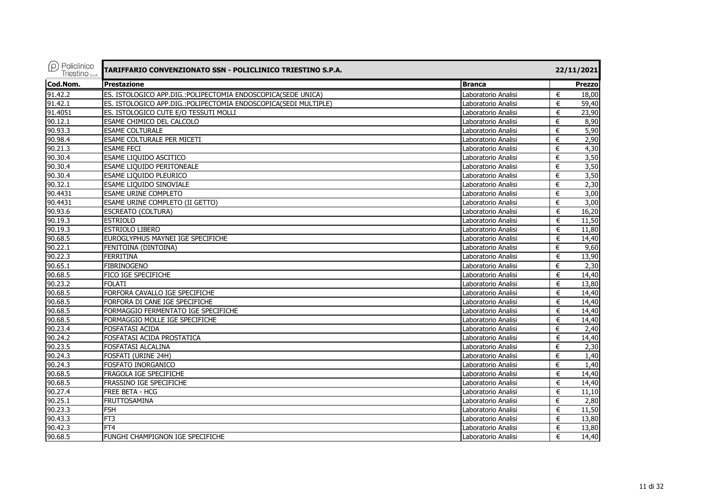| $\rho$ Policlinico<br>Triestino <sub>sp.A.</sub> | TARIFFARIO CONVENZIONATO SSN - POLICLINICO TRIESTINO S.P.A.      |                     | 22/11/2021 |
|--------------------------------------------------|------------------------------------------------------------------|---------------------|------------|
| Cod.Nom.                                         | <b>Prestazione</b>                                               | <b>Branca</b>       | Prezzo     |
| 91.42.2                                          | ES. ISTOLOGICO APP.DIG.: POLIPECTOMIA ENDOSCOPICA (SEDE UNICA)   | Laboratorio Analisi | €<br>18,00 |
| 91.42.1                                          | ES. ISTOLOGICO APP.DIG.: POLIPECTOMIA ENDOSCOPICA(SEDI MULTIPLE) | Laboratorio Analisi | €<br>59,40 |
| 91.4051                                          | ES. ISTOLOGICO CUTE E/O TESSUTI MOLLI                            | Laboratorio Analisi | 23,90<br>€ |
| 90.12.1                                          | ESAME CHIMICO DEL CALCOLO                                        | Laboratorio Analisi | €<br>8,90  |
| 90.93.3                                          | <b>ESAME COLTURALE</b>                                           | Laboratorio Analisi | 5,90<br>€  |
| 90.98.4                                          | ESAME COLTURALE PER MICETI                                       | Laboratorio Analisi | €<br>2,90  |
| 90.21.3                                          | <b>ESAME FECI</b>                                                | Laboratorio Analisi | €<br>4,30  |
| 90.30.4                                          | ESAME LIQUIDO ASCITICO                                           | Laboratorio Analisi | 3,50<br>€  |
| 90.30.4                                          | ESAME LIQUIDO PERITONEALE                                        | Laboratorio Analisi | 3,50<br>€  |
| 90.30.4                                          | ESAME LIQUIDO PLEURICO                                           | Laboratorio Analisi | 3,50<br>€  |
| 90.32.1                                          | ESAME LIQUIDO SINOVIALE                                          | Laboratorio Analisi | 2,30<br>€  |
| 90.4431                                          | ESAME URINE COMPLETO                                             | Laboratorio Analisi | 3,00<br>€  |
| 90.4431                                          | ESAME URINE COMPLETO (II GETTO)                                  | Laboratorio Analisi | 3,00<br>€  |
| 90.93.6                                          | <b>ESCREATO (COLTURA)</b>                                        | Laboratorio Analisi | 16,20<br>€ |
| 90.19.3                                          | <b>ESTRIOLO</b>                                                  | Laboratorio Analisi | 11,50<br>€ |
| 90.19.3                                          | ESTRIOLO LIBERO                                                  | Laboratorio Analisi | 11,80<br>€ |
| 90.68.5                                          | EUROGLYPHUS MAYNEI IGE SPECIFICHE                                | Laboratorio Analisi | 14,40<br>€ |
| 90.22.1                                          | FENITOINA (DINTOINA)                                             | Laboratorio Analisi | €<br>9,60  |
| 90.22.3                                          | <b>FERRITINA</b>                                                 | Laboratorio Analisi | 13,90<br>€ |
| 90.65.1                                          | <b>FIBRINOGENO</b>                                               | Laboratorio Analisi | 2,30<br>€  |
| 90.68.5                                          | FICO IGE SPECIFICHE                                              | Laboratorio Analisi | 14,40<br>€ |
| 90.23.2                                          | <b>FOLATI</b>                                                    | Laboratorio Analisi | 13,80<br>€ |
| 90.68.5                                          | FORFORA CAVALLO IGE SPECIFICHE                                   | Laboratorio Analisi | €<br>14,40 |
| 90.68.5                                          | FORFORA DI CANE IGE SPECIFICHE                                   | Laboratorio Analisi | €<br>14,40 |
| 90.68.5                                          | FORMAGGIO FERMENTATO IGE SPECIFICHE                              | Laboratorio Analisi | 14,40<br>€ |
| 90.68.5                                          | FORMAGGIO MOLLE IGE SPECIFICHE                                   | Laboratorio Analisi | 14,40<br>€ |
| 90.23.4                                          | <b>FOSFATASI ACIDA</b>                                           | Laboratorio Analisi | €<br>2,40  |
| 90.24.2                                          | FOSFATASI ACIDA PROSTATICA                                       | Laboratorio Analisi | 14,40<br>€ |
| 90.23.5                                          | FOSFATASI ALCALINA                                               | Laboratorio Analisi | 2,30<br>€  |
| 90.24.3                                          | FOSFATI (URINE 24H)                                              | Laboratorio Analisi | 1,40<br>€  |
| 90.24.3                                          | <b>FOSFATO INORGANICO</b>                                        | Laboratorio Analisi | €<br>1,40  |
| 90.68.5                                          | FRAGOLA IGE SPECIFICHE                                           | Laboratorio Analisi | €<br>14,40 |
| 90.68.5                                          | FRASSINO IGE SPECIFICHE                                          | Laboratorio Analisi | €<br>14,40 |
| 90.27.4                                          | FREE BETA - HCG                                                  | Laboratorio Analisi | €<br>11,10 |
| 90.25.1                                          | <b>FRUTTOSAMINA</b>                                              | Laboratorio Analisi | €<br>2,80  |
| 90.23.3                                          | <b>FSH</b>                                                       | Laboratorio Analisi | €<br>11.50 |
| 90.43.3                                          | FT <sub>3</sub>                                                  | Laboratorio Analisi | 13,80<br>€ |
| 90.42.3                                          | FT4                                                              | Laboratorio Analisi | 13,80<br>€ |
| 90.68.5                                          | FUNGHI CHAMPIGNON IGE SPECIFICHE                                 | Laboratorio Analisi | €<br>14,40 |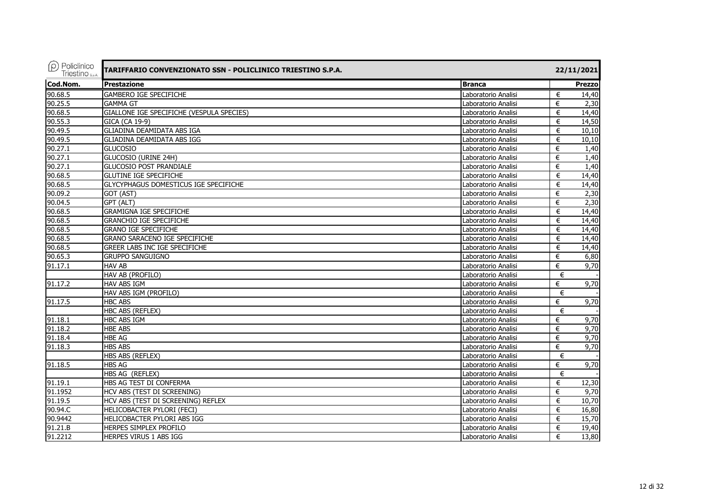| $(\rho)$ Policlinico<br>Triestino <sub>sp.A.</sub> | TARIFFARIO CONVENZIONATO SSN - POLICLINICO TRIESTINO S.P.A. |                     |   | 22/11/2021 |
|----------------------------------------------------|-------------------------------------------------------------|---------------------|---|------------|
| Cod.Nom.                                           | <b>Prestazione</b>                                          | <b>Branca</b>       |   | Prezzo     |
| 90.68.5                                            | <b>GAMBERO IGE SPECIFICHE</b>                               | Laboratorio Analisi | € | 14,40      |
| 90.25.5                                            | <b>GAMMA GT</b>                                             | Laboratorio Analisi | € | 2,30       |
| 90.68.5                                            | GIALLONE IGE SPECIFICHE (VESPULA SPECIES)                   | Laboratorio Analisi | € | 14,40      |
| 90.55.3                                            | GICA (CA 19-9)                                              | Laboratorio Analisi | € | 14,50      |
| 90.49.5                                            | GLIADINA DEAMIDATA ABS IGA                                  | Laboratorio Analisi | € | 10,10      |
| 90.49.5                                            | <b>GLIADINA DEAMIDATA ABS IGG</b>                           | Laboratorio Analisi | € | 10,10      |
| 90.27.1                                            | <b>GLUCOSIO</b>                                             | Laboratorio Analisi | € | 1,40       |
| 90.27.1                                            | GLUCOSIO (URINE 24H)                                        | Laboratorio Analisi | € | 1,40       |
| 90.27.1                                            | <b>GLUCOSIO POST PRANDIALE</b>                              | Laboratorio Analisi | € | 1,40       |
| 90.68.5                                            | <b>GLUTINE IGE SPECIFICHE</b>                               | Laboratorio Analisi | € | 14,40      |
| 90.68.5                                            | GLYCYPHAGUS DOMESTICUS IGE SPECIFICHE                       | Laboratorio Analisi | € | 14,40      |
| 90.09.2                                            | GOT (AST)                                                   | Laboratorio Analisi | € | 2,30       |
| 90.04.5                                            | GPT (ALT)                                                   | Laboratorio Analisi | € | 2,30       |
| 90.68.5                                            | <b>GRAMIGNA IGE SPECIFICHE</b>                              | Laboratorio Analisi | € | 14,40      |
| 90.68.5                                            | <b>GRANCHIO IGE SPECIFICHE</b>                              | Laboratorio Analisi | € | 14,40      |
| 90.68.5                                            | <b>GRANO IGE SPECIFICHE</b>                                 | Laboratorio Analisi | € | 14,40      |
| 90.68.5                                            | GRANO SARACENO IGE SPECIFICHE                               | Laboratorio Analisi | € | 14,40      |
| 90.68.5                                            | <b>GREER LABS INC IGE SPECIFICHE</b>                        | Laboratorio Analisi | € | 14,40      |
| 90.65.3                                            | <b>GRUPPO SANGUIGNO</b>                                     | Laboratorio Analisi | € | 6,80       |
| 91.17.1                                            | <b>HAV AB</b>                                               | Laboratorio Analisi | € | 9,70       |
|                                                    | HAV AB (PROFILO)                                            | Laboratorio Analisi | € |            |
| 91.17.2                                            | HAV ABS IGM                                                 | Laboratorio Analisi | € | 9,70       |
|                                                    | HAV ABS IGM (PROFILO)                                       | Laboratorio Analisi | € |            |
| 91.17.5                                            | <b>HBC ABS</b>                                              | Laboratorio Analisi | € | 9,70       |
|                                                    | HBC ABS (REFLEX)                                            | Laboratorio Analisi | € |            |
| 91.18.1                                            | <b>HBC ABS IGM</b>                                          | Laboratorio Analisi | € | 9,70       |
| 91.18.2                                            | <b>HBE ABS</b>                                              | Laboratorio Analisi | € | 9,70       |
| 91.18.4                                            | <b>HBE AG</b>                                               | Laboratorio Analisi | € | 9.70       |
| 91.18.3                                            | <b>HBS ABS</b>                                              | Laboratorio Analisi | € | 9,70       |
|                                                    | HBS ABS (REFLEX)                                            | Laboratorio Analisi | € |            |
| 91.18.5                                            | <b>HBS AG</b>                                               | Laboratorio Analisi | € | 9,70       |
|                                                    | HBS AG (REFLEX)                                             | Laboratorio Analisi | € |            |
| 91.19.1                                            | HBS AG TEST DI CONFERMA                                     | Laboratorio Analisi | € | 12,30      |
| 91.1952                                            | HCV ABS (TEST DI SCREENING)                                 | Laboratorio Analisi | € | 9.70       |
| 91.19.5                                            | HCV ABS (TEST DI SCREENING) REFLEX                          | Laboratorio Analisi | € | 10,70      |
| 90.94.C                                            | HELICOBACTER PYLORI (FECI)                                  | Laboratorio Analisi | € | 16.80      |
| 90.9442                                            | HELICOBACTER PYLORI ABS IGG                                 | Laboratorio Analisi | € | 15,70      |
| 91.21.B                                            | HERPES SIMPLEX PROFILO                                      | Laboratorio Analisi | € | 19,40      |
| 91.2212                                            | HERPES VIRUS 1 ABS IGG                                      | Laboratorio Analisi | € | 13,80      |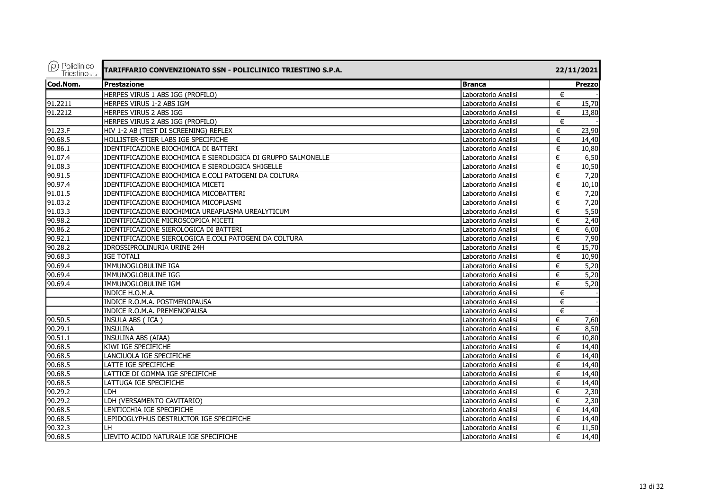| $(\rho)$ Policlinico<br>Triestino <sub>s.p.A.</sub> | TARIFFARIO CONVENZIONATO SSN - POLICLINICO TRIESTINO S.P.A.   |                     | 22/11/2021             |
|-----------------------------------------------------|---------------------------------------------------------------|---------------------|------------------------|
| Cod.Nom.                                            | Prestazione                                                   | <b>Branca</b>       | <b>Prezzo</b>          |
|                                                     | HERPES VIRUS 1 ABS IGG (PROFILO)                              | Laboratorio Analisi | €                      |
| 91.2211                                             | HERPES VIRUS 1-2 ABS IGM                                      | Laboratorio Analisi | €<br>15,70             |
| 91.2212                                             | HERPES VIRUS 2 ABS IGG                                        | Laboratorio Analisi | 13,80<br>€             |
|                                                     | HERPES VIRUS 2 ABS IGG (PROFILO)                              | Laboratorio Analisi | €                      |
| 91.23.F                                             | HIV 1-2 AB (TEST DI SCREENING) REFLEX                         | Laboratorio Analisi | 23,90<br>€             |
| 90.68.5                                             | HOLLISTER-STIER LABS IGE SPECIFICHE                           | Laboratorio Analisi | €<br>14,40             |
| 90.86.1                                             | IDENTIFICAZIONE BIOCHIMICA DI BATTERI                         | Laboratorio Analisi | €<br>10,80             |
| 91.07.4                                             | IDENTIFICAZIONE BIOCHIMICA E SIEROLOGICA DI GRUPPO SALMONELLE | Laboratorio Analisi | 6,50<br>€              |
| 91.08.3                                             | IDENTIFICAZIONE BIOCHIMICA E SIEROLOGICA SHIGELLE             | Laboratorio Analisi | 10,50<br>€             |
| 90.91.5                                             | IDENTIFICAZIONE BIOCHIMICA E.COLI PATOGENI DA COLTURA         | Laboratorio Analisi | €<br>7,20              |
| 90.97.4                                             | IDENTIFICAZIONE BIOCHIMICA MICETI                             | Laboratorio Analisi | 10,10<br>€             |
| 91.01.5                                             | IDENTIFICAZIONE BIOCHIMICA MICOBATTERI                        | Laboratorio Analisi | 7,20<br>€              |
| 91.03.2                                             | IDENTIFICAZIONE BIOCHIMICA MICOPLASMI                         | Laboratorio Analisi | €<br>7,20              |
| 91.03.3                                             | IDENTIFICAZIONE BIOCHIMICA UREAPLASMA UREALYTICUM             | Laboratorio Analisi | 5,50<br>€              |
| 90.98.2                                             | IDENTIFICAZIONE MICROSCOPICA MICETI                           | Laboratorio Analisi | 2,40<br>€              |
| 90.86.2                                             | IDENTIFICAZIONE SIEROLOGICA DI BATTERI                        | Laboratorio Analisi | 6,00<br>€              |
| 90.92.1                                             | IDENTIFICAZIONE SIEROLOGICA E.COLI PATOGENI DA COLTURA        | Laboratorio Analisi | 7,90<br>€              |
| 90.28.2                                             | IDROSSIPROLINURIA URINE 24H                                   | Laboratorio Analisi | 15,70<br>€             |
| 90.68.3                                             | <b>IGE TOTALI</b>                                             | Laboratorio Analisi | 10,90<br>€             |
| 90.69.4                                             | <b>IMMUNOGLOBULINE IGA</b>                                    | Laboratorio Analisi | $\overline{5,20}$<br>€ |
| 90.69.4                                             | IMMUNOGLOBULINE IGG                                           | Laboratorio Analisi | 5,20<br>€              |
| 90.69.4                                             | IMMUNOGLOBULINE IGM                                           | Laboratorio Analisi | $\overline{5,20}$<br>€ |
|                                                     | INDICE H.O.M.A.                                               | Laboratorio Analisi | €                      |
|                                                     | INDICE R.O.M.A. POSTMENOPAUSA                                 | Laboratorio Analisi | €                      |
|                                                     | INDICE R.O.M.A. PREMENOPAUSA                                  | Laboratorio Analisi | €                      |
| 90.50.5                                             | INSULA ABS (ICA)                                              | Laboratorio Analisi | €<br>7,60              |
| 90.29.1                                             | <b>INSULINA</b>                                               | Laboratorio Analisi | €<br>8,50              |
| 90.51.1                                             | <b>INSULINA ABS (AIAA)</b>                                    | Laboratorio Analisi | 10,80<br>€             |
| 90.68.5                                             | KIWI IGE SPECIFICHE                                           | Laboratorio Analisi | 14,40<br>€             |
| 90.68.5                                             | LANCIUOLA IGE SPECIFICHE                                      | Laboratorio Analisi | 14,40<br>€             |
| 90.68.5                                             | LATTE IGE SPECIFICHE                                          | Laboratorio Analisi | €<br>14,40             |
| 90.68.5                                             | LATTICE DI GOMMA IGE SPECIFICHE                               | Laboratorio Analisi | €<br>14,40             |
| 90.68.5                                             | LATTUGA IGE SPECIFICHE                                        | Laboratorio Analisi | 14,40<br>€             |
| 90.29.2                                             | LDH                                                           | Laboratorio Analisi | €<br>2,30              |
| 90.29.2                                             | LDH (VERSAMENTO CAVITARIO)                                    | Laboratorio Analisi | €<br>2,30              |
| 90.68.5                                             | LENTICCHIA IGE SPECIFICHE                                     | Laboratorio Analisi | €<br>14,40             |
| 90.68.5                                             | LEPIDOGLYPHUS DESTRUCTOR IGE SPECIFICHE                       | Laboratorio Analisi | €<br>14,40             |
| 90.32.3                                             | LH                                                            | Laboratorio Analisi | 11,50<br>€             |
| 90.68.5                                             | LIEVITO ACIDO NATURALE IGE SPECIFICHE                         | Laboratorio Analisi | €<br>14,40             |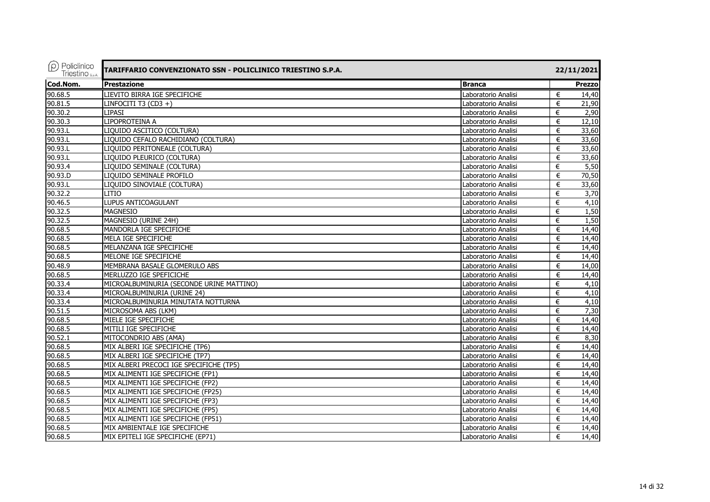| $(\rho)$ Policlinico<br><b>Triestino</b> S.D.A. | TARIFFARIO CONVENZIONATO SSN - POLICLINICO TRIESTINO S.P.A. |                     |   | 22/11/2021 |
|-------------------------------------------------|-------------------------------------------------------------|---------------------|---|------------|
| Cod.Nom.                                        | <b>Prestazione</b>                                          | <b>Branca</b>       |   | Prezzo     |
| 90.68.5                                         | LIEVITO BIRRA IGE SPECIFICHE                                | Laboratorio Analisi | € | 14,40      |
| 90.81.5                                         | LINFOCITI T3 $(CD3 + )$                                     | Laboratorio Analisi | € | 21,90      |
| 90.30.2                                         | <b>LIPASI</b>                                               | Laboratorio Analisi | € | 2,90       |
| 90.30.3                                         | LIPOPROTEINA A                                              | Laboratorio Analisi | € | 12,10      |
| 90.93.L                                         | LIQUIDO ASCITICO (COLTURA)                                  | Laboratorio Analisi | € | 33,60      |
| 90.93.L                                         | LIQUIDO CEFALO RACHIDIANO (COLTURA)                         | Laboratorio Analisi | € | 33,60      |
| 90.93.L                                         | LIQUIDO PERITONEALE (COLTURA)                               | Laboratorio Analisi | € | 33,60      |
| 90.93.L                                         | LIQUIDO PLEURICO (COLTURA)                                  | Laboratorio Analisi | € | 33,60      |
| 90.93.4                                         | LIQUIDO SEMINALE (COLTURA)                                  | Laboratorio Analisi | € | 5,50       |
| 90.93.D                                         | LIQUIDO SEMINALE PROFILO                                    | Laboratorio Analisi | € | 70,50      |
| 90.93.L                                         | LIQUIDO SINOVIALE (COLTURA)                                 | Laboratorio Analisi | € | 33,60      |
| 90.32.2                                         | <b>LITIO</b>                                                | Laboratorio Analisi | € | 3,70       |
| 90.46.5                                         | LUPUS ANTICOAGULANT                                         | Laboratorio Analisi | € | 4,10       |
| 90.32.5                                         | <b>MAGNESIO</b>                                             | Laboratorio Analisi | € | 1,50       |
| 90.32.5                                         | MAGNESIO (URINE 24H)                                        | Laboratorio Analisi | € | 1,50       |
| 90.68.5                                         | MANDORLA IGE SPECIFICHE                                     | Laboratorio Analisi | € | 14,40      |
| 90.68.5                                         | MELA IGE SPECIFICHE                                         | Laboratorio Analisi | € | 14,40      |
| 90.68.5                                         | MELANZANA IGE SPECIFICHE                                    | Laboratorio Analisi | € | 14,40      |
| 90.68.5                                         | MELONE IGE SPECIFICHE                                       | Laboratorio Analisi | € | 14,40      |
| 90.48.9                                         | MEMBRANA BASALE GLOMERULO ABS                               | Laboratorio Analisi | € | 14.00      |
| 90.68.5                                         | MERLUZZO IGE SPEFICICHE                                     | Laboratorio Analisi | € | 14,40      |
| 90.33.4                                         | MICROALBUMINURIA (SECONDE URINE MATTINO)                    | Laboratorio Analisi | € | 4,10       |
| $90.33.\overline{4}$                            | MICROALBUMINURIA (URINE 24)                                 | Laboratorio Analisi | € | 4,10       |
| 90.33.4                                         | MICROALBUMINURIA MINUTATA NOTTURNA                          | Laboratorio Analisi | € | 4,10       |
| 90.51.5                                         | MICROSOMA ABS (LKM)                                         | Laboratorio Analisi | € | 7,30       |
| 90.68.5                                         | MIELE IGE SPECIFICHE                                        | Laboratorio Analisi | € | 14,40      |
| 90.68.5                                         | MITILI IGE SPECIFICHE                                       | Laboratorio Analisi | € | 14,40      |
| 90.52.1                                         | MITOCONDRIO ABS (AMA)                                       | Laboratorio Analisi | € | 8,30       |
| 90.68.5                                         | MIX ALBERI IGE SPECIFICHE (TP6)                             | Laboratorio Analisi | € | 14,40      |
| 90.68.5                                         | MIX ALBERI IGE SPECIFICHE (TP7)                             | Laboratorio Analisi | € | 14,40      |
| 90.68.5                                         | MIX ALBERI PRECOCI IGE SPECIFICHE (TP5)                     | Laboratorio Analisi | € | 14,40      |
| 90.68.5                                         | MIX ALIMENTI IGE SPECIFICHE (FP1)                           | Laboratorio Analisi | € | 14,40      |
| 90.68.5                                         | MIX ALIMENTI IGE SPECIFICHE (FP2)                           | Laboratorio Analisi | € | 14,40      |
| 90.68.5                                         | MIX ALIMENTI IGE SPECIFICHE (FP25)                          | Laboratorio Analisi | € | 14,40      |
| 90.68.5                                         | MIX ALIMENTI IGE SPECIFICHE (FP3)                           | Laboratorio Analisi | € | 14,40      |
| 90.68.5                                         | MIX ALIMENTI IGE SPECIFICHE (FP5)                           | Laboratorio Analisi | € | 14,40      |
| 90.68.5                                         | MIX ALIMENTI IGE SPECIFICHE (FP51)                          | Laboratorio Analisi | € | 14,40      |
| 90.68.5                                         | MIX AMBIENTALE IGE SPECIFICHE                               | Laboratorio Analisi | € | 14,40      |
| 90.68.5                                         | MIX EPITELI IGE SPECIFICHE (EP71)                           | Laboratorio Analisi | € | 14,40      |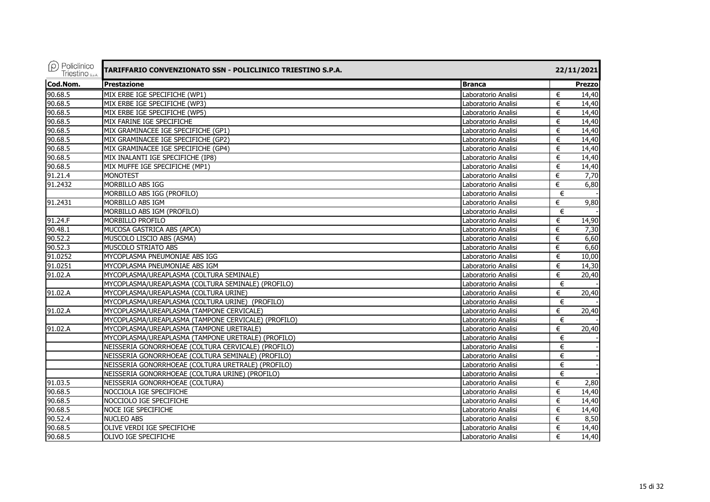| $(\rho)$ Policlinico<br>Triestino <sub>sp.A.</sub> | TARIFFARIO CONVENZIONATO SSN - POLICLINICO TRIESTINO S.P.A. |                     |   | 22/11/2021    |
|----------------------------------------------------|-------------------------------------------------------------|---------------------|---|---------------|
| Cod.Nom.                                           | <b>Prestazione</b>                                          | <b>Branca</b>       |   | <b>Prezzo</b> |
| 90.68.5                                            | MIX ERBE IGE SPECIFICHE (WP1)                               | Laboratorio Analisi | € | 14,40         |
| 90.68.5                                            | MIX ERBE IGE SPECIFICHE (WP3)                               | Laboratorio Analisi | € | 14,40         |
| 90.68.5                                            | MIX ERBE IGE SPECIFICHE (WP5)                               | Laboratorio Analisi | € | 14,40         |
| 90.68.5                                            | MIX FARINE IGE SPECIFICHE                                   | Laboratorio Analisi | € | 14,40         |
| 90.68.5                                            | MIX GRAMINACEE IGE SPECIFICHE (GP1)                         | Laboratorio Analisi | € | 14,40         |
| 90.68.5                                            | MIX GRAMINACEE IGE SPECIFICHE (GP2)                         | Laboratorio Analisi | € | 14,40         |
| 90.68.5                                            | MIX GRAMINACEE IGE SPECIFICHE (GP4)                         | Laboratorio Analisi | € | 14,40         |
| 90.68.5                                            | MIX INALANTI IGE SPECIFICHE (IP8)                           | Laboratorio Analisi | € | 14,40         |
| 90.68.5                                            | MIX MUFFE IGE SPECIFICHE (MP1)                              | Laboratorio Analisi | € | 14,40         |
| 91.21.4                                            | <b>MONOTEST</b>                                             | Laboratorio Analisi | € | 7,70          |
| 91.2432                                            | MORBILLO ABS IGG                                            | Laboratorio Analisi | € | 6,80          |
|                                                    | MORBILLO ABS IGG (PROFILO)                                  | Laboratorio Analisi | € |               |
| 91.2431                                            | MORBILLO ABS IGM                                            | Laboratorio Analisi | € | 9,80          |
|                                                    | MORBILLO ABS IGM (PROFILO)                                  | Laboratorio Analisi | € |               |
| 91.24.F                                            | MORBILLO PROFILO                                            | Laboratorio Analisi | € | 14,90         |
| 90.48.1                                            | MUCOSA GASTRICA ABS (APCA)                                  | Laboratorio Analisi | € | 7,30          |
| 90.52.2                                            | MUSCOLO LISCIO ABS (ASMA)                                   | Laboratorio Analisi | € | 6,60          |
| 90.52.3                                            | MUSCOLO STRIATO ABS                                         | Laboratorio Analisi | € | 6,60          |
| 91.0252                                            | MYCOPLASMA PNEUMONIAE ABS IGG                               | Laboratorio Analisi | € | 10,00         |
| 91.0251                                            | MYCOPLASMA PNEUMONIAE ABS IGM                               | Laboratorio Analisi | € | 14,30         |
| 91.02.A                                            | MYCOPLASMA/UREAPLASMA (COLTURA SEMINALE)                    | Laboratorio Analisi | € | 20,40         |
|                                                    | MYCOPLASMA/UREAPLASMA (COLTURA SEMINALE) (PROFILO)          | Laboratorio Analisi | € |               |
| 91.02.A                                            | MYCOPLASMA/UREAPLASMA (COLTURA URINE)                       | Laboratorio Analisi | € | 20,40         |
|                                                    | MYCOPLASMA/UREAPLASMA (COLTURA URINE) (PROFILO)             | Laboratorio Analisi | € |               |
| 91.02.A                                            | MYCOPLASMA/UREAPLASMA (TAMPONE CERVICALE)                   | Laboratorio Analisi | € | 20,40         |
|                                                    | MYCOPLASMA/UREAPLASMA (TAMPONE CERVICALE) (PROFILO)         | Laboratorio Analisi | € |               |
| 91.02.A                                            | MYCOPLASMA/UREAPLASMA (TAMPONE URETRALE)                    | Laboratorio Analisi | € | 20,40         |
|                                                    | MYCOPLASMA/UREAPLASMA (TAMPONE URETRALE) (PROFILO)          | Laboratorio Analisi | € |               |
|                                                    | NEISSERIA GONORRHOEAE (COLTURA CERVICALE) (PROFILO)         | Laboratorio Analisi | € |               |
|                                                    | NEISSERIA GONORRHOEAE (COLTURA SEMINALE) (PROFILO)          | Laboratorio Analisi | € |               |
|                                                    | NEISSERIA GONORRHOEAE (COLTURA URETRALE) (PROFILO)          | Laboratorio Analisi | € |               |
|                                                    | NEISSERIA GONORRHOEAE (COLTURA URINE) (PROFILO)             | Laboratorio Analisi | € |               |
| 91.03.5                                            | NEISSERIA GONORRHOEAE (COLTURA)                             | Laboratorio Analisi | € | 2,80          |
| 90.68.5                                            | NOCCIOLA IGE SPECIFICHE                                     | Laboratorio Analisi | € | 14,40         |
| 90.68.5                                            | NOCCIOLO IGE SPECIFICHE                                     | Laboratorio Analisi | € | 14,40         |
| 90.68.5                                            | NOCE IGE SPECIFICHE                                         | Laboratorio Analisi | € | 14,40         |
| 90.52.4                                            | <b>NUCLEO ABS</b>                                           | Laboratorio Analisi | € | 8,50          |
| 90.68.5                                            | OLIVE VERDI IGE SPECIFICHE                                  | Laboratorio Analisi | € | 14,40         |
| 90.68.5                                            | <b>OLIVO IGE SPECIFICHE</b>                                 | Laboratorio Analisi | € | 14,40         |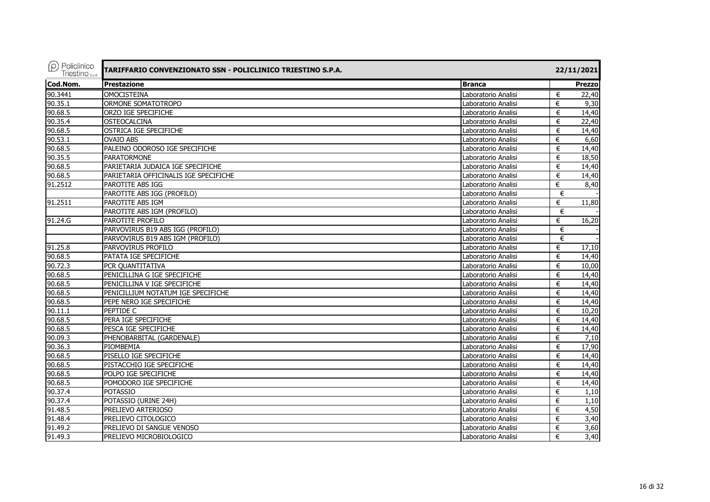| $(\rho)$ Policlinico<br><b>Triestino</b> S.D.A. | TARIFFARIO CONVENZIONATO SSN - POLICLINICO TRIESTINO S.P.A. |                     | 22/11/2021              |
|-------------------------------------------------|-------------------------------------------------------------|---------------------|-------------------------|
| Cod.Nom.                                        | Prestazione                                                 | <b>Branca</b>       | Prezzo                  |
| 90.3441                                         | <b>OMOCISTEINA</b>                                          | Laboratorio Analisi | €<br>22,40              |
| 90.35.1                                         | ORMONE SOMATOTROPO                                          | Laboratorio Analisi | €<br>9,30               |
| 90.68.5                                         | ORZO IGE SPECIFICHE                                         | Laboratorio Analisi | €<br>14,40              |
| 90.35.4                                         | <b>OSTEOCALCINA</b>                                         | Laboratorio Analisi | 22,40<br>€              |
| 90.68.5                                         | OSTRICA IGE SPECIFICHE                                      | Laboratorio Analisi | 14,40<br>€              |
| 90.53.1                                         | <b>OVAIO ABS</b>                                            | Laboratorio Analisi | 6,60<br>€               |
| 90.68.5                                         | PALEINO ODOROSO IGE SPECIFICHE                              | Laboratorio Analisi | 14,40<br>€              |
| 90.35.5                                         | <b>PARATORMONE</b>                                          | Laboratorio Analisi | 18,50<br>€              |
| 90.68.5                                         | PARIETARIA JUDAICA IGE SPECIFICHE                           | Laboratorio Analisi | 14,40<br>€              |
| 90.68.5                                         | PARIETARIA OFFICINALIS IGE SPECIFICHE                       | Laboratorio Analisi | 14,40<br>€              |
| 91.2512                                         | PAROTITE ABS IGG                                            | Laboratorio Analisi | 8,40<br>€               |
|                                                 | PAROTITE ABS IGG (PROFILO)                                  | Laboratorio Analisi | €                       |
| 91.2511                                         | PAROTITE ABS IGM                                            | Laboratorio Analisi | 11,80<br>€              |
|                                                 | PAROTITE ABS IGM (PROFILO)                                  | Laboratorio Analisi | €                       |
| 91.24.G                                         | PAROTITE PROFILO                                            | Laboratorio Analisi | 16,20<br>€              |
|                                                 | PARVOVIRUS B19 ABS IGG (PROFILO)                            | Laboratorio Analisi | €                       |
|                                                 | PARVOVIRUS B19 ABS IGM (PROFILO)                            | Laboratorio Analisi | €                       |
| 91.25.8                                         | PARVOVIRUS PROFILO                                          | Laboratorio Analisi | $\overline{17,10}$<br>€ |
| 90.68.5                                         | PATATA IGE SPECIFICHE                                       | Laboratorio Analisi | €<br>14,40              |
| 90.72.3                                         | PCR QUANTITATIVA                                            | Laboratorio Analisi | 10,00<br>€              |
| 90.68.5                                         | PENICILLINA G IGE SPECIFICHE                                | Laboratorio Analisi | €<br>14,40              |
| 90.68.5                                         | PENICILLINA V IGE SPECIFICHE                                | Laboratorio Analisi | €<br>14,40              |
| 90.68.5                                         | PENICILLIUM NOTATUM IGE SPECIFICHE                          | Laboratorio Analisi | €<br>14,40              |
| 90.68.5                                         | PEPE NERO IGE SPECIFICHE                                    | Laboratorio Analisi | €<br>14,40              |
| 90.11.1                                         | PEPTIDE C                                                   | Laboratorio Analisi | 10,20<br>€              |
| 90.68.5                                         | PERA IGE SPECIFICHE                                         | Laboratorio Analisi | €<br>14,40              |
| 90.68.5                                         | PESCA IGE SPECIFICHE                                        | Laboratorio Analisi | 14,40<br>€              |
| 90.09.3                                         | PHENOBARBITAL (GARDENALE)                                   | Laboratorio Analisi | 7,10<br>€               |
| 90.36.3                                         | PIOMBEMIA                                                   | Laboratorio Analisi | €<br>17,90              |
| 90.68.5                                         | PISELLO IGE SPECIFICHE                                      | Laboratorio Analisi | 14,40<br>€              |
| 90.68.5                                         | PISTACCHIO IGE SPECIFICHE                                   | Laboratorio Analisi | €<br>14,40              |
| 90.68.5                                         | POLPO IGE SPECIFICHE                                        | Laboratorio Analisi | 14,40<br>€              |
| 90.68.5                                         | POMODORO IGE SPECIFICHE                                     | Laboratorio Analisi | €<br>14,40              |
| 90.37.4                                         | <b>POTASSIO</b>                                             | Laboratorio Analisi | 1,10<br>€               |
| 90.37.4                                         | POTASSIO (URINE 24H)                                        | Laboratorio Analisi | €<br>1,10               |
| 91.48.5                                         | PRELIEVO ARTERIOSO                                          | Laboratorio Analisi | 4,50<br>€               |
| 91.48.4                                         | PRELIEVO CITOLOGICO                                         | Laboratorio Analisi | 3,40<br>€               |
| 91.49.2                                         | PRELIEVO DI SANGUE VENOSO                                   | Laboratorio Analisi | 3,60<br>€               |
| 91.49.3                                         | PRELIEVO MICROBIOLOGICO                                     | Laboratorio Analisi | 3,40<br>€               |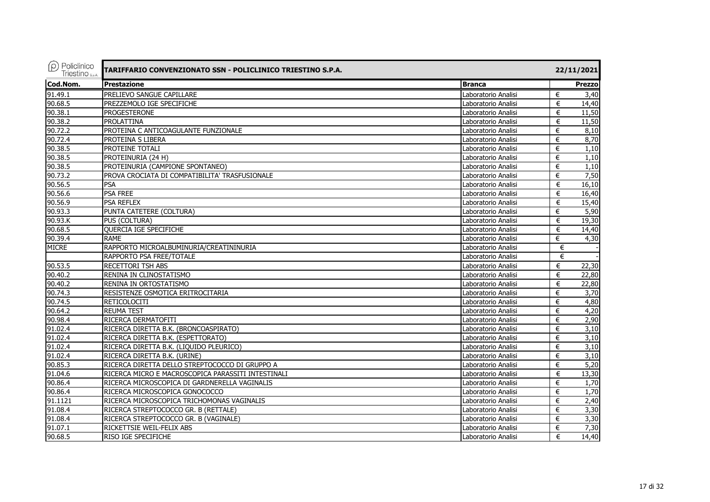| $(\rho)$ Policlinico<br><b>Triestino</b> S.D.A. | TARIFFARIO CONVENZIONATO SSN - POLICLINICO TRIESTINO S.P.A. |                     | 22/11/2021 |
|-------------------------------------------------|-------------------------------------------------------------|---------------------|------------|
| Cod.Nom.                                        | <b>Prestazione</b>                                          | <b>Branca</b>       | Prezzo     |
| 91.49.1                                         | PRELIEVO SANGUE CAPILLARE                                   | Laboratorio Analisi | €<br>3,40  |
| 90.68.5                                         | PREZZEMOLO IGE SPECIFICHE                                   | Laboratorio Analisi | €<br>14,40 |
| 90.38.1                                         | <b>PROGESTERONE</b>                                         | Laboratorio Analisi | 11,50<br>€ |
| 90.38.2                                         | PROLATTINA                                                  | Laboratorio Analisi | 11,50<br>€ |
| 90.72.2                                         | PROTEINA C ANTICOAGULANTE FUNZIONALE                        | Laboratorio Analisi | €<br>8,10  |
| 90.72.4                                         | PROTEINA S LIBERA                                           | Laboratorio Analisi | 8,70<br>€  |
| 90.38.5                                         | PROTEINE TOTALI                                             | Laboratorio Analisi | €<br>1,10  |
| 90.38.5                                         | PROTEINURIA (24 H)                                          | Laboratorio Analisi | 1,10<br>€  |
| 90.38.5                                         | PROTEINURIA (CAMPIONE SPONTANEO)                            | Laboratorio Analisi | €<br>1,10  |
| 90.73.2                                         | PROVA CROCIATA DI COMPATIBILITA' TRASFUSIONALE              | Laboratorio Analisi | €<br>7,50  |
| 90.56.5                                         | <b>PSA</b>                                                  | Laboratorio Analisi | €<br>16,10 |
| 90.56.6                                         | PSA FREE                                                    | Laboratorio Analisi | 16,40<br>€ |
| 90.56.9                                         | <b>PSA REFLEX</b>                                           | Laboratorio Analisi | 15,40<br>€ |
| 90.93.3                                         | PUNTA CATETERE (COLTURA)                                    | Laboratorio Analisi | 5,90<br>€  |
| 90.93.K                                         | PUS (COLTURA)                                               | Laboratorio Analisi | 19,30<br>€ |
| 90.68.5                                         | <b>QUERCIA IGE SPECIFICHE</b>                               | Laboratorio Analisi | 14,40<br>€ |
| 90.39.4                                         | <b>RAME</b>                                                 | Laboratorio Analisi | €<br>4,30  |
| <b>MICRE</b>                                    | RAPPORTO MICROALBUMINURIA/CREATININURIA                     | Laboratorio Analisi | €          |
|                                                 | RAPPORTO PSA FREE/TOTALE                                    | Laboratorio Analisi | €          |
| 90.53.5                                         | <b>RECETTORI TSH ABS</b>                                    | Laboratorio Analisi | 22,30<br>€ |
| 90.40.2                                         | RENINA IN CLINOSTATISMO                                     | Laboratorio Analisi | €<br>22,80 |
| 90.40.2                                         | RENINA IN ORTOSTATISMO                                      | Laboratorio Analisi | €<br>22,80 |
| 90.74.3                                         | RESISTENZE OSMOTICA ERITROCITARIA                           | Laboratorio Analisi | 3,70<br>€  |
| 90.74.5                                         | <b>RETICOLOCITI</b>                                         | Laboratorio Analisi | 4,80<br>€  |
| 90.64.2                                         | <b>REUMA TEST</b>                                           | Laboratorio Analisi | 4,20<br>€  |
| 90.98.4                                         | RICERCA DERMATOFITI                                         | Laboratorio Analisi | 2,90<br>€  |
| 91.02.4                                         | RICERCA DIRETTA B.K. (BRONCOASPIRATO)                       | Laboratorio Analisi | €<br>3,10  |
| 91.02.4                                         | RICERCA DIRETTA B.K. (ESPETTORATO)                          | Laboratorio Analisi | 3,10<br>€  |
| 91.02.4                                         | RICERCA DIRETTA B.K. (LIQUIDO PLEURICO)                     | Laboratorio Analisi | 3,10<br>€  |
| 91.02.4                                         | RICERCA DIRETTA B.K. (URINE)                                | Laboratorio Analisi | 3,10<br>€  |
| 90.85.3                                         | RICERCA DIRETTA DELLO STREPTOCOCCO DI GRUPPO A              | Laboratorio Analisi | 5,20<br>€  |
| 91.04.6                                         | RICERCA MICRO E MACROSCOPICA PARASSITI INTESTINALI          | Laboratorio Analisi | €<br>13,30 |
| 90.86.4                                         | RICERCA MICROSCOPICA DI GARDNERELLA VAGINALIS               | Laboratorio Analisi | 1,70<br>€  |
| 90.86.4                                         | RICERCA MICROSCOPICA GONOCOCCO                              | Laboratorio Analisi | €<br>1,70  |
| 91.1121                                         | RICERCA MICROSCOPICA TRICHOMONAS VAGINALIS                  | Laboratorio Analisi | 2,40<br>€  |
| 91.08.4                                         | RICERCA STREPTOCOCCO GR. B (RETTALE)                        | Laboratorio Analisi | €<br>3,30  |
| 91.08.4                                         | RICERCA STREPTOCOCCO GR. B (VAGINALE)                       | Laboratorio Analisi | 3,30<br>€  |
| 91.07.1                                         | RICKETTSIE WEIL-FELIX ABS                                   | Laboratorio Analisi | 7,30<br>€  |
| 90.68.5                                         | <b>RISO IGE SPECIFICHE</b>                                  | Laboratorio Analisi | €<br>14,40 |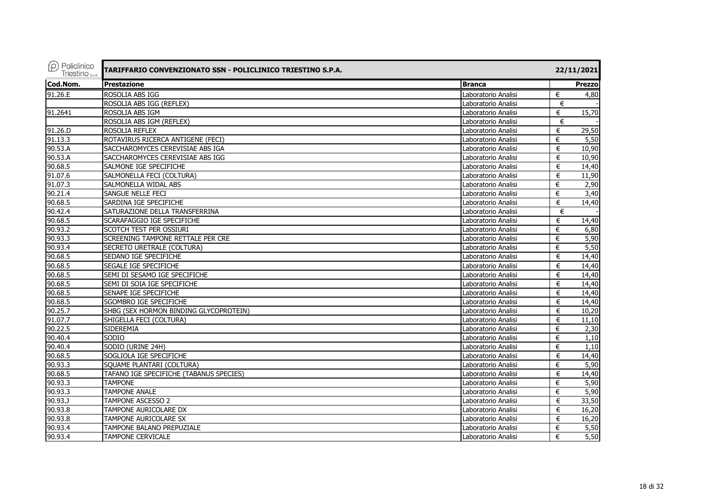| $(\rho)$ Policlinico<br>Triestino <sub>sp.A.</sub> | TARIFFARIO CONVENZIONATO SSN - POLICLINICO TRIESTINO S.P.A. |                     | 22/11/2021    |
|----------------------------------------------------|-------------------------------------------------------------|---------------------|---------------|
| Cod.Nom.                                           | <b>Prestazione</b>                                          | <b>Branca</b>       | <b>Prezzo</b> |
| 91.26.E                                            | ROSOLIA ABS IGG                                             | Laboratorio Analisi | €<br>4,80     |
|                                                    | ROSOLIA ABS IGG (REFLEX)                                    | Laboratorio Analisi | €             |
| 91.2641                                            | ROSOLIA ABS IGM                                             | Laboratorio Analisi | 15,70<br>€    |
|                                                    | ROSOLIA ABS IGM (REFLEX)                                    | Laboratorio Analisi | €             |
| 91.26.D                                            | ROSOLIA REFLEX                                              | Laboratorio Analisi | 29,50<br>€    |
| 91.13.3                                            | ROTAVIRUS RICERCA ANTIGENE (FECI)                           | Laboratorio Analisi | 5,50<br>€     |
| 90.53.A                                            | SACCHAROMYCES CEREVISIAE ABS IGA                            | Laboratorio Analisi | €<br>10,90    |
| 90.53.A                                            | SACCHAROMYCES CEREVISIAE ABS IGG                            | Laboratorio Analisi | 10,90<br>€    |
| 90.68.5                                            | SALMONE IGE SPECIFICHE                                      | Laboratorio Analisi | €<br>14,40    |
| 91.07.6                                            | SALMONELLA FECI (COLTURA)                                   | Laboratorio Analisi | 11,90<br>€    |
| 91.07.3                                            | SALMONELLA WIDAL ABS                                        | Laboratorio Analisi | €<br>2,90     |
| 90.21.4                                            | SANGUE NELLE FECI                                           | Laboratorio Analisi | 3,40<br>€     |
| 90.68.5                                            | SARDINA IGE SPECIFICHE                                      | Laboratorio Analisi | 14,40<br>€    |
| 90.42.4                                            | SATURAZIONE DELLA TRANSFERRINA                              | Laboratorio Analisi | €             |
| 90.68.5                                            | SCARAFAGGIO IGE SPECIFICHE                                  | Laboratorio Analisi | 14,40<br>€    |
| 90.93.2                                            | SCOTCH TEST PER OSSIURI                                     | Laboratorio Analisi | 6,80<br>€     |
| 90.93.3                                            | SCREENING TAMPONE RETTALE PER CRE                           | Laboratorio Analisi | 5,90<br>€     |
| 90.93.4                                            | SECRETO URETRALE (COLTURA)                                  | Laboratorio Analisi | 5,50<br>€     |
| 90.68.5                                            | SEDANO IGE SPECIFICHE                                       | Laboratorio Analisi | €<br>14,40    |
| 90.68.5                                            | SEGALE IGE SPECIFICHE                                       | Laboratorio Analisi | 14,40<br>€    |
| 90.68.5                                            | SEMI DI SESAMO IGE SPECIFICHE                               | Laboratorio Analisi | €<br>14,40    |
| 90.68.5                                            | SEMI DI SOIA IGE SPECIFICHE                                 | Laboratorio Analisi | 14,40<br>€    |
| 90.68.5                                            | SENAPE IGE SPECIFICHE                                       | Laboratorio Analisi | €<br>14,40    |
| 90.68.5                                            | <b>SGOMBRO IGE SPECIFICHE</b>                               | Laboratorio Analisi | €<br>14,40    |
| 90.25.7                                            | SHBG (SEX HORMON BINDING GLYCOPROTEIN)                      | Laboratorio Analisi | €<br>10,20    |
| 91.07.7                                            | SHIGELLA FECI (COLTURA)                                     | Laboratorio Analisi | 11,10<br>€    |
| 90.22.5                                            | <b>SIDEREMIA</b>                                            | Laboratorio Analisi | €<br>2,30     |
| 90.40.4                                            | <b>SODIO</b>                                                | Laboratorio Analisi | 1,10<br>€     |
| 90.40.4                                            | SODIO (URINE 24H)                                           | Laboratorio Analisi | €<br>1,10     |
| 90.68.5                                            | SOGLIOLA IGE SPECIFICHE                                     | Laboratorio Analisi | 14,40<br>€    |
| 90.93.3                                            | SOUAME PLANTARI (COLTURA)                                   | Laboratorio Analisi | 5,90<br>€     |
| 90.68.5                                            | TAFANO IGE SPECIFICHE (TABANUS SPECIES)                     | Laboratorio Analisi | €<br>14,40    |
| 90.93.3                                            | <b>TAMPONE</b>                                              | Laboratorio Analisi | 5,90<br>€     |
| 90.93.3                                            | <b>TAMPONE ANALE</b>                                        | Laboratorio Analisi | 5,90<br>€     |
| 90.93.J                                            | <b>TAMPONE ASCESSO 2</b>                                    | Laboratorio Analisi | €<br>33,50    |
| 90.93.8                                            | TAMPONE AURICOLARE DX                                       | Laboratorio Analisi | €<br>16,20    |
| 90.93.8                                            | TAMPONE AURICOLARE SX                                       | Laboratorio Analisi | 16,20<br>€    |
| 90.93.4                                            | TAMPONE BALANO PREPUZIALE                                   | Laboratorio Analisi | 5,50<br>€     |
| 90.93.4                                            | <b>TAMPONE CERVICALE</b>                                    | Laboratorio Analisi | 5,50<br>€     |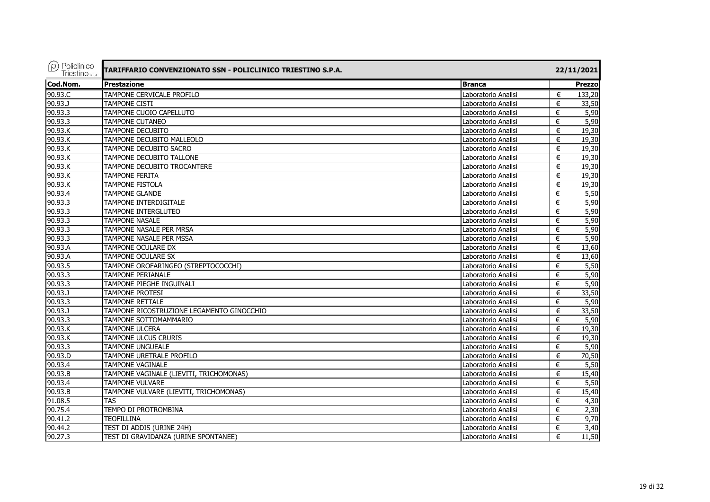| $(\rho)$ Policlinico<br>Triestino <sub>sp.A.</sub> | TARIFFARIO CONVENZIONATO SSN - POLICLINICO TRIESTINO S.P.A. |                     | 22/11/2021             |
|----------------------------------------------------|-------------------------------------------------------------|---------------------|------------------------|
| Cod.Nom.                                           | <b>Prestazione</b>                                          | <b>Branca</b>       | Prezzo                 |
| 90.93.C                                            | TAMPONE CERVICALE PROFILO                                   | Laboratorio Analisi | €<br>133,20            |
| 90.93.J                                            | <b>TAMPONE CISTI</b>                                        | Laboratorio Analisi | €<br>33,50             |
| 90.93.3                                            | TAMPONE CUOIO CAPELLUTO                                     | Laboratorio Analisi | €<br>5,90              |
| 90.93.3                                            | <b>TAMPONE CUTANEO</b>                                      | Laboratorio Analisi | 5,90<br>€              |
| 90.93.K                                            | TAMPONE DECUBITO                                            | Laboratorio Analisi | €<br>19,30             |
| 90.93.K                                            | TAMPONE DECUBITO MALLEOLO                                   | Laboratorio Analisi | €<br>19,30             |
| 90.93.K                                            | <b>TAMPONE DECUBITO SACRO</b>                               | Laboratorio Analisi | €<br>19,30             |
| 90.93.K                                            | <b>TAMPONE DECUBITO TALLONE</b>                             | Laboratorio Analisi | 19,30<br>€             |
| 90.93.K                                            | TAMPONE DECUBITO TROCANTERE                                 | Laboratorio Analisi | 19,30<br>€             |
| 90.93.K                                            | <b>TAMPONE FERITA</b>                                       | Laboratorio Analisi | 19,30<br>€             |
| 90.93.K                                            | <b>TAMPONE FISTOLA</b>                                      | Laboratorio Analisi | €<br>19,30             |
| 90.93.4                                            | <b>TAMPONE GLANDE</b>                                       | Laboratorio Analisi | 5,50<br>€              |
| 90.93.3                                            | TAMPONE INTERDIGITALE                                       | Laboratorio Analisi | 5,90<br>€              |
| 90.93.3                                            | TAMPONE INTERGLUTEO                                         | Laboratorio Analisi | 5,90<br>€              |
| 90.93.3                                            | <b>TAMPONE NASALE</b>                                       | Laboratorio Analisi | €<br>5,90              |
| 90.93.3                                            | TAMPONE NASALE PER MRSA                                     | Laboratorio Analisi | 5,90<br>€              |
| $90.93.\overline{3}$                               | TAMPONE NASALE PER MSSA                                     | Laboratorio Analisi | €<br>5,90              |
| 90.93.A                                            | TAMPONE OCULARE DX                                          | Laboratorio Analisi | 13,60<br>€             |
| 90.93.A                                            | TAMPONE OCULARE SX                                          | Laboratorio Analisi | €<br>13,60             |
| 90.93.5                                            | TAMPONE OROFARINGEO (STREPTOCOCCHI)                         | Laboratorio Analisi | $\overline{5,50}$<br>€ |
| 90.93.3                                            | <b>TAMPONE PERIANALE</b>                                    | Laboratorio Analisi | 5,90<br>€              |
| 90.93.3                                            | TAMPONE PIEGHE INGUINALI                                    | Laboratorio Analisi | 5,90<br>€              |
| 90.93.J                                            | <b>TAMPONE PROTESI</b>                                      | Laboratorio Analisi | 33,50<br>€             |
| 90.93.3                                            | <b>TAMPONE RETTALE</b>                                      | Laboratorio Analisi | 5,90<br>€              |
| 90.93.J                                            | TAMPONE RICOSTRUZIONE LEGAMENTO GINOCCHIO                   | Laboratorio Analisi | 33,50<br>€             |
| 90.93.3                                            | TAMPONE SOTTOMAMMARIO                                       | Laboratorio Analisi | 5,90<br>€              |
| 90.93.K                                            | <b>TAMPONE ULCERA</b>                                       | Laboratorio Analisi | €<br>19,30             |
| 90.93.K                                            | <b>TAMPONE ULCUS CRURIS</b>                                 | Laboratorio Analisi | 19,30<br>€             |
| 90.93.3                                            | <b>TAMPONE UNGUEALE</b>                                     | Laboratorio Analisi | €<br>5,90              |
| $90.93 \overline{D}$                               | TAMPONE URETRALE PROFILO                                    | Laboratorio Analisi | 70,50<br>€             |
| 90.93.4                                            | <b>TAMPONE VAGINALE</b>                                     | Laboratorio Analisi | €<br>5,50              |
| 90.93.B                                            | TAMPONE VAGINALE (LIEVITI, TRICHOMONAS)                     | Laboratorio Analisi | €<br>15,40             |
| 90.93.4                                            | <b>TAMPONE VULVARE</b>                                      | Laboratorio Analisi | €<br>5,50              |
| 90.93.B                                            | TAMPONE VULVARE (LIEVITI, TRICHOMONAS)                      | Laboratorio Analisi | 15,40<br>€             |
| 91.08.5                                            | <b>TAS</b>                                                  | Laboratorio Analisi | €<br>4,30              |
| 90.75.4                                            | TEMPO DI PROTROMBINA                                        | Laboratorio Analisi | €<br>2,30              |
| 90.41.2                                            | <b>TEOFILLINA</b>                                           | Laboratorio Analisi | 9,70<br>€              |
| 90.44.2                                            | TEST DI ADDIS (URINE 24H)                                   | Laboratorio Analisi | 3,40<br>€              |
| 90.27.3                                            | TEST DI GRAVIDANZA (URINE SPONTANEE)                        | Laboratorio Analisi | €<br>11,50             |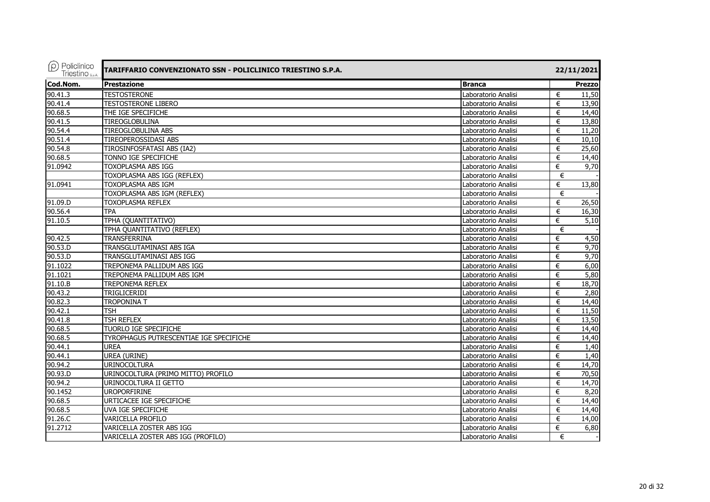| $(\rho)$ Policlinico<br><b>Triestino</b> S.D.A. | TARIFFARIO CONVENZIONATO SSN - POLICLINICO TRIESTINO S.P.A. |                     | 22/11/2021 |                   |
|-------------------------------------------------|-------------------------------------------------------------|---------------------|------------|-------------------|
| Cod.Nom.                                        | <b>Prestazione</b>                                          | <b>Branca</b>       |            | Prezzo            |
| 90.41.3                                         | <b>TESTOSTERONE</b>                                         | Laboratorio Analisi | €          | 11,50             |
| 90.41.4                                         | <b>TESTOSTERONE LIBERO</b>                                  | Laboratorio Analisi | €          | 13,90             |
| 90.68.5                                         | THE IGE SPECIFICHE                                          | Laboratorio Analisi | €          | 14,40             |
| 90.41.5                                         | TIREOGLOBULINA                                              | Laboratorio Analisi | €          | 13,80             |
| 90.54.4                                         | TIREOGLOBULINA ABS                                          | Laboratorio Analisi | €          | 11,20             |
| 90.51.4                                         | TIREOPEROSSIDASI ABS                                        | Laboratorio Analisi | €          | 10,10             |
| 90.54.8                                         | TIROSINFOSFATASI ABS (IA2)                                  | Laboratorio Analisi | €          | 25,60             |
| 90.68.5                                         | TONNO IGE SPECIFICHE                                        | Laboratorio Analisi | €          | 14,40             |
| 91.0942                                         | TOXOPLASMA ABS IGG                                          | Laboratorio Analisi | €          | 9,70              |
|                                                 | TOXOPLASMA ABS IGG (REFLEX)                                 | Laboratorio Analisi | €          |                   |
| 91.0941                                         | <b>TOXOPLASMA ABS IGM</b>                                   | Laboratorio Analisi | €          | 13,80             |
|                                                 | TOXOPLASMA ABS IGM (REFLEX)                                 | Laboratorio Analisi | €          |                   |
| 91.09.D                                         | <b>TOXOPLASMA REFLEX</b>                                    | Laboratorio Analisi | €          | 26,50             |
| 90.56.4                                         | <b>TPA</b>                                                  | Laboratorio Analisi | €          | 16,30             |
| 91.10.5                                         | TPHA (QUANTITATIVO)                                         | Laboratorio Analisi | €          | $\overline{5,10}$ |
|                                                 | TPHA QUANTITATIVO (REFLEX)                                  | Laboratorio Analisi | €          |                   |
| 90.42.5                                         | TRANSFERRINA                                                | Laboratorio Analisi | €          | 4,50              |
| 90.53.D                                         | TRANSGLUTAMINASI ABS IGA                                    | Laboratorio Analisi | €          | 9,70              |
| 90.53.D                                         | TRANSGLUTAMINASI ABS IGG                                    | Laboratorio Analisi | €          | 9,70              |
| 91.1022                                         | TREPONEMA PALLIDUM ABS IGG                                  | Laboratorio Analisi | €          | 6,00              |
| 91.1021                                         | TREPONEMA PALLIDUM ABS IGM                                  | Laboratorio Analisi | €          | 5,80              |
| 91.10.B                                         | <b>TREPONEMA REFLEX</b>                                     | Laboratorio Analisi | €          | 18,70             |
| 90.43.2                                         | <b>TRIGLICERIDI</b>                                         | Laboratorio Analisi | €          | 2,80              |
| 90.82.3                                         | <b>TROPONINA T</b>                                          | Laboratorio Analisi | €          | 14,40             |
| 90.42.1                                         | <b>TSH</b>                                                  | Laboratorio Analisi | €          | 11,50             |
| 90.41.8                                         | <b>TSH REFLEX</b>                                           | Laboratorio Analisi | €          | 13,50             |
| 90.68.5                                         | <b>TUORLO IGE SPECIFICHE</b>                                | Laboratorio Analisi | €          | 14,40             |
| 90.68.5                                         | TYROPHAGUS PUTRESCENTIAE IGE SPECIFICHE                     | Laboratorio Analisi | €          | 14,40             |
| 90.44.1                                         | <b>UREA</b>                                                 | Laboratorio Analisi | €          | 1,40              |
| 90.44.1                                         | UREA (URINE)                                                | Laboratorio Analisi | €          | 1,40              |
| 90.94.2                                         | <b>URINOCOLTURA</b>                                         | Laboratorio Analisi | €          | 14,70             |
| 90.93.D                                         | URINOCOLTURA (PRIMO MITTO) PROFILO                          | Laboratorio Analisi | €          | 70,50             |
| 90.94.2                                         | URINOCOLTURA II GETTO                                       | Laboratorio Analisi | €          | 14,70             |
| 90.1452                                         | <b>UROPORFIRINE</b>                                         | Laboratorio Analisi | €          | 8,20              |
| 90.68.5                                         | URTICACEE IGE SPECIFICHE                                    | Laboratorio Analisi | €          | 14,40             |
| 90.68.5                                         | UVA IGE SPECIFICHE                                          | Laboratorio Analisi | €          | 14,40             |
| 91.26.C                                         | VARICELLA PROFILO                                           | Laboratorio Analisi | €          | 14,00             |
| 91.2712                                         | VARICELLA ZOSTER ABS IGG                                    | Laboratorio Analisi | €          | 6,80              |
|                                                 | VARICELLA ZOSTER ABS IGG (PROFILO)                          | Laboratorio Analisi | €          |                   |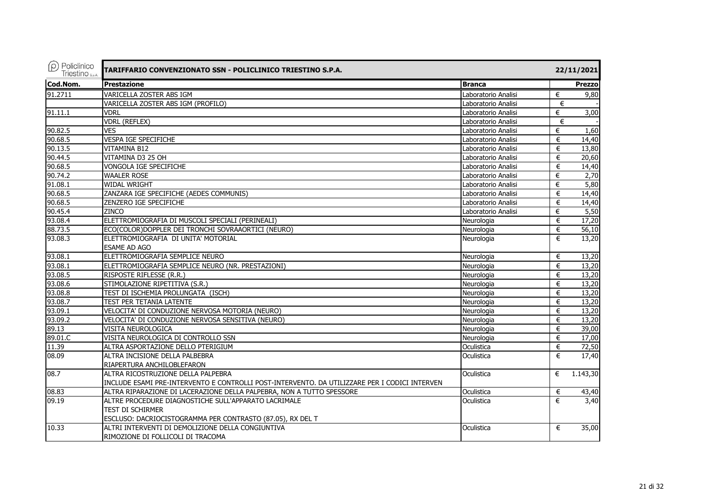| $\rho$ Policlinico<br>Triestino <sub>sp.A.</sub> | TARIFFARIO CONVENZIONATO SSN - POLICLINICO TRIESTINO S.P.A.                                   |                     |   | 22/11/2021    |
|--------------------------------------------------|-----------------------------------------------------------------------------------------------|---------------------|---|---------------|
| Cod.Nom.                                         | <b>Prestazione</b>                                                                            | <b>Branca</b>       |   | <b>Prezzo</b> |
| 91.2711                                          | VARICELLA ZOSTER ABS IGM                                                                      | Laboratorio Analisi | € | 9,80          |
|                                                  | VARICELLA ZOSTER ABS IGM (PROFILO)                                                            | Laboratorio Analisi | € |               |
| 91.11.1                                          | <b>VDRL</b>                                                                                   | Laboratorio Analisi | € | 3,00          |
|                                                  | <b>VDRL (REFLEX)</b>                                                                          | Laboratorio Analisi | € |               |
| 90.82.5                                          | <b>VES</b>                                                                                    | Laboratorio Analisi | € | 1,60          |
| 90.68.5                                          | VESPA IGE SPECIFICHE                                                                          | Laboratorio Analisi | € | 14,40         |
| 90.13.5                                          | <b>VITAMINA B12</b>                                                                           | Laboratorio Analisi | € | 13,80         |
| 90.44.5                                          | VITAMINA D3 25 OH                                                                             | Laboratorio Analisi | € | 20,60         |
| 90.68.5                                          | VONGOLA IGE SPECIFICHE                                                                        | Laboratorio Analisi | € | 14,40         |
| 90.74.2                                          | <b>WAALER ROSE</b>                                                                            | Laboratorio Analisi | € | 2,70          |
| 91.08.1                                          | <b>WIDAL WRIGHT</b>                                                                           | Laboratorio Analisi | € | 5,80          |
| 90.68.5                                          | ZANZARA IGE SPECIFICHE (AEDES COMMUNIS)                                                       | Laboratorio Analisi | € | 14,40         |
| 90.68.5                                          | ZENZERO IGE SPECIFICHE                                                                        | Laboratorio Analisi | € | 14,40         |
| 90.45.4                                          | <b>ZINCO</b>                                                                                  | Laboratorio Analisi | € | 5,50          |
| 93.08.4                                          | ELETTROMIOGRAFIA DI MUSCOLI SPECIALI (PERINEALI)                                              | Neurologia          | € | 17,20         |
| 88.73.5                                          | ECO(COLOR)DOPPLER DEI TRONCHI SOVRAAORTICI (NEURO)                                            | Neurologia          | € | 56,10         |
| 93.08.3                                          | ELETTROMIOGRAFIA DI UNITA' MOTORIAL                                                           | Neurologia          | € | 13,20         |
|                                                  | <b>ESAME AD AGO</b>                                                                           |                     |   |               |
| 93.08.1                                          | ELETTROMIOGRAFIA SEMPLICE NEURO                                                               | Neurologia          | € | 13,20         |
| 93.08.1                                          | ELETTROMIOGRAFIA SEMPLICE NEURO (NR. PRESTAZIONI)                                             | Neurologia          | € | 13,20         |
| 93.08.5                                          | RISPOSTE RIFLESSE (R.R.)                                                                      | Neurologia          | € | 13,20         |
| 93.08.6                                          | STIMOLAZIONE RIPETITIVA (S.R.)                                                                | Neurologia          | € | 13,20         |
| 93.08.8                                          | TEST DI ISCHEMIA PROLUNGATA (ISCH)                                                            | Neurologia          | € | 13,20         |
| 93.08.7                                          | TEST PER TETANIA LATENTE                                                                      | Neurologia          | € | 13,20         |
| 93.09.1                                          | VELOCITA' DI CONDUZIONE NERVOSA MOTORIA (NEURO)                                               | Neurologia          | € | 13,20         |
| 93.09.2                                          | VELOCITA' DI CONDUZIONE NERVOSA SENSITIVA (NEURO)                                             | Neurologia          | € | 13,20         |
| 89.13                                            | VISITA NEUROLOGICA                                                                            | Neurologia          | € | 39,00         |
| 89.01.C                                          | VISITA NEUROLOGICA DI CONTROLLO SSN                                                           | Neurologia          | € | 17,00         |
| 11.39                                            | ALTRA ASPORTAZIONE DELLO PTERIGIUM                                                            | Oculistica          | € | 72,50         |
| 08.09                                            | ALTRA INCISIONE DELLA PALBEBRA                                                                | Oculistica          | € | 17,40         |
|                                                  | RIAPERTURA ANCHILOBLEFARON                                                                    |                     |   |               |
| 08.7                                             | ALTRA RICOSTRUZIONE DELLA PALPEBRA                                                            | Oculistica          | € | 1.143,30      |
|                                                  | INCLUDE ESAMI PRE-INTERVENTO E CONTROLLI POST-INTERVENTO. DA UTILIZZARE PER I CODICI INTERVEN |                     |   |               |
| 08.83                                            | ALTRA RIPARAZIONE DI LACERAZIONE DELLA PALPEBRA, NON A TUTTO SPESSORE                         | Oculistica          | € | 43,40         |
| 09.19                                            | ALTRE PROCEDURE DIAGNOSTICHE SULL'APPARATO LACRIMALE                                          | Oculistica          | € | 3,40          |
|                                                  | <b>TEST DI SCHIRMER</b>                                                                       |                     |   |               |
|                                                  | ESCLUSO: DACRIOCISTOGRAMMA PER CONTRASTO (87.05), RX DEL T                                    |                     |   |               |
| 10.33                                            | ALTRI INTERVENTI DI DEMOLIZIONE DELLA CONGIUNTIVA                                             | Oculistica          | € | 35,00         |
|                                                  | RIMOZIONE DI FOLLICOLI DI TRACOMA                                                             |                     |   |               |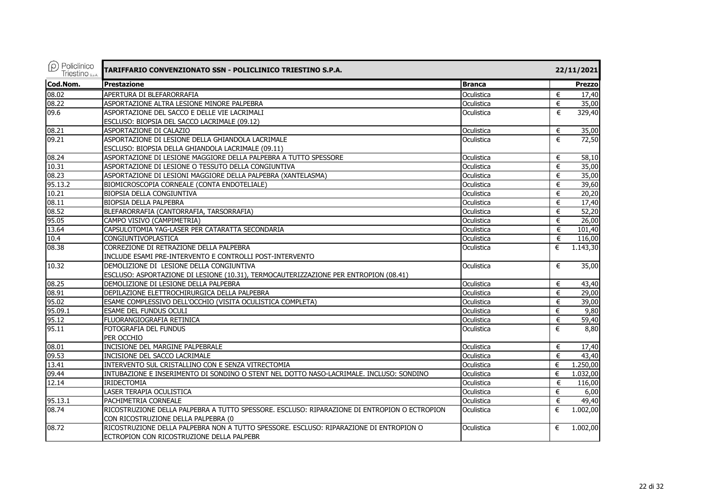| $(\rho)$ Policlinico<br>Triestino <sub>sp.A.</sub> | TARIFFARIO CONVENZIONATO SSN - POLICLINICO TRIESTINO S.P.A.                                  |               |   | 22/11/2021 |
|----------------------------------------------------|----------------------------------------------------------------------------------------------|---------------|---|------------|
| Cod.Nom.                                           | <b>Prestazione</b>                                                                           | <b>Branca</b> |   | Prezzo     |
| 08.02                                              | APERTURA DI BLEFARORRAFIA                                                                    | Oculistica    | € | 17,40      |
| 08.22                                              | ASPORTAZIONE ALTRA LESIONE MINORE PALPEBRA                                                   | Oculistica    | € | 35,00      |
| 09.6                                               | ASPORTAZIONE DEL SACCO E DELLE VIE LACRIMALI                                                 | Oculistica    | € | 329,40     |
|                                                    | ESCLUSO: BIOPSIA DEL SACCO LACRIMALE (09.12)                                                 |               |   |            |
| 08.21                                              | ASPORTAZIONE DI CALAZIO                                                                      | Oculistica    | € | 35,00      |
| 09.21                                              | ASPORTAZIONE DI LESIONE DELLA GHIANDOLA LACRIMALE                                            | Oculistica    | € | 72,50      |
|                                                    | ESCLUSO: BIOPSIA DELLA GHIANDOLA LACRIMALE (09.11)                                           |               |   |            |
| 08.24                                              | ASPORTAZIONE DI LESIONE MAGGIORE DELLA PALPEBRA A TUTTO SPESSORE                             | Oculistica    | € | 58,10      |
| 10.31                                              | ASPORTAZIONE DI LESIONE O TESSUTO DELLA CONGIUNTIVA                                          | Oculistica    | € | 35,00      |
| 08.23                                              | ASPORTAZIONE DI LESIONI MAGGIORE DELLA PALPEBRA (XANTELASMA)                                 | Oculistica    | € | 35,00      |
| 95.13.2                                            | BIOMICROSCOPIA CORNEALE (CONTA ENDOTELIALE)                                                  | Oculistica    | € | 39,60      |
| 10.21                                              | BIOPSIA DELLA CONGIUNTIVA                                                                    | Oculistica    | € | 20,20      |
| 08.11                                              | BIOPSIA DELLA PALPEBRA                                                                       | Oculistica    | € | 17,40      |
| 08.52                                              | BLEFARORRAFIA (CANTORRAFIA, TARSORRAFIA)                                                     | Oculistica    | € | 52,20      |
| 95.05                                              | CAMPO VISIVO (CAMPIMETRIA)                                                                   | Oculistica    | € | 26,00      |
| 13.64                                              | CAPSULOTOMIA YAG-LASER PER CATARATTA SECONDARIA                                              | Oculistica    | € | 101,40     |
| 10.4                                               | CONGIUNTIVOPLASTICA                                                                          | Oculistica    | € | 116,00     |
| 08.38                                              | CORREZIONE DI RETRAZIONE DELLA PALPEBRA                                                      | Oculistica    | € | 1.143,30   |
|                                                    | INCLUDE ESAMI PRE-INTERVENTO E CONTROLLI POST-INTERVENTO                                     |               |   |            |
| 10.32                                              | DEMOLIZIONE DI LESIONE DELLA CONGIUNTIVA                                                     | Oculistica    | € | 35,00      |
|                                                    | ESCLUSO: ASPORTAZIONE DI LESIONE (10.31), TERMOCAUTERIZZAZIONE PER ENTROPION (08.41)         |               |   |            |
| 08.25                                              | DEMOLIZIONE DI LESIONE DELLA PALPEBRA                                                        | Oculistica    | € | 43,40      |
| 08.91                                              | DEPILAZIONE ELETTROCHIRURGICA DELLA PALPEBRA                                                 | Oculistica    | € | 29,00      |
| 95.02                                              | ESAME COMPLESSIVO DELL'OCCHIO (VISITA OCULISTICA COMPLETA)                                   | Oculistica    | € | 39,00      |
| 95.09.1                                            | ESAME DEL FUNDUS OCULI                                                                       | Oculistica    | € | 9,80       |
| 95.12                                              | FLUORANGIOGRAFIA RETINICA                                                                    | Oculistica    | € | 59,40      |
| 95.11                                              | FOTOGRAFIA DEL FUNDUS                                                                        | Oculistica    | € | 8,80       |
|                                                    | PER OCCHIO                                                                                   |               |   |            |
| 08.01                                              | INCISIONE DEL MARGINE PALPEBRALE                                                             | Oculistica    | € | 17,40      |
| 09.53                                              | INCISIONE DEL SACCO LACRIMALE                                                                | Oculistica    | € | 43,40      |
| 13.41                                              | INTERVENTO SUL CRISTALLINO CON E SENZA VITRECTOMIA                                           | Oculistica    | € | 1.250,00   |
| 09.44                                              | INTUBAZIONE E INSERIMENTO DI SONDINO O STENT NEL DOTTO NASO-LACRIMALE. INCLUSO: SONDINO      | Oculistica    | € | 1.032,00   |
| 12.14                                              | <b>IRIDECTOMIA</b>                                                                           | Oculistica    | € | 116,00     |
|                                                    | LASER TERAPIA OCULISTICA                                                                     | Oculistica    | € | 6,00       |
| 95.13.1                                            | PACHIMETRIA CORNEALE                                                                         | Oculistica    | € | 49,40      |
| 08.74                                              | RICOSTRUZIONE DELLA PALPEBRA A TUTTO SPESSORE. ESCLUSO: RIPARAZIONE DI ENTROPION O ECTROPION | Oculistica    | € | 1.002,00   |
|                                                    | CON RICOSTRUZIONE DELLA PALPEBRA (0                                                          |               |   |            |
| 08.72                                              | RICOSTRUZIONE DELLA PALPEBRA NON A TUTTO SPESSORE. ESCLUSO: RIPARAZIONE DI ENTROPION O       | Oculistica    | € | 1.002,00   |
|                                                    | ECTROPION CON RICOSTRUZIONE DELLA PALPEBR                                                    |               |   |            |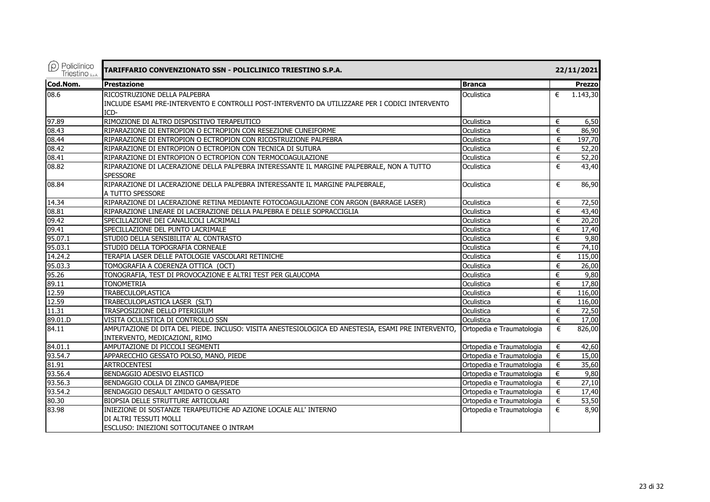| $(\rho)$ Policlinico<br><b>Triestino</b> s.p.A. | TARIFFARIO CONVENZIONATO SSN - POLICLINICO TRIESTINO S.P.A.                                        |                           |   | 22/11/2021            |
|-------------------------------------------------|----------------------------------------------------------------------------------------------------|---------------------------|---|-----------------------|
| Cod.Nom.                                        | <b>Prestazione</b>                                                                                 | <b>Branca</b>             |   | <b>Prezzol</b>        |
| 08.6                                            | RICOSTRUZIONE DELLA PALPEBRA                                                                       | Oculistica                | € | 1.143,30              |
|                                                 | INCLUDE ESAMI PRE-INTERVENTO E CONTROLLI POST-INTERVENTO DA UTILIZZARE PER I CODICI INTERVENTO     |                           |   |                       |
|                                                 | ICD-                                                                                               |                           |   |                       |
| 97.89                                           | RIMOZIONE DI ALTRO DISPOSITIVO TERAPEUTICO                                                         | Oculistica                | € | 6,50                  |
| 08.43                                           | RIPARAZIONE DI ENTROPION O ECTROPION CON RESEZIONE CUNEIFORME                                      | Oculistica                | € | 86,90                 |
| 08.44                                           | RIPARAZIONE DI ENTROPION O ECTROPION CON RICOSTRUZIONE PALPEBRA                                    | Oculistica                | € | $\overline{197}$ , 70 |
| 08.42                                           | RIPARAZIONE DI ENTROPION O ECTROPION CON TECNICA DI SUTURA                                         | Oculistica                | € | 52,20                 |
| 08.41                                           | RIPARAZIONE DI ENTROPION O ECTROPION CON TERMOCOAGULAZIONE                                         | Oculistica                | € | 52,20                 |
| 08.82                                           | RIPARAZIONE DI LACERAZIONE DELLA PALPEBRA INTERESSANTE IL MARGINE PALPEBRALE, NON A TUTTO          | Oculistica                | € | 43,40                 |
|                                                 | <b>SPESSORE</b>                                                                                    |                           |   |                       |
| 08.84                                           | RIPARAZIONE DI LACERAZIONE DELLA PALPEBRA INTERESSANTE IL MARGINE PALPEBRALE,                      | Oculistica                | € | 86,90                 |
|                                                 | A TUTTO SPESSORE                                                                                   |                           |   |                       |
| 14.34                                           | RIPARAZIONE DI LACERAZIONE RETINA MEDIANTE FOTOCOAGULAZIONE CON ARGON (BARRAGE LASER)              | Oculistica                | € | 72,50                 |
| 08.81                                           | RIPARAZIONE LINEARE DI LACERAZIONE DELLA PALPEBRA E DELLE SOPRACCIGLIA                             | Oculistica                | € | 43,40                 |
| 09.42                                           | SPECILLAZIONE DEI CANALICOLI LACRIMALI                                                             | Oculistica                | € | 20,20                 |
| 09.41                                           | SPECILLAZIONE DEL PUNTO LACRIMALE                                                                  | Oculistica                | € | 17,40                 |
| 95.07.1                                         | STUDIO DELLA SENSIBILITA' AL CONTRASTO                                                             | Oculistica                | € | 9,80                  |
| 95.03.1                                         | STUDIO DELLA TOPOGRAFIA CORNEALE                                                                   | Oculistica                | € | 74,10                 |
| 14.24.2                                         | TERAPIA LASER DELLE PATOLOGIE VASCOLARI RETINICHE                                                  | Oculistica                | € | 115,00                |
| 95.03.3                                         | TOMOGRAFIA A COERENZA OTTICA (OCT)                                                                 | Oculistica                | € | 26,00                 |
| 95.26                                           | TONOGRAFIA, TEST DI PROVOCAZIONE E ALTRI TEST PER GLAUCOMA                                         | Oculistica                | € | 9,80                  |
| 89.11                                           | <b>TONOMETRIA</b>                                                                                  | Oculistica                | € | 17,80                 |
| 12.59                                           | <b>TRABECULOPLASTICA</b>                                                                           | Oculistica                | € | 116,00                |
| 12.59                                           | TRABECULOPLASTICA LASER (SLT)                                                                      | Oculistica                | € | 116,00                |
| 11.31                                           | TRASPOSIZIONE DELLO PTERIGIUM                                                                      | Oculistica                | € | 72,50                 |
| 89.01.D                                         | VISITA OCULISTICA DI CONTROLLO SSN                                                                 | Oculistica                | € | 17,00                 |
| 84.11                                           | AMPUTAZIONE DI DITA DEL PIEDE. INCLUSO: VISITA ANESTESIOLOGICA ED ANESTESIA, ESAMI PRE INTERVENTO, | Ortopedia e Traumatologia | € | 826,00                |
|                                                 | INTERVENTO, MEDICAZIONI, RIMO                                                                      |                           |   |                       |
| 84.01.1                                         | AMPUTAZIONE DI PICCOLI SEGMENTI                                                                    | Ortopedia e Traumatologia | € | 42,60                 |
| 93.54.7                                         | APPARECCHIO GESSATO POLSO, MANO, PIEDE                                                             | Ortopedia e Traumatologia | € | 15,00                 |
| 81.91                                           | <b>ARTROCENTESI</b>                                                                                | Ortopedia e Traumatologia | € | 35,60                 |
| 93.56.4                                         | BENDAGGIO ADESIVO ELASTICO                                                                         | Ortopedia e Traumatologia | € | 9,80                  |
| 93.56.3                                         | BENDAGGIO COLLA DI ZINCO GAMBA/PIEDE                                                               | Ortopedia e Traumatologia | € | 27,10                 |
| 93.54.2                                         | BENDAGGIO DESAULT AMIDATO O GESSATO                                                                | Ortopedia e Traumatologia | € | 17,40                 |
| 80.30                                           | BIOPSIA DELLE STRUTTURE ARTICOLARI                                                                 | Ortopedia e Traumatologia | € | 53,50                 |
| 83.98                                           | INIEZIONE DI SOSTANZE TERAPEUTICHE AD AZIONE LOCALE ALL' INTERNO                                   | Ortopedia e Traumatologia | € | 8,90                  |
|                                                 | DI ALTRI TESSUTI MOLLI                                                                             |                           |   |                       |
|                                                 | ESCLUSO: INIEZIONI SOTTOCUTANEE O INTRAM                                                           |                           |   |                       |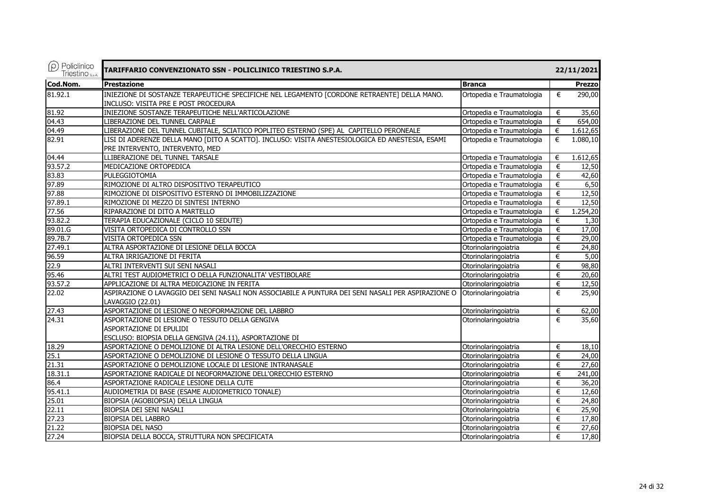| $(\rho)$ Policlinico<br>Triestino <sub>S.p.A.</sub> | TARIFFARIO CONVENZIONATO SSN - POLICLINICO TRIESTINO S.P.A.                                                                         |                           |       | 22/11/2021    |
|-----------------------------------------------------|-------------------------------------------------------------------------------------------------------------------------------------|---------------------------|-------|---------------|
| Cod.Nom.                                            | <b>Prestazione</b>                                                                                                                  | <b>Branca</b>             |       | <b>Prezzo</b> |
| 81.92.1                                             | INIEZIONE DI SOSTANZE TERAPEUTICHE SPECIFICHE NEL LEGAMENTO [CORDONE RETRAENTE] DELLA MANO.                                         | Ortopedia e Traumatologia | €     | 290,00        |
|                                                     | INCLUSO: VISITA PRE E POST PROCEDURA                                                                                                |                           |       |               |
| 81.92                                               | INIEZIONE SOSTANZE TERAPEUTICHE NELL'ARTICOLAZIONE                                                                                  | Ortopedia e Traumatologia | €     | 35,60         |
| 04.43                                               | LIBERAZIONE DEL TUNNEL CARPALE                                                                                                      | Ortopedia e Traumatologia | €     | 654,00        |
| $\sqrt{04.49}$                                      | LIBERAZIONE DEL TUNNEL CUBITALE, SCIATICO POPLITEO ESTERNO (SPE) AL CAPITELLO PERONEALE                                             | Ortopedia e Traumatologia | €     | 1.612,65      |
| 82.91                                               | LISI DI ADERENZE DELLA MANO [DITO A SCATTO]. INCLUSO: VISITA ANESTESIOLOGICA ED ANESTESIA, ESAMI<br>PRE INTERVENTO, INTERVENTO, MED | Ortopedia e Traumatologia | €     | 1.080,10      |
| 04.44                                               | LLIBERAZIONE DEL TUNNEL TARSALE                                                                                                     | Ortopedia e Traumatologia | €     | 1.612,65      |
| 93.57.2                                             | MEDICAZIONE ORTOPEDICA                                                                                                              | Ortopedia e Traumatologia | €     | 12,50         |
| 83.83                                               | PULEGGIOTOMIA                                                                                                                       | Ortopedia e Traumatologia | €     | 42,60         |
| 97.89                                               | RIMOZIONE DI ALTRO DISPOSITIVO TERAPEUTICO                                                                                          | Ortopedia e Traumatologia | €     | 6,50          |
| 97.88                                               | RIMOZIONE DI DISPOSITIVO ESTERNO DI IMMOBILIZZAZIONE                                                                                | Ortopedia e Traumatologia | €     | 12,50         |
| 97.89.1                                             | RIMOZIONE DI MEZZO DI SINTESI INTERNO                                                                                               | Ortopedia e Traumatologia | €     | 12,50         |
| 77.56                                               | RIPARAZIONE DI DITO A MARTELLO                                                                                                      | Ortopedia e Traumatologia | €     | 1.254,20      |
| 93.82.2                                             | TERAPIA EDUCAZIONALE (CICLO 10 SEDUTE)                                                                                              | Ortopedia e Traumatologia | €     | 1,30          |
| 89.01.G                                             | VISITA ORTOPEDICA DI CONTROLLO SSN                                                                                                  | Ortopedia e Traumatologia | €     | 17,00         |
| 89.7B.7                                             | VISITA ORTOPEDICA SSN                                                                                                               | Ortopedia e Traumatologia | €     | 29,00         |
| 27.49.1                                             | ALTRA ASPORTAZIONE DI LESIONE DELLA BOCCA                                                                                           | Otorinolaringoiatria      | €     | 24,80         |
| 96.59                                               | ALTRA IRRIGAZIONE DI FERITA                                                                                                         | Otorinolaringoiatria      | €     | 5,00          |
| 22.9                                                | ALTRI INTERVENTI SUI SENI NASALI                                                                                                    | Otorinolaringoiatria      | €     | 98,80         |
| 95.46                                               | ALTRI TEST AUDIOMETRICI O DELLA FUNZIONALITA' VESTIBOLARE                                                                           | Otorinolaringoiatria      | €     | 20,60         |
| 93.57.2                                             | APPLICAZIONE DI ALTRA MEDICAZIONE IN FERITA                                                                                         | Otorinolaringoiatria      | €     | 12,50         |
| 22.02                                               | ASPIRAZIONE O LAVAGGIO DEI SENI NASALI NON ASSOCIABILE A PUNTURA DEI SENI NASALI PER ASPIRAZIONE O<br>LAVAGGIO (22.01)              | Otorinolaringoiatria      | €     | 25,90         |
| 27.43                                               | ASPORTAZIONE DI LESIONE O NEOFORMAZIONE DEL LABBRO                                                                                  | Otorinolaringoiatria      | €     | 62,00         |
| 24.31                                               | ASPORTAZIONE DI LESIONE O TESSUTO DELLA GENGIVA<br>ASPORTAZIONE DI EPULIDI                                                          | Otorinolaringoiatria      | €     | 35,60         |
|                                                     | ESCLUSO: BIOPSIA DELLA GENGIVA (24.11), ASPORTAZIONE DI                                                                             |                           |       |               |
| 18.29                                               | ASPORTAZIONE O DEMOLIZIONE DI ALTRA LESIONE DELL'ORECCHIO ESTERNO                                                                   | Otorinolaringoiatria      | €     | 18,10         |
| 25.1                                                | ASPORTAZIONE O DEMOLIZIONE DI LESIONE O TESSUTO DELLA LINGUA                                                                        | Otorinolaringoiatria      | €     | 24,00         |
| 21.31                                               | ASPORTAZIONE O DEMOLIZIONE LOCALE DI LESIONE INTRANASALE                                                                            | Otorinolaringoiatria      | €     | 27,60         |
| 18.31.1                                             | ASPORTAZIONE RADICALE DI NEOFORMAZIONE DELL'ORECCHIO ESTERNO                                                                        | Otorinolaringoiatria      | €     | 241,00        |
| 86.4                                                | ASPORTAZIONE RADICALE LESIONE DELLA CUTE                                                                                            | Otorinolaringoiatria      | €     | 36,20         |
| 95.41.1                                             | AUDIOMETRIA DI BASE (ESAME AUDIOMETRICO TONALE)                                                                                     | Otorinolaringoiatria      | €     | 12,60         |
| 25.01                                               | BIOPSIA (AGOBIOPSIA) DELLA LINGUA                                                                                                   | Otorinolaringoiatria      | €     | 24,80         |
| 22.11                                               | BIOPSIA DEI SENI NASALI                                                                                                             | Otorinolaringoiatria      | $\in$ | 25,90         |
| 27.23                                               | <b>BIOPSIA DEL LABBRO</b>                                                                                                           | Otorinolaringoiatria      | €     | 17,80         |
| 21.22                                               | <b>BIOPSIA DEL NASO</b>                                                                                                             | Otorinolaringoiatria      | €     | 27,60         |
| 27.24                                               | BIOPSIA DELLA BOCCA, STRUTTURA NON SPECIFICATA                                                                                      | Otorinolaringoiatria      | €     | 17,80         |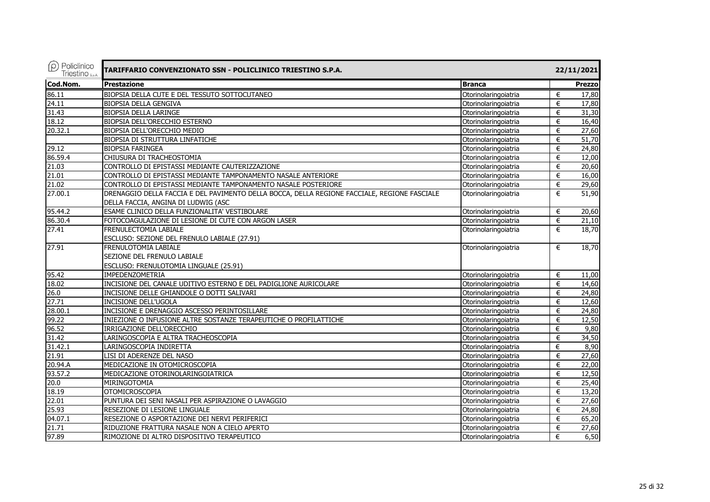| $(\rho)$ Policlinico<br>Triestino S.p.A. | TARIFFARIO CONVENZIONATO SSN - POLICLINICO TRIESTINO S.P.A.                                  |                      |   | 22/11/2021 |
|------------------------------------------|----------------------------------------------------------------------------------------------|----------------------|---|------------|
| Cod.Nom.                                 | <b>Prestazione</b>                                                                           | <b>Branca</b>        |   | Prezzo     |
| 86.11                                    | BIOPSIA DELLA CUTE E DEL TESSUTO SOTTOCUTANEO                                                | Otorinolaringoiatria | € | 17,80      |
| 24.11                                    | <b>BIOPSIA DELLA GENGIVA</b>                                                                 | Otorinolaringoiatria | € | 17,80      |
| 31.43                                    | <b>BIOPSIA DELLA LARINGE</b>                                                                 | Otorinolaringoiatria | € | 31,30      |
| 18.12                                    | BIOPSIA DELL'ORECCHIO ESTERNO                                                                | Otorinolaringoiatria | € | 16,40      |
| 20.32.1                                  | BIOPSIA DELL'ORECCHIO MEDIO                                                                  | Otorinolaringoiatria | € | 27,60      |
|                                          | <b>BIOPSIA DI STRUTTURA LINFATICHE</b>                                                       | Otorinolaringoiatria | € | 51,70      |
| 29.12                                    | <b>BIOPSIA FARINGEA</b>                                                                      | Otorinolaringoiatria | € | 24,80      |
| 86.59.4                                  | CHIUSURA DI TRACHEOSTOMIA                                                                    | Otorinolaringoiatria | € | 12,00      |
| 21.03                                    | CONTROLLO DI EPISTASSI MEDIANTE CAUTERIZZAZIONE                                              | Otorinolaringoiatria | € | 20,60      |
| 21.01                                    | CONTROLLO DI EPISTASSI MEDIANTE TAMPONAMENTO NASALE ANTERIORE                                | Otorinolaringoiatria | € | 16,00      |
| 21.02                                    | CONTROLLO DI EPISTASSI MEDIANTE TAMPONAMENTO NASALE POSTERIORE                               | Otorinolaringoiatria | € | 29,60      |
| 27.00.1                                  | DRENAGGIO DELLA FACCIA E DEL PAVIMENTO DELLA BOCCA, DELLA REGIONE FACCIALE, REGIONE FASCIALE | Otorinolaringoiatria | € | 51,90      |
|                                          | DELLA FACCIA, ANGINA DI LUDWIG (ASC                                                          |                      |   |            |
| 95.44.2                                  | ESAME CLINICO DELLA FUNZIONALITA' VESTIBOLARE                                                | Otorinolaringoiatria | € | 20,60      |
| 86.30.4                                  | FOTOCOAGULAZIONE DI LESIONE DI CUTE CON ARGON LASER                                          | Otorinolaringoiatria | € | 21,10      |
| 27.41                                    | FRENULECTOMIA LABIALE                                                                        | Otorinolaringoiatria | € | 18,70      |
|                                          | ESCLUSO: SEZIONE DEL FRENULO LABIALE (27.91)                                                 |                      |   |            |
| 27.91                                    | FRENULOTOMIA LABIALE                                                                         | Otorinolaringoiatria | € | 18,70      |
|                                          | SEZIONE DEL FRENULO LABIALE                                                                  |                      |   |            |
|                                          | ESCLUSO: FRENULOTOMIA LINGUALE (25.91)                                                       |                      |   |            |
| 95.42                                    | IMPEDENZOMETRIA                                                                              | Otorinolaringoiatria | € | 11,00      |
| 18.02                                    | INCISIONE DEL CANALE UDITIVO ESTERNO E DEL PADIGLIONE AURICOLARE                             | Otorinolaringoiatria | € | 14,60      |
| 26.0                                     | INCISIONE DELLE GHIANDOLE O DOTTI SALIVARI                                                   | Otorinolaringoiatria | € | 24,80      |
| 27.71                                    | INCISIONE DELL'UGOLA                                                                         | Otorinolaringoiatria | € | 12,60      |
| 28.00.1                                  | INCISIONE E DRENAGGIO ASCESSO PERINTOSILLARE                                                 | Otorinolaringoiatria | € | 24,80      |
| 99.22                                    | INIEZIONE O INFUSIONE ALTRE SOSTANZE TERAPEUTICHE O PROFILATTICHE                            | Otorinolaringoiatria | € | 12,50      |
| 96.52                                    | IRRIGAZIONE DELL'ORECCHIO                                                                    | Otorinolaringoiatria | € | 9,80       |
| 31.42                                    | LARINGOSCOPIA E ALTRA TRACHEOSCOPIA                                                          | Otorinolaringoiatria | € | 34,50      |
| 31.42.1                                  | LARINGOSCOPIA INDIRETTA                                                                      | Otorinolaringoiatria | € | 8,90       |
| 21.91                                    | LISI DI ADERENZE DEL NASO                                                                    | Otorinolaringoiatria | € | 27,60      |
| 20.94.A                                  | MEDICAZIONE IN OTOMICROSCOPIA                                                                | Otorinolaringoiatria | € | 22,00      |
| 93.57.2                                  | MEDICAZIONE OTORINOLARINGOIATRICA                                                            | Otorinolaringoiatria | € | 12,50      |
| 20.0                                     | MIRINGOTOMIA                                                                                 | Otorinolaringoiatria | € | 25,40      |
| 18.19                                    | <b>OTOMICROSCOPIA</b>                                                                        | Otorinolaringoiatria | € | 13,20      |
| 22.01                                    | PUNTURA DEI SENI NASALI PER ASPIRAZIONE O LAVAGGIO                                           | Otorinolaringoiatria | € | 27,60      |
| 25.93                                    | RESEZIONE DI LESIONE LINGUALE                                                                | Otorinolaringoiatria | € | 24,80      |
| 04.07.1                                  | RESEZIONE O ASPORTAZIONE DEI NERVI PERIFERICI                                                | Otorinolaringoiatria | € | 65,20      |
| 21.71                                    | RIDUZIONE FRATTURA NASALE NON A CIELO APERTO                                                 | Otorinolaringoiatria | € | 27,60      |
| 97.89                                    | RIMOZIONE DI ALTRO DISPOSITIVO TERAPEUTICO                                                   | Otorinolaringoiatria | € | 6,50       |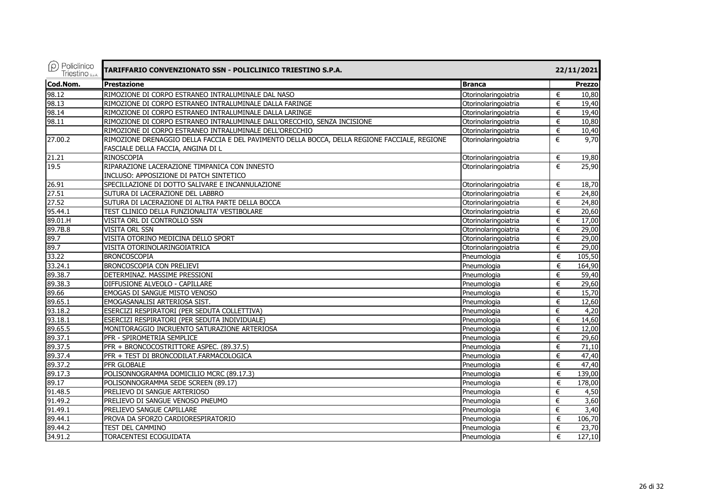| $\rho$ Policlinico<br>Triestino <sub>s.p.A.</sub> | TARIFFARIO CONVENZIONATO SSN - POLICLINICO TRIESTINO S.P.A.                                                                         |                      |       | 22/11/2021    |  |  |
|---------------------------------------------------|-------------------------------------------------------------------------------------------------------------------------------------|----------------------|-------|---------------|--|--|
| Cod.Nom.                                          | <b>Prestazione</b>                                                                                                                  | <b>Branca</b>        |       | <b>Prezzo</b> |  |  |
| 98.12                                             | RIMOZIONE DI CORPO ESTRANEO INTRALUMINALE DAL NASO                                                                                  | Otorinolaringoiatria | €     | 10,80         |  |  |
| 98.13                                             | RIMOZIONE DI CORPO ESTRANEO INTRALUMINALE DALLA FARINGE                                                                             | Otorinolaringoiatria | €     | 19,40         |  |  |
| 98.14                                             | RIMOZIONE DI CORPO ESTRANEO INTRALUMINALE DALLA LARINGE                                                                             | Otorinolaringoiatria | €     | 19,40         |  |  |
| 98.11                                             | RIMOZIONE DI CORPO ESTRANEO INTRALUMINALE DALL'ORECCHIO, SENZA INCISIONE                                                            | Otorinolaringoiatria | €     | 10,80         |  |  |
|                                                   | RIMOZIONE DI CORPO ESTRANEO INTRALUMINALE DELL'ORECCHIO                                                                             | Otorinolaringoiatria | €     | 10,40         |  |  |
| 27.00.2                                           | RIMOZIONE DRENAGGIO DELLA FACCIA E DEL PAVIMENTO DELLA BOCCA, DELLA REGIONE FACCIALE, REGIONE<br>FASCIALE DELLA FACCIA, ANGINA DI L | Otorinolaringoiatria | €     | 9,70          |  |  |
| 21.21                                             | RINOSCOPIA                                                                                                                          | Otorinolaringoiatria | €     | 19,80         |  |  |
| 19.5                                              | RIPARAZIONE LACERAZIONE TIMPANICA CON INNESTO                                                                                       | Otorinolaringoiatria | €     | 25,90         |  |  |
|                                                   | INCLUSO: APPOSIZIONE DI PATCH SINTETICO                                                                                             |                      |       |               |  |  |
| 26.91                                             | SPECILLAZIONE DI DOTTO SALIVARE E INCANNULAZIONE                                                                                    | Otorinolaringoiatria | €     | 18,70         |  |  |
| 27.51                                             | SUTURA DI LACERAZIONE DEL LABBRO                                                                                                    | Otorinolaringoiatria | €     | 24,80         |  |  |
| 27.52                                             | SUTURA DI LACERAZIONE DI ALTRA PARTE DELLA BOCCA                                                                                    | Otorinolaringoiatria | €     | 24,80         |  |  |
| 95.44.1                                           | TEST CLINICO DELLA FUNZIONALITA' VESTIBOLARE                                                                                        | Otorinolaringoiatria | €     | 20,60         |  |  |
| 89.01.H                                           | VISITA ORL DI CONTROLLO SSN                                                                                                         | Otorinolaringoiatria | €     | 17,00         |  |  |
| 89.7B.8                                           | VISITA ORL SSN                                                                                                                      | Otorinolaringoiatria | €     | 29,00         |  |  |
| 89.7                                              | VISITA OTORINO MEDICINA DELLO SPORT                                                                                                 | Otorinolaringoiatria | €     | 29,00         |  |  |
| 89.7                                              | VISITA OTORINOLARINGOIATRICA                                                                                                        | Otorinolaringoiatria | €     | 29,00         |  |  |
| 33.22                                             | <b>BRONCOSCOPIA</b>                                                                                                                 | Pneumologia          | €     | 105,50        |  |  |
| 33.24.1                                           | BRONCOSCOPIA CON PRELIEVI                                                                                                           | Pneumologia          | €     | 164,90        |  |  |
| 89.38.7                                           | DETERMINAZ. MASSIME PRESSIONI                                                                                                       | Pneumologia          | $\in$ | 59,40         |  |  |
| 89.38.3                                           | DIFFUSIONE ALVEOLO - CAPILLARE                                                                                                      | Pneumologia          | €     | 29,60         |  |  |
| 89.66                                             | EMOGAS DI SANGUE MISTO VENOSO                                                                                                       | Pneumologia          | €     | 15,70         |  |  |
| 89.65.1                                           | EMOGASANALISI ARTERIOSA SIST.                                                                                                       | Pneumologia          | €     | 12,60         |  |  |
| 93.18.2                                           | ESERCIZI RESPIRATORI (PER SEDUTA COLLETTIVA)                                                                                        | Pneumologia          | €     | 4,20          |  |  |
| 93.18.1                                           | ESERCIZI RESPIRATORI (PER SEDUTA INDIVIDUALE)                                                                                       | Pneumologia          | €     | 14,60         |  |  |
| 89.65.5                                           | MONITORAGGIO INCRUENTO SATURAZIONE ARTERIOSA                                                                                        | Pneumologia          | €     | 12,00         |  |  |
| 89.37.1                                           | PFR - SPIROMETRIA SEMPLICE                                                                                                          | Pneumologia          | €     | 29,60         |  |  |
| 89.37.5                                           | PFR + BRONCOCOSTRITTORE ASPEC. (89.37.5)                                                                                            | Pneumologia          | €     | 71,10         |  |  |
| 89.37.4                                           | PFR + TEST DI BRONCODILAT.FARMACOLOGICA                                                                                             | Pneumologia          | €     | 47,40         |  |  |
| 89.37.2                                           | PFR GLOBALE                                                                                                                         | Pneumologia          | €     | 47,40         |  |  |
| 89.17.3                                           | POLISONNOGRAMMA DOMICILIO MCRC (89.17.3)                                                                                            | Pneumologia          | €     | 139,00        |  |  |
| 89.17                                             | POLISONNOGRAMMA SEDE SCREEN (89.17)                                                                                                 | Pneumologia          | €     | 178,00        |  |  |
| 91.48.5                                           | PRELIEVO DI SANGUE ARTERIOSO                                                                                                        | Pneumologia          | €     | 4,50          |  |  |
| 91.49.2                                           | PRELIEVO DI SANGUE VENOSO PNEUMO                                                                                                    | Pneumologia          | €     | 3,60          |  |  |
| 91.49.1                                           | PRELIEVO SANGUE CAPILLARE                                                                                                           | Pneumologia          | €     | 3,40          |  |  |
| 89.44.1                                           | PROVA DA SFORZO CARDIORESPIRATORIO                                                                                                  | Pneumologia          | €     | 106,70        |  |  |
| 89.44.2                                           | TEST DEL CAMMINO                                                                                                                    | Pneumologia          | €     | 23,70         |  |  |
| 34.91.2                                           | TORACENTESI ECOGUIDATA                                                                                                              | Pneumologia          | €     | 127,10        |  |  |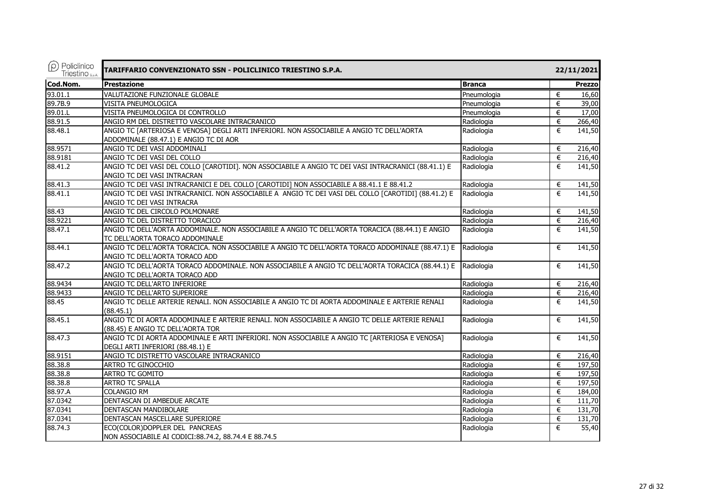| $\rho$ ) Policlinico<br>Triestino <sub>s.p.A.</sub> | TARIFFARIO CONVENZIONATO SSN - POLICLINICO TRIESTINO S.P.A.                                          |               |   | 22/11/2021    |  |  |
|-----------------------------------------------------|------------------------------------------------------------------------------------------------------|---------------|---|---------------|--|--|
| Cod.Nom.                                            | <b>Prestazione</b>                                                                                   | <b>Branca</b> |   | <b>Prezzo</b> |  |  |
| 93.01.1                                             | VALUTAZIONE FUNZIONALE GLOBALE                                                                       | Pneumologia   | € | 16,60         |  |  |
| 89.7B.9                                             | <b>VISITA PNEUMOLOGICA</b>                                                                           | Pneumologia   | € | 39,00         |  |  |
| 89.01.L                                             | VISITA PNEUMOLOGICA DI CONTROLLO                                                                     | Pneumologia   | € | 17,00         |  |  |
| 88.91.5                                             | ANGIO RM DEL DISTRETTO VASCOLARE INTRACRANICO                                                        | Radiologia    | € | 266,40        |  |  |
| 88.48.1                                             | ANGIO TC [ARTERIOSA E VENOSA] DEGLI ARTI INFERIORI. NON ASSOCIABILE A ANGIO TC DELL'AORTA            | Radiologia    | € | 141,50        |  |  |
|                                                     | ADDOMINALE (88.47.1) E ANGIO TC DI AOR                                                               |               |   |               |  |  |
| 88.9571                                             | ANGIO TC DEI VASI ADDOMINALI                                                                         | Radiologia    | € | 216,40        |  |  |
| 88.9181                                             | ANGIO TC DEI VASI DEL COLLO                                                                          | Radiologia    | € | 216,40        |  |  |
| 88.41.2                                             | ANGIO TC DEI VASI DEL COLLO [CAROTIDI]. NON ASSOCIABILE A ANGIO TC DEI VASI INTRACRANICI (88.41.1) E | Radiologia    | € | 141,50        |  |  |
|                                                     | ANGIO TC DEI VASI INTRACRAN                                                                          |               |   |               |  |  |
| 88.41.3                                             | ANGIO TC DEI VASI INTRACRANICI E DEL COLLO [CAROTIDI] NON ASSOCIABILE A 88.41.1 E 88.41.2            | Radiologia    | € | 141,50        |  |  |
| 88.41.1                                             | ANGIO TC DEI VASI INTRACRANICI. NON ASSOCIABILE A ANGIO TC DEI VASI DEL COLLO [CAROTIDI] (88.41.2) E | Radiologia    | € | 141,50        |  |  |
|                                                     | ANGIO TC DEI VASI INTRACRA                                                                           |               |   |               |  |  |
| 88.43                                               | ANGIO TC DEL CIRCOLO POLMONARE                                                                       | Radiologia    | € | 141,50        |  |  |
| 88.9221                                             | ANGIO TC DEL DISTRETTO TORACICO                                                                      | Radiologia    | € | 216,40        |  |  |
| 88.47.1                                             | ANGIO TC DELL'AORTA ADDOMINALE. NON ASSOCIABILE A ANGIO TC DELL'AORTA TORACICA (88.44.1) E ANGIO     | Radiologia    | € | 141,50        |  |  |
|                                                     | TC DELL'AORTA TORACO ADDOMINALE                                                                      |               |   |               |  |  |
| 88.44.1                                             | ANGIO TC DELL'AORTA TORACICA. NON ASSOCIABILE A ANGIO TC DELL'AORTA TORACO ADDOMINALE (88.47.1) E    | Radiologia    | € | 141,50        |  |  |
|                                                     | ANGIO TC DELL'AORTA TORACO ADD                                                                       |               |   |               |  |  |
| 88.47.2                                             | ANGIO TC DELL'AORTA TORACO ADDOMINALE. NON ASSOCIABILE A ANGIO TC DELL'AORTA TORACICA (88.44.1) E    | Radiologia    | € | 141,50        |  |  |
|                                                     | ANGIO TC DELL'AORTA TORACO ADD                                                                       |               |   |               |  |  |
| 88.9434                                             | ANGIO TC DELL'ARTO INFERIORE                                                                         | Radiologia    | € | 216,40        |  |  |
| 88.9433                                             | ANGIO TC DELL'ARTO SUPERIORE                                                                         | Radiologia    | € | 216,40        |  |  |
| 88.45                                               | ANGIO TC DELLE ARTERIE RENALI. NON ASSOCIABILE A ANGIO TC DI AORTA ADDOMINALE E ARTERIE RENALI       | Radiologia    | € | 141,50        |  |  |
|                                                     | (88.45.1)                                                                                            |               |   |               |  |  |
| 88.45.1                                             | ANGIO TC DI AORTA ADDOMINALE E ARTERIE RENALI. NON ASSOCIABILE A ANGIO TC DELLE ARTERIE RENALI       | Radiologia    | € | 141,50        |  |  |
|                                                     | (88.45) E ANGIO TC DELL'AORTA TOR                                                                    |               |   |               |  |  |
| 88.47.3                                             | ANGIO TC DI AORTA ADDOMINALE E ARTI INFERIORI. NON ASSOCIABILE A ANGIO TC [ARTERIOSA E VENOSA]       | Radiologia    | € | 141,50        |  |  |
|                                                     | DEGLI ARTI INFERIORI (88.48.1) E                                                                     |               |   |               |  |  |
| 88.9151                                             | ANGIO TC DISTRETTO VASCOLARE INTRACRANICO                                                            | Radiologia    | € | 216,40        |  |  |
| 88.38.8                                             | <b>ARTRO TC GINOCCHIO</b>                                                                            | Radiologia    | € | 197,50        |  |  |
| 88.38.8                                             | ARTRO TC GOMITO                                                                                      | Radiologia    | € | 197,50        |  |  |
| 88.38.8                                             | <b>ARTRO TC SPALLA</b>                                                                               | Radiologia    | € | 197,50        |  |  |
| 88.97.A                                             | <b>COLANGIO RM</b>                                                                                   | Radiologia    | € | 184,00        |  |  |
| 87.0342                                             | DENTASCAN DI AMBEDUE ARCATE                                                                          | Radiologia    | € | 111,70        |  |  |
| 87.0341                                             | DENTASCAN MANDIBOLARE                                                                                | Radiologia    | € | 131,70        |  |  |
| 87.0341                                             | DENTASCAN MASCELLARE SUPERIORE                                                                       | Radiologia    | € | 131,70        |  |  |
| 88.74.3                                             | ECO(COLOR)DOPPLER DEL PANCREAS                                                                       | Radiologia    | € | 55,40         |  |  |
|                                                     | NON ASSOCIABILE AI CODICI:88.74.2, 88.74.4 E 88.74.5                                                 |               |   |               |  |  |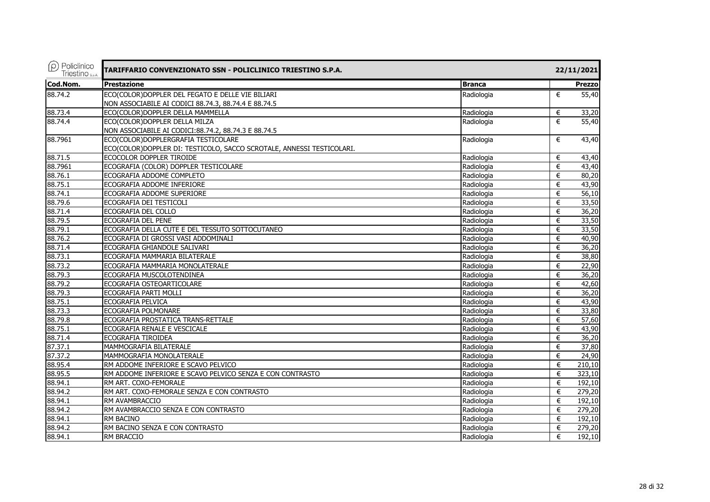| $\rho$ Policlinico<br>Triestino S.p.A. | TARIFFARIO CONVENZIONATO SSN - POLICLINICO TRIESTINO S.P.A.           |               | 22/11/2021    |
|----------------------------------------|-----------------------------------------------------------------------|---------------|---------------|
| Cod.Nom.                               | <b>Prestazione</b>                                                    | <b>Branca</b> | <b>Prezzo</b> |
| 88.74.2                                | ECO(COLOR)DOPPLER DEL FEGATO E DELLE VIE BILIARI                      | Radiologia    | €<br>55,40    |
|                                        | NON ASSOCIABILE AI CODICI 88.74.3, 88.74.4 E 88.74.5                  |               |               |
| 88.73.4                                | ECO(COLOR)DOPPLER DELLA MAMMELLA                                      | Radiologia    | €<br>33,20    |
| 88.74.4                                | ECO(COLOR)DOPPLER DELLA MILZA                                         | Radiologia    | €<br>55,40    |
|                                        | NON ASSOCIABILE AI CODICI:88.74.2, 88.74.3 E 88.74.5                  |               |               |
| 88.7961                                | ECO(COLOR)DOPPLERGRAFIA TESTICOLARE                                   | Radiologia    | €<br>43,40    |
|                                        | ECO(COLOR)DOPPLER DI: TESTICOLO, SACCO SCROTALE, ANNESSI TESTICOLARI. |               |               |
| 88.71.5                                | ECOCOLOR DOPPLER TIROIDE                                              | Radiologia    | €<br>43,40    |
| 88.7961                                | ECOGRAFIA (COLOR) DOPPLER TESTICOLARE                                 | Radiologia    | €<br>43,40    |
| 88.76.1                                | ECOGRAFIA ADDOME COMPLETO                                             | Radiologia    | €<br>80,20    |
| 88.75.1                                | ECOGRAFIA ADDOME INFERIORE                                            | Radiologia    | 43,90<br>€    |
| 88.74.1                                | ECOGRAFIA ADDOME SUPERIORE                                            | Radiologia    | €<br>56,10    |
| 88.79.6                                | ECOGRAFIA DEI TESTICOLI                                               | Radiologia    | 33,50<br>€    |
| 88.71.4                                | ECOGRAFIA DEL COLLO                                                   | Radiologia    | €<br>36,20    |
| 88.79.5                                | ECOGRAFIA DEL PENE                                                    | Radiologia    | 33,50<br>€    |
| 88.79.1                                | ECOGRAFIA DELLA CUTE E DEL TESSUTO SOTTOCUTANEO                       | Radiologia    | 33,50<br>€    |
| 88.76.2                                | ECOGRAFIA DI GROSSI VASI ADDOMINALI                                   | Radiologia    | €<br>40,90    |
| 88.71.4                                | ECOGRAFIA GHIANDOLE SALIVARI                                          | Radiologia    | 36,20<br>€    |
| 88.73.1                                | ECOGRAFIA MAMMARIA BILATERALE                                         | Radiologia    | €<br>38,80    |
| 88.73.2                                | ECOGRAFIA MAMMARIA MONOLATERALE                                       | Radiologia    | €<br>22,90    |
| 88.79.3                                | ECOGRAFIA MUSCOLOTENDINEA                                             | Radiologia    | €<br>36,20    |
| 88.79.2                                | ECOGRAFIA OSTEOARTICOLARE                                             | Radiologia    | 42,60<br>€    |
| 88.79.3                                | ECOGRAFIA PARTI MOLLI                                                 | Radiologia    | €<br>36,20    |
| 88.75.1                                | ECOGRAFIA PELVICA                                                     | Radiologia    | 43,90<br>€    |
| 88.73.3                                | ECOGRAFIA POLMONARE                                                   | Radiologia    | €<br>33,80    |
| 88.79.8                                | ECOGRAFIA PROSTATICA TRANS-RETTALE                                    | Radiologia    | 57,60<br>€    |
| 88.75.1                                | ECOGRAFIA RENALE E VESCICALE                                          | Radiologia    | 43,90<br>€    |
| 88.71.4                                | ECOGRAFIA TIROIDEA                                                    | Radiologia    | 36,20<br>€    |
| 87.37.1                                | MAMMOGRAFIA BILATERALE                                                | Radiologia    | €<br>37,80    |
| 87.37.2                                | MAMMOGRAFIA MONOLATERALE                                              | Radiologia    | 24,90<br>€    |
| 88.95.4                                | RM ADDOME INFERIORE E SCAVO PELVICO                                   | Radiologia    | €<br>210,10   |
| 88.95.5                                | RM ADDOME INFERIORE E SCAVO PELVICO SENZA E CON CONTRASTO             | Radiologia    | €<br>323,10   |
| 88.94.1                                | RM ART. COXO-FEMORALE                                                 | Radiologia    | €<br>192,10   |
| 88.94.2                                | RM ART. COXO-FEMORALE SENZA E CON CONTRASTO                           | Radiologia    | €<br>279,20   |
| 88.94.1                                | RM AVAMBRACCIO                                                        | Radiologia    | €<br>192,10   |
| 88.94.2                                | RM AVAMBRACCIO SENZA E CON CONTRASTO                                  | Radiologia    | €<br>279,20   |
| 88.94.1                                | <b>RM BACINO</b>                                                      | Radiologia    | €<br>192,10   |
| 88.94.2                                | RM BACINO SENZA E CON CONTRASTO                                       | Radiologia    | €<br>279,20   |
| 88.94.1                                | <b>RM BRACCIO</b>                                                     | Radiologia    | €<br>192,10   |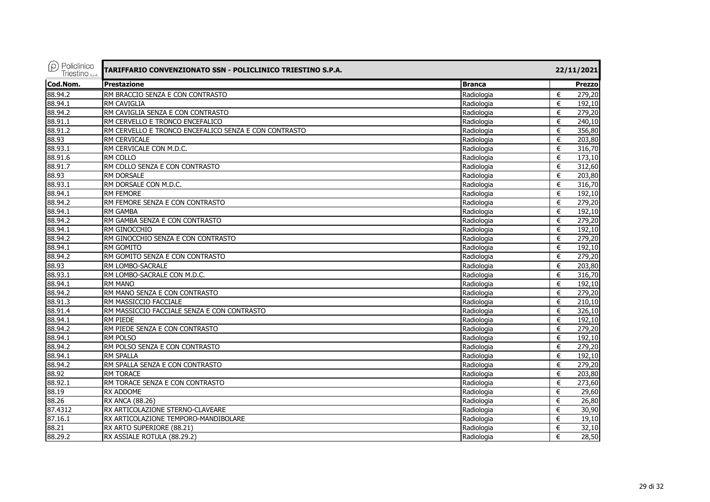| $(\rho)$ Policlinico<br>Triestino <sub>sp.A.</sub> | TARIFFARIO CONVENZIONATO SSN - POLICLINICO TRIESTINO S.P.A.<br>22/11/2021 |               |             |
|----------------------------------------------------|---------------------------------------------------------------------------|---------------|-------------|
| Cod.Nom.                                           | <b>Prestazione</b>                                                        | <b>Branca</b> | Prezzo      |
| 88.94.2                                            | RM BRACCIO SENZA E CON CONTRASTO                                          | Radiologia    | 279,20<br>€ |
| 88.94.1                                            | RM CAVIGLIA                                                               | Radiologia    | €<br>192,10 |
| 88.94.2                                            | RM CAVIGLIA SENZA E CON CONTRASTO                                         | Radiologia    | €<br>279,20 |
| 88.91.1                                            | RM CERVELLO E TRONCO ENCEFALICO                                           | Radiologia    | €<br>240,10 |
| 88.91.2                                            | RM CERVELLO E TRONCO ENCEFALICO SENZA E CON CONTRASTO                     | Radiologia    | €<br>356,80 |
| 88.93                                              | <b>RM CERVICALE</b>                                                       | Radiologia    | €<br>203,80 |
| 88.93.1                                            | RM CERVICALE CON M.D.C.                                                   | Radiologia    | €<br>316,70 |
| 88.91.6                                            | <b>RM COLLO</b>                                                           | Radiologia    | €<br>173,10 |
| 88.91.7                                            | RM COLLO SENZA E CON CONTRASTO                                            | Radiologia    | €<br>312,60 |
| 88.93                                              | RM DORSALE                                                                | Radiologia    | €<br>203,80 |
| 88.93.1                                            | RM DORSALE CON M.D.C.                                                     | Radiologia    | €<br>316,70 |
| 88.94.1                                            | RM FEMORE                                                                 | Radiologia    | €<br>192,10 |
| 88.94.2                                            | RM FEMORE SENZA E CON CONTRASTO                                           | Radiologia    | €<br>279,20 |
| 88.94.1                                            | <b>RM GAMBA</b>                                                           | Radiologia    | €<br>192,10 |
| 88.94.2                                            | RM GAMBA SENZA E CON CONTRASTO                                            | Radiologia    | 279,20<br>€ |
| 88.94.1                                            | RM GINOCCHIO                                                              | Radiologia    | €<br>192,10 |
| 88.94.2                                            | RM GINOCCHIO SENZA E CON CONTRASTO                                        | Radiologia    | €<br>279,20 |
| 88.94.1                                            | RM GOMITO                                                                 | Radiologia    | €<br>192,10 |
| 88.94.2                                            | RM GOMITO SENZA E CON CONTRASTO                                           | Radiologia    | 279,20<br>€ |
| 88.93                                              | RM LOMBO-SACRALE                                                          | Radiologia    | 203,80<br>€ |
| 88.93.1                                            | RM LOMBO-SACRALE CON M.D.C.                                               | Radiologia    | €<br>316,70 |
| 88.94.1                                            | <b>RM MANO</b>                                                            | Radiologia    | €<br>192,10 |
| 88.94.2                                            | RM MANO SENZA E CON CONTRASTO                                             | Radiologia    | €<br>279,20 |
| 88.91.3                                            | RM MASSICCIO FACCIALE                                                     | Radiologia    | €<br>210,10 |
| 88.91.4                                            | RM MASSICCIO FACCIALE SENZA E CON CONTRASTO                               | Radiologia    | €<br>326,10 |
| 88.94.1                                            | RM PIEDE                                                                  | Radiologia    | €<br>192,10 |
| 88.94.2                                            | RM PIEDE SENZA E CON CONTRASTO                                            | Radiologia    | 279,20<br>€ |
| 88.94.1                                            | <b>RM POLSO</b>                                                           | Radiologia    | €<br>192.10 |
| 88.94.2                                            | RM POLSO SENZA E CON CONTRASTO                                            | Radiologia    | €<br>279,20 |
| 88.94.1                                            | <b>RM SPALLA</b>                                                          | Radiologia    | €<br>192,10 |
| 88.94.2                                            | RM SPALLA SENZA E CON CONTRASTO                                           | Radiologia    | €<br>279,20 |
| 88.92                                              | <b>RM TORACE</b>                                                          | Radiologia    | €<br>203,80 |
| 88.92.1                                            | RM TORACE SENZA E CON CONTRASTO                                           | Radiologia    | €<br>273,60 |
| 88.19                                              | <b>RX ADDOME</b>                                                          | Radiologia    | €<br>29,60  |
| 88.26                                              | <b>RX ANCA (88.26)</b>                                                    | Radiologia    | €<br>26,80  |
| 87.4312                                            | RX ARTICOLAZIONE STERNO-CLAVEARE                                          | Radiologia    | €<br>30,90  |
| 87.16.1                                            | RX ARTICOLAZIONE TEMPORO-MANDIBOLARE                                      | Radiologia    | €<br>19,10  |
| 88.21                                              | RX ARTO SUPERIORE (88.21)                                                 | Radiologia    | 32,10<br>€  |
| 88.29.2                                            | RX ASSIALE ROTULA (88.29.2)                                               | Radiologia    | €<br>28,50  |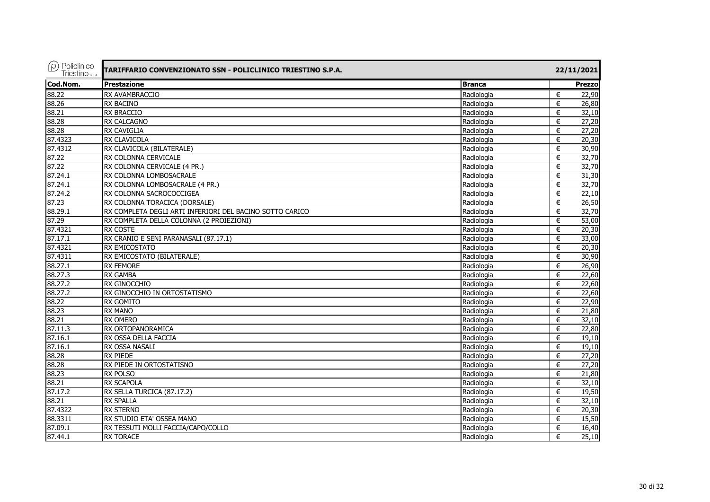| $(\rho)$ Policlinico<br>Triestino S.p.A. | TARIFFARIO CONVENZIONATO SSN - POLICLINICO TRIESTINO S.P.A. |               |                |
|------------------------------------------|-------------------------------------------------------------|---------------|----------------|
| Cod.Nom.                                 | Prestazione                                                 | <b>Branca</b> | <b>Prezzo</b>  |
| 88.22                                    | RX AVAMBRACCIO                                              | Radiologia    | €<br>22,90     |
| 88.26                                    | <b>RX BACINO</b>                                            | Radiologia    | €<br>26,80     |
| 88.21                                    | <b>RX BRACCIO</b>                                           | Radiologia    | €<br>32,10     |
| 88.28                                    | <b>RX CALCAGNO</b>                                          | Radiologia    | €<br>27,20     |
| 88.28                                    | <b>RX CAVIGLIA</b>                                          | Radiologia    | 27,20<br>€     |
| 87.4323                                  | <b>RX CLAVICOLA</b>                                         | Radiologia    | €<br>20,30     |
| 87.4312                                  | RX CLAVICOLA (BILATERALE)                                   | Radiologia    | 30,90<br>€     |
| 87.22                                    | RX COLONNA CERVICALE                                        | Radiologia    | €<br>32,70     |
| 87.22                                    | RX COLONNA CERVICALE (4 PR.)                                | Radiologia    | 32,70<br>€     |
| 87.24.1                                  | RX COLONNA LOMBOSACRALE                                     | Radiologia    | €<br>31,30     |
| 87.24.1                                  | RX COLONNA LOMBOSACRALE (4 PR.)                             | Radiologia    | 32,70<br>€     |
| 87.24.2                                  | RX COLONNA SACROCOCCIGEA                                    | Radiologia    | 22,10<br>€     |
| 87.23                                    | RX COLONNA TORACICA (DORSALE)                               | Radiologia    | 26,50<br>€     |
| 88.29.1                                  | RX COMPLETA DEGLI ARTI INFERIORI DEL BACINO SOTTO CARICO    | Radiologia    | 32,70<br>€     |
| 87.29                                    | RX COMPLETA DELLA COLONNA (2 PROIEZIONI)                    | Radiologia    | 53,00<br>€     |
| 87.4321                                  | <b>RX COSTE</b>                                             | Radiologia    | 20,30<br>€     |
| 87.17.1                                  | RX CRANIO E SENI PARANASALI (87.17.1)                       | Radiologia    | €<br>33,00     |
| 87.4321                                  | RX EMICOSTATO                                               | Radiologia    | 20,30<br>€     |
| 87.4311                                  | RX EMICOSTATO (BILATERALE)                                  | Radiologia    | 30,90<br>€     |
| 88.27.1                                  | <b>RX FEMORE</b>                                            | Radiologia    | 26,90<br>€     |
| 88.27.3                                  | RX GAMBA                                                    | Radiologia    | 22,60<br>€     |
| 88.27.2                                  | RX GINOCCHIO                                                | Radiologia    | 22,60<br>€     |
| 88.27.2                                  | RX GINOCCHIO IN ORTOSTATISMO                                | Radiologia    | 22,60<br>€     |
| 88.22                                    | <b>RX GOMITO</b>                                            | Radiologia    | 22,90<br>€     |
| 88.23                                    | <b>RX MANO</b>                                              | Radiologia    | 21,80<br>€     |
| 88.21                                    | <b>RX OMERO</b>                                             | Radiologia    | 32,10<br>€     |
| 87.11.3                                  | RX ORTOPANORAMICA                                           | Radiologia    | 22,80<br>€     |
| 87.16.1                                  | RX OSSA DELLA FACCIA                                        | Radiologia    | 19,10<br>$\in$ |
| 87.16.1                                  | RX OSSA NASALI                                              | Radiologia    | €<br>19,10     |
| 88.28                                    | <b>RX PIEDE</b>                                             | Radiologia    | $\in$<br>27,20 |
| 88.28                                    | RX PIEDE IN ORTOSTATISNO                                    | Radiologia    | 27,20<br>€     |
| 88.23                                    | <b>RX POLSO</b>                                             | Radiologia    | 21,80<br>€     |
| 88.21                                    | <b>RX SCAPOLA</b>                                           | Radiologia    | 32,10<br>€     |
| 87.17.2                                  | RX SELLA TURCICA (87.17.2)                                  | Radiologia    | 19,50<br>€     |
| 88.21                                    | <b>RX SPALLA</b>                                            | Radiologia    | 32,10<br>$\in$ |
| 87.4322                                  | <b>RX STERNO</b>                                            | Radiologia    | €<br>20,30     |
| 88.3311                                  | RX STUDIO ETA' OSSEA MANO                                   | Radiologia    | 15,50<br>€     |
| 87.09.1                                  | RX TESSUTI MOLLI FACCIA/CAPO/COLLO                          | Radiologia    | 16,40<br>€     |
| 87.44.1                                  | <b>RX TORACE</b>                                            | Radiologia    | €<br>25,10     |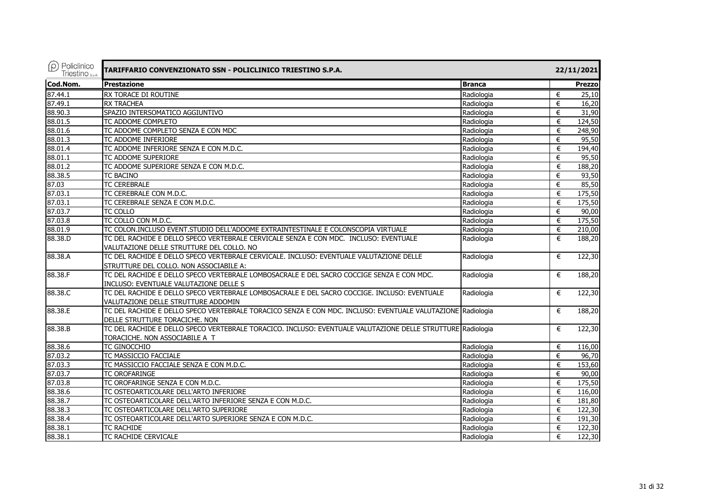| $(\rho)$ Policlinico<br>Triestino <sub>S.p.A.</sub> | TARIFFARIO CONVENZIONATO SSN - POLICLINICO TRIESTINO S.P.A.                                                 |               |   | 22/11/2021    |  |  |
|-----------------------------------------------------|-------------------------------------------------------------------------------------------------------------|---------------|---|---------------|--|--|
| Cod.Nom.                                            | <b>Prestazione</b>                                                                                          | <b>Branca</b> |   | <b>Prezzo</b> |  |  |
| 87.44.1                                             | RX TORACE DI ROUTINE                                                                                        | Radiologia    | € | 25,10         |  |  |
| 87.49.1                                             | <b>RX TRACHEA</b>                                                                                           | Radiologia    | € | 16,20         |  |  |
| 88.90.3                                             | SPAZIO INTERSOMATICO AGGIUNTIVO                                                                             | Radiologia    | € | 31,90         |  |  |
| 88.01.5                                             | TC ADDOME COMPLETO                                                                                          | Radiologia    | € | 124,50        |  |  |
| 88.01.6                                             | TC ADDOME COMPLETO SENZA E CON MDC                                                                          | Radiologia    | € | 248,90        |  |  |
| 88.01.3                                             | TC ADDOME INFERIORE                                                                                         | Radiologia    | € | 95,50         |  |  |
| 88.01.4                                             | TC ADDOME INFERIORE SENZA E CON M.D.C.                                                                      | Radiologia    | € | 194,40        |  |  |
| 88.01.1                                             | TC ADDOME SUPERIORE                                                                                         | Radiologia    | € | 95,50         |  |  |
| 88.01.2                                             | TC ADDOME SUPERIORE SENZA E CON M.D.C.                                                                      | Radiologia    | € | 188,20        |  |  |
| 88.38.5                                             | <b>TC BACINO</b>                                                                                            | Radiologia    | € | 93,50         |  |  |
| 87.03                                               | <b>TC CEREBRALE</b>                                                                                         | Radiologia    | € | 85,50         |  |  |
| 87.03.1                                             | TC CEREBRALE CON M.D.C.                                                                                     | Radiologia    | € | 175,50        |  |  |
| 87.03.1                                             | TC CEREBRALE SENZA E CON M.D.C.                                                                             | Radiologia    | € | 175,50        |  |  |
| 87.03.7                                             | <b>TC COLLO</b>                                                                                             | Radiologia    | € | 90,00         |  |  |
| 87.03.8                                             | TC COLLO CON M.D.C.                                                                                         | Radiologia    | € | 175,50        |  |  |
| 88.01.9                                             | TC COLON.INCLUSO EVENT.STUDIO DELL'ADDOME EXTRAINTESTINALE E COLONSCOPIA VIRTUALE                           | Radiologia    | € | 210,00        |  |  |
| 88.38.D                                             | TC DEL RACHIDE E DELLO SPECO VERTEBRALE CERVICALE SENZA E CON MDC. INCLUSO: EVENTUALE                       | Radiologia    | € | 188,20        |  |  |
|                                                     | VALUTAZIONE DELLE STRUTTURE DEL COLLO. NO                                                                   |               |   |               |  |  |
| 88.38.A                                             | TC DEL RACHIDE E DELLO SPECO VERTEBRALE CERVICALE. INCLUSO: EVENTUALE VALUTAZIONE DELLE                     | Radiologia    | € | 122,30        |  |  |
|                                                     | STRUTTURE DEL COLLO. NON ASSOCIABILE A:                                                                     |               |   |               |  |  |
| 88.38.F                                             | TC DEL RACHIDE E DELLO SPECO VERTEBRALE LOMBOSACRALE E DEL SACRO COCCIGE SENZA E CON MDC.                   | Radiologia    | € | 188,20        |  |  |
|                                                     | INCLUSO: EVENTUALE VALUTAZIONE DELLE S                                                                      |               |   |               |  |  |
| 88.38.C                                             | TC DEL RACHIDE E DELLO SPECO VERTEBRALE LOMBOSACRALE E DEL SACRO COCCIGE. INCLUSO: EVENTUALE                | Radiologia    | € | 122,30        |  |  |
|                                                     | VALUTAZIONE DELLE STRUTTURE ADDOMIN                                                                         |               |   |               |  |  |
| 88.38.E                                             | TC DEL RACHIDE E DELLO SPECO VERTEBRALE TORACICO SENZA E CON MDC. INCLUSO: EVENTUALE VALUTAZIONE Radiologia |               | € | 188,20        |  |  |
|                                                     | DELLE STRUTTURE TORACICHE. NON                                                                              |               |   |               |  |  |
| 88.38.B                                             | TC DEL RACHIDE E DELLO SPECO VERTEBRALE TORACICO. INCLUSO: EVENTUALE VALUTAZIONE DELLE STRUTTURE Radiologia |               | € | 122,30        |  |  |
|                                                     | TORACICHE. NON ASSOCIABILE A T                                                                              |               |   |               |  |  |
| 88.38.6                                             | <b>TC GINOCCHIO</b>                                                                                         | Radiologia    | € | 116,00        |  |  |
| 87.03.2                                             | TC MASSICCIO FACCIALE                                                                                       | Radiologia    | € | 96,70         |  |  |
| 87.03.3                                             | TC MASSICCIO FACCIALE SENZA E CON M.D.C.                                                                    | Radiologia    | € | 153,60        |  |  |
| 87.03.7                                             | TC OROFARINGE                                                                                               | Radiologia    | € | 90,00         |  |  |
| 87.03.8                                             | TC OROFARINGE SENZA E CON M.D.C.                                                                            | Radiologia    | € | 175,50        |  |  |
| 88.38.6                                             | TC OSTEOARTICOLARE DELL'ARTO INFERIORE                                                                      | Radiologia    | € | 116,00        |  |  |
| 88.38.7                                             | TC OSTEOARTICOLARE DELL'ARTO INFERIORE SENZA E CON M.D.C.                                                   | Radiologia    | € | 181,80        |  |  |
| 88.38.3                                             | TC OSTEOARTICOLARE DELL'ARTO SUPERIORE                                                                      | Radiologia    | € | 122,30        |  |  |
| 88.38.4                                             | TC OSTEOARTICOLARE DELL'ARTO SUPERIORE SENZA E CON M.D.C.                                                   | Radiologia    | € | 191,30        |  |  |
| 88.38.1                                             | <b>TC RACHIDE</b>                                                                                           | Radiologia    | € | 122,30        |  |  |
| 88.38.1                                             | TC RACHIDE CERVICALE                                                                                        | Radiologia    | € | 122,30        |  |  |